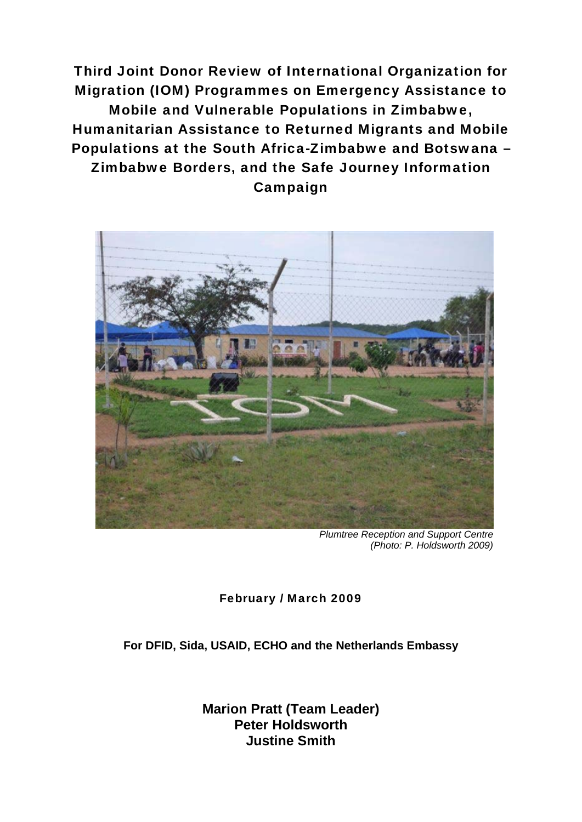Third Joint Donor Review of International Organization for Migration (IOM) Programmes on Emergency Assistance to Mobile and Vulnerable Populations in Zimbabwe, Humanitarian Assistance to Returned Migrants and Mobile Populations at the South Africa-Zimbabwe and Botswana – Zimbabwe Borders, and the Safe Journey Information Campaign



*Plumtree Reception and Support Centre (Photo: P. Holdsworth 2009)* 

February / March 2009

**For DFID, Sida, USAID, ECHO and the Netherlands Embassy** 

**Marion Pratt (Team Leader) Peter Holdsworth Justine Smith**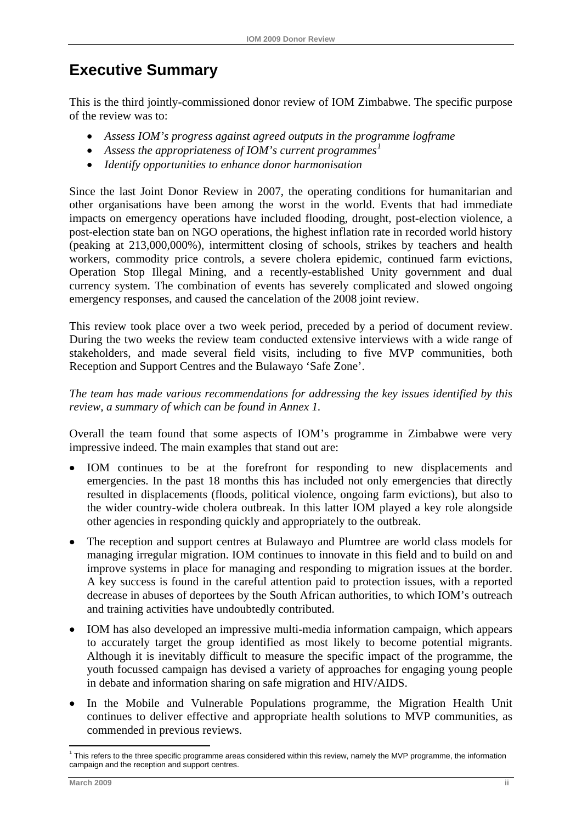# **Executive Summary**

This is the third jointly-commissioned donor review of IOM Zimbabwe. The specific purpose of the review was to:

- *Assess IOM's progress against agreed outputs in the programme logframe*
- *Assess the appropriateness of IOM's current programmes[1](#page-1-0)*
- *Identify opportunities to enhance donor harmonisation*

Since the last Joint Donor Review in 2007, the operating conditions for humanitarian and other organisations have been among the worst in the world. Events that had immediate impacts on emergency operations have included flooding, drought, post-election violence, a post-election state ban on NGO operations, the highest inflation rate in recorded world history (peaking at 213,000,000%), intermittent closing of schools, strikes by teachers and health workers, commodity price controls, a severe cholera epidemic, continued farm evictions, Operation Stop Illegal Mining, and a recently-established Unity government and dual currency system. The combination of events has severely complicated and slowed ongoing emergency responses, and caused the cancelation of the 2008 joint review.

This review took place over a two week period, preceded by a period of document review. During the two weeks the review team conducted extensive interviews with a wide range of stakeholders, and made several field visits, including to five MVP communities, both Reception and Support Centres and the Bulawayo 'Safe Zone'.

*The team has made various recommendations for addressing the key issues identified by this review, a summary of which can be found in Annex 1.* 

Overall the team found that some aspects of IOM's programme in Zimbabwe were very impressive indeed. The main examples that stand out are:

- IOM continues to be at the forefront for responding to new displacements and emergencies. In the past 18 months this has included not only emergencies that directly resulted in displacements (floods, political violence, ongoing farm evictions), but also to the wider country-wide cholera outbreak. In this latter IOM played a key role alongside other agencies in responding quickly and appropriately to the outbreak.
- The reception and support centres at Bulawayo and Plumtree are world class models for managing irregular migration. IOM continues to innovate in this field and to build on and improve systems in place for managing and responding to migration issues at the border. A key success is found in the careful attention paid to protection issues, with a reported decrease in abuses of deportees by the South African authorities, to which IOM's outreach and training activities have undoubtedly contributed.
- IOM has also developed an impressive multi-media information campaign, which appears to accurately target the group identified as most likely to become potential migrants. Although it is inevitably difficult to measure the specific impact of the programme, the youth focussed campaign has devised a variety of approaches for engaging young people in debate and information sharing on safe migration and HIV/AIDS.
- In the Mobile and Vulnerable Populations programme, the Migration Health Unit continues to deliver effective and appropriate health solutions to MVP communities, as commended in previous reviews.

1

<span id="page-1-0"></span><sup>&</sup>lt;sup>1</sup> This refers to the three specific programme areas considered within this review, namely the MVP programme, the information campaign and the reception and support centres.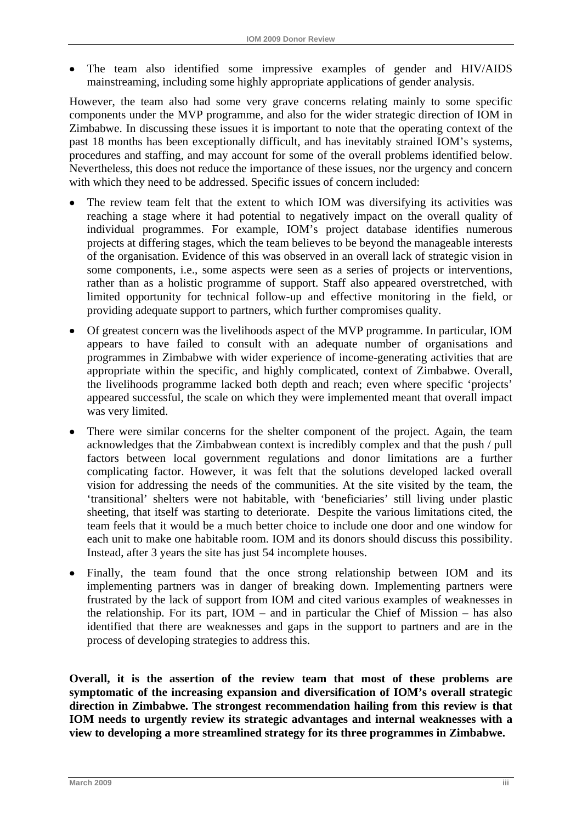<span id="page-2-0"></span>• The team also identified some impressive examples of gender and HIV/AIDS mainstreaming, including some highly appropriate applications of gender analysis.

However, the team also had some very grave concerns relating mainly to some specific components under the MVP programme, and also for the wider strategic direction of IOM in Zimbabwe. In discussing these issues it is important to note that the operating context of the past 18 months has been exceptionally difficult, and has inevitably strained IOM's systems, procedures and staffing, and may account for some of the overall problems identified below. Nevertheless, this does not reduce the importance of these issues, nor the urgency and concern with which they need to be addressed. Specific issues of concern included:

- The review team felt that the extent to which IOM was diversifying its activities was reaching a stage where it had potential to negatively impact on the overall quality of individual programmes. For example, IOM's project database identifies numerous projects at differing stages, which the team believes to be beyond the manageable interests of the organisation. Evidence of this was observed in an overall lack of strategic vision in some components, i.e., some aspects were seen as a series of projects or interventions, rather than as a holistic programme of support. Staff also appeared overstretched, with limited opportunity for technical follow-up and effective monitoring in the field, or providing adequate support to partners, which further compromises quality.
- Of greatest concern was the livelihoods aspect of the MVP programme. In particular, IOM appears to have failed to consult with an adequate number of organisations and programmes in Zimbabwe with wider experience of income-generating activities that are appropriate within the specific, and highly complicated, context of Zimbabwe. Overall, the livelihoods programme lacked both depth and reach; even where specific 'projects' appeared successful, the scale on which they were implemented meant that overall impact was very limited.
- There were similar concerns for the shelter component of the project. Again, the team acknowledges that the Zimbabwean context is incredibly complex and that the push / pull factors between local government regulations and donor limitations are a further complicating factor. However, it was felt that the solutions developed lacked overall vision for addressing the needs of the communities. At the site visited by the team, the 'transitional' shelters were not habitable, with 'beneficiaries' still living under plastic sheeting, that itself was starting to deteriorate. Despite the various limitations cited, the team feels that it would be a much better choice to include one door and one window for each unit to make one habitable room. IOM and its donors should discuss this possibility. Instead, after 3 years the site has just 54 incomplete houses.
- Finally, the team found that the once strong relationship between IOM and its implementing partners was in danger of breaking down. Implementing partners were frustrated by the lack of support from IOM and cited various examples of weaknesses in the relationship. For its part,  $IOM -$  and in particular the Chief of Mission – has also identified that there are weaknesses and gaps in the support to partners and are in the process of developing strategies to address this.

**Overall, it is the assertion of the review team that most of these problems are symptomatic of the increasing expansion and diversification of IOM's overall strategic direction in Zimbabwe. The strongest recommendation hailing from this review is that IOM needs to urgently review its strategic advantages and internal weaknesses with a view to developing a more streamlined strategy for its three programmes in Zimbabwe.**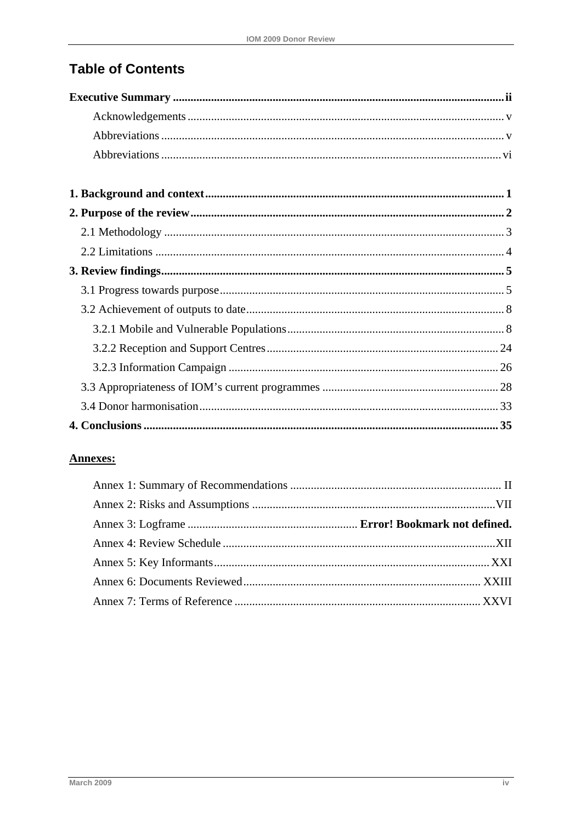# **Table of Contents**

## **Annexes:**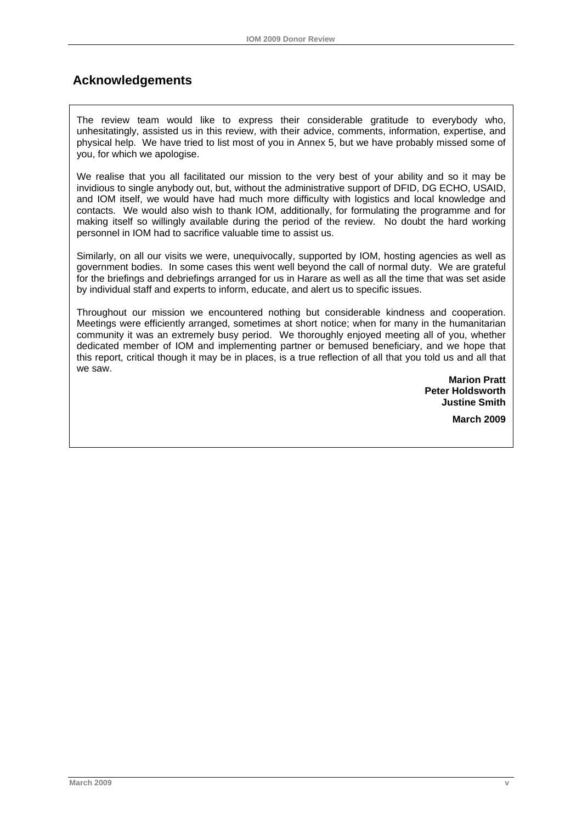## <span id="page-4-0"></span> **Acknowledgements**

The review team would like to express their considerable gratitude to everybody who, unhesitatingly, assisted us in this review, with their advice, comments, information, expertise, and physical help. We have tried to list most of you in Annex 5, but we have probably missed some of you, for which we apologise.

We realise that you all facilitated our mission to the very best of your ability and so it may be invidious to single anybody out, but, without the administrative support of DFID, DG ECHO, USAID, and IOM itself, we would have had much more difficulty with logistics and local knowledge and contacts. We would also wish to thank IOM, additionally, for formulating the programme and for making itself so willingly available during the period of the review. No doubt the hard working personnel in IOM had to sacrifice valuable time to assist us.

Similarly, on all our visits we were, unequivocally, supported by IOM, hosting agencies as well as government bodies. In some cases this went well beyond the call of normal duty. We are grateful for the briefings and debriefings arranged for us in Harare as well as all the time that was set aside by individual staff and experts to inform, educate, and alert us to specific issues.

Throughout our mission we encountered nothing but considerable kindness and cooperation. Meetings were efficiently arranged, sometimes at short notice; when for many in the humanitarian community it was an extremely busy period. We thoroughly enjoyed meeting all of you, whether dedicated member of IOM and implementing partner or bemused beneficiary, and we hope that this report, critical though it may be in places, is a true reflection of all that you told us and all that we saw.

> **Marion Pratt Peter Holdsworth Justine Smith March 2009**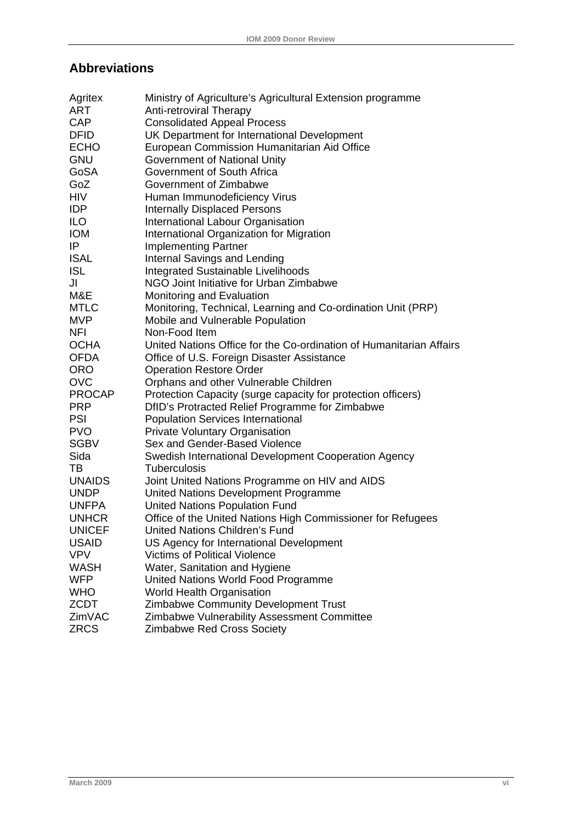# <span id="page-5-0"></span>**Abbreviations**

| Agritex       | Ministry of Agriculture's Agricultural Extension programme          |
|---------------|---------------------------------------------------------------------|
| <b>ART</b>    | <b>Anti-retroviral Therapy</b>                                      |
| <b>CAP</b>    | <b>Consolidated Appeal Process</b>                                  |
| <b>DFID</b>   | UK Department for International Development                         |
| <b>ECHO</b>   | European Commission Humanitarian Aid Office                         |
| <b>GNU</b>    | Government of National Unity                                        |
| GoSA          | Government of South Africa                                          |
| GoZ           | Government of Zimbabwe                                              |
| <b>HIV</b>    | Human Immunodeficiency Virus                                        |
| IDP           | <b>Internally Displaced Persons</b>                                 |
| ILO           | International Labour Organisation                                   |
| <b>IOM</b>    | International Organization for Migration                            |
| IP            | <b>Implementing Partner</b>                                         |
| <b>ISAL</b>   | Internal Savings and Lending                                        |
| <b>ISL</b>    | <b>Integrated Sustainable Livelihoods</b>                           |
| JI            | NGO Joint Initiative for Urban Zimbabwe                             |
| M&E           | Monitoring and Evaluation                                           |
| <b>MTLC</b>   | Monitoring, Technical, Learning and Co-ordination Unit (PRP)        |
| <b>MVP</b>    | Mobile and Vulnerable Population                                    |
| <b>NFI</b>    | Non-Food Item                                                       |
| <b>OCHA</b>   | United Nations Office for the Co-ordination of Humanitarian Affairs |
| <b>OFDA</b>   | Office of U.S. Foreign Disaster Assistance                          |
| <b>ORO</b>    | <b>Operation Restore Order</b>                                      |
| <b>OVC</b>    | Orphans and other Vulnerable Children                               |
| <b>PROCAP</b> | Protection Capacity (surge capacity for protection officers)        |
| <b>PRP</b>    | DfID's Protracted Relief Programme for Zimbabwe                     |
| <b>PSI</b>    | <b>Population Services International</b>                            |
| <b>PVO</b>    | <b>Private Voluntary Organisation</b>                               |
| <b>SGBV</b>   | Sex and Gender-Based Violence                                       |
| Sida          | Swedish International Development Cooperation Agency                |
| TВ            | <b>Tuberculosis</b>                                                 |
| <b>UNAIDS</b> | Joint United Nations Programme on HIV and AIDS                      |
| <b>UNDP</b>   | United Nations Development Programme                                |
| <b>UNFPA</b>  | <b>United Nations Population Fund</b>                               |
| <b>UNHCR</b>  | Office of the United Nations High Commissioner for Refugees         |
| <b>UNICEF</b> | United Nations Children's Fund                                      |
| <b>USAID</b>  | US Agency for International Development                             |
| <b>VPV</b>    | <b>Victims of Political Violence</b>                                |
| <b>WASH</b>   | Water, Sanitation and Hygiene                                       |
| <b>WFP</b>    | United Nations World Food Programme                                 |
| <b>WHO</b>    | <b>World Health Organisation</b>                                    |
| <b>ZCDT</b>   | Zimbabwe Community Development Trust                                |
| ZimVAC        | Zimbabwe Vulnerability Assessment Committee                         |
| <b>ZRCS</b>   | Zimbabwe Red Cross Society                                          |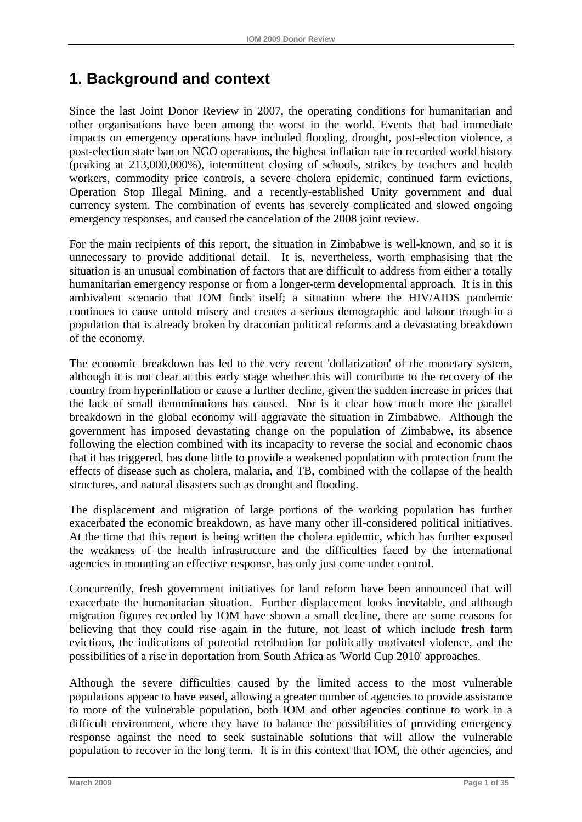# <span id="page-6-0"></span>**1. Background and context**

Since the last Joint Donor Review in 2007, the operating conditions for humanitarian and other organisations have been among the worst in the world. Events that had immediate impacts on emergency operations have included flooding, drought, post-election violence, a post-election state ban on NGO operations, the highest inflation rate in recorded world history (peaking at 213,000,000%), intermittent closing of schools, strikes by teachers and health workers, commodity price controls, a severe cholera epidemic, continued farm evictions, Operation Stop Illegal Mining, and a recently-established Unity government and dual currency system. The combination of events has severely complicated and slowed ongoing emergency responses, and caused the cancelation of the 2008 joint review.

For the main recipients of this report, the situation in Zimbabwe is well-known, and so it is unnecessary to provide additional detail. It is, nevertheless, worth emphasising that the situation is an unusual combination of factors that are difficult to address from either a totally humanitarian emergency response or from a longer-term developmental approach. It is in this ambivalent scenario that IOM finds itself; a situation where the HIV/AIDS pandemic continues to cause untold misery and creates a serious demographic and labour trough in a population that is already broken by draconian political reforms and a devastating breakdown of the economy.

The economic breakdown has led to the very recent 'dollarization' of the monetary system, although it is not clear at this early stage whether this will contribute to the recovery of the country from hyperinflation or cause a further decline, given the sudden increase in prices that the lack of small denominations has caused. Nor is it clear how much more the parallel breakdown in the global economy will aggravate the situation in Zimbabwe. Although the government has imposed devastating change on the population of Zimbabwe, its absence following the election combined with its incapacity to reverse the social and economic chaos that it has triggered, has done little to provide a weakened population with protection from the effects of disease such as cholera, malaria, and TB, combined with the collapse of the health structures, and natural disasters such as drought and flooding.

The displacement and migration of large portions of the working population has further exacerbated the economic breakdown, as have many other ill-considered political initiatives. At the time that this report is being written the cholera epidemic, which has further exposed the weakness of the health infrastructure and the difficulties faced by the international agencies in mounting an effective response, has only just come under control.

Concurrently, fresh government initiatives for land reform have been announced that will exacerbate the humanitarian situation. Further displacement looks inevitable, and although migration figures recorded by IOM have shown a small decline, there are some reasons for believing that they could rise again in the future, not least of which include fresh farm evictions, the indications of potential retribution for politically motivated violence, and the possibilities of a rise in deportation from South Africa as 'World Cup 2010' approaches.

Although the severe difficulties caused by the limited access to the most vulnerable populations appear to have eased, allowing a greater number of agencies to provide assistance to more of the vulnerable population, both IOM and other agencies continue to work in a difficult environment, where they have to balance the possibilities of providing emergency response against the need to seek sustainable solutions that will allow the vulnerable population to recover in the long term. It is in this context that IOM, the other agencies, and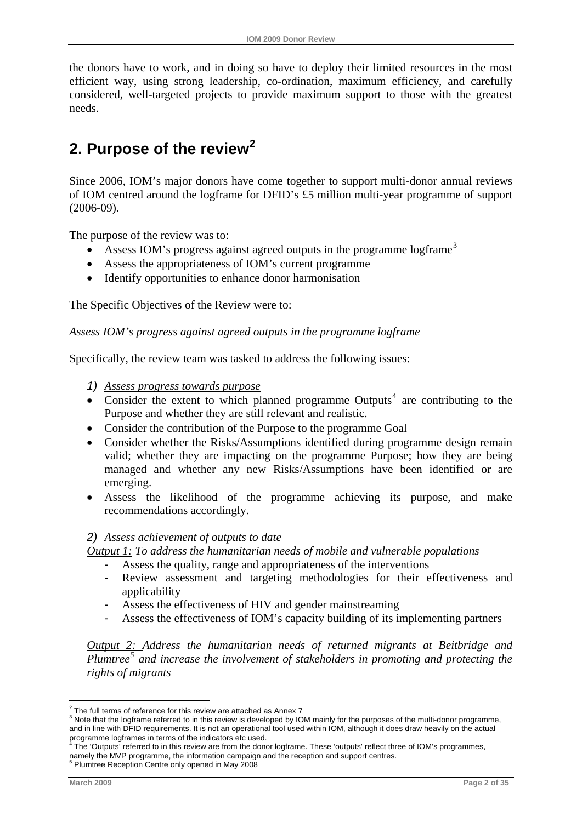<span id="page-7-0"></span>the donors have to work, and in doing so have to deploy their limited resources in the most efficient way, using strong leadership, co-ordination, maximum efficiency, and carefully considered, well-targeted projects to provide maximum support to those with the greatest needs.

# **2. Purpose of the review[2](#page-7-0)**

Since 2006, IOM's major donors have come together to support multi-donor annual reviews of IOM centred around the logframe for DFID's £5 million multi-year programme of support (2006-09).

The purpose of the review was to:

- Assess IOM's progress against agreed outputs in the programme logframe<sup>[3](#page-7-0)</sup>
- Assess the appropriateness of IOM's current programme
- Identify opportunities to enhance donor harmonisation

The Specific Objectives of the Review were to:

#### *Assess IOM's progress against agreed outputs in the programme logframe*

Specifically, the review team was tasked to address the following issues:

- *1) Assess progress towards purpose*
- Consider the extent to which planned programme Outputs<sup>[4](#page-7-0)</sup> are contributing to the Purpose and whether they are still relevant and realistic.
- Consider the contribution of the Purpose to the programme Goal
- Consider whether the Risks/Assumptions identified during programme design remain valid; whether they are impacting on the programme Purpose; how they are being managed and whether any new Risks/Assumptions have been identified or are emerging.
- Assess the likelihood of the programme achieving its purpose, and make recommendations accordingly.

#### *2) Assess achievement of outputs to date*

*Output 1: To address the humanitarian needs of mobile and vulnerable populations* 

- Assess the quality, range and appropriateness of the interventions
- Review assessment and targeting methodologies for their effectiveness and applicability
- Assess the effectiveness of HIV and gender mainstreaming
- Assess the effectiveness of IOM's capacity building of its implementing partners

*Output 2: Address the humanitarian needs of returned migrants at Beitbridge and Plumtree[5](#page-7-0) and increase the involvement of stakeholders in promoting and protecting the rights of migrants* 

 2 The full terms of reference for this review are attached as Annex 7

<sup>&</sup>lt;sup>3</sup> Note that the logframe referred to in this review is developed by IOM mainly for the purposes of the multi-donor programme, and in line with DFID requirements. It is not an operational tool used within IOM, although it does draw heavily on the actual programme logframes in terms of the indicators etc used.<br><sup>4</sup> The 'Qutpute' referred to in this review are from the dang

The 'Outputs' referred to in this review are from the donor logframe. These 'outputs' reflect three of IOM's programmes, namely the MVP programme, the information campaign and the reception and support centres. <sup>5</sup>

<sup>&</sup>lt;sup>5</sup> Plumtree Reception Centre only opened in May 2008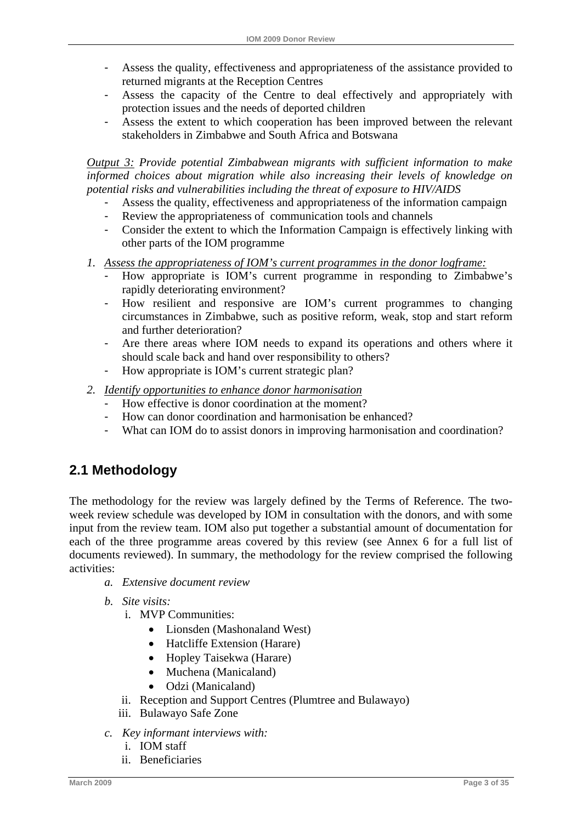- <span id="page-8-0"></span>- Assess the quality, effectiveness and appropriateness of the assistance provided to returned migrants at the Reception Centres
- Assess the capacity of the Centre to deal effectively and appropriately with protection issues and the needs of deported children
- Assess the extent to which cooperation has been improved between the relevant stakeholders in Zimbabwe and South Africa and Botswana

*Output 3: Provide potential Zimbabwean migrants with sufficient information to make informed choices about migration while also increasing their levels of knowledge on potential risks and vulnerabilities including the threat of exposure to HIV/AIDS* 

- Assess the quality, effectiveness and appropriateness of the information campaign
- Review the appropriateness of communication tools and channels
- Consider the extent to which the Information Campaign is effectively linking with other parts of the IOM programme
- *1. Assess the appropriateness of IOM's current programmes in the donor logframe:*
	- How appropriate is IOM's current programme in responding to Zimbabwe's rapidly deteriorating environment?
	- How resilient and responsive are IOM's current programmes to changing circumstances in Zimbabwe, such as positive reform, weak, stop and start reform and further deterioration?
	- Are there areas where IOM needs to expand its operations and others where it should scale back and hand over responsibility to others?
	- How appropriate is IOM's current strategic plan?
- *2. Identify opportunities to enhance donor harmonisation*
	- How effective is donor coordination at the moment?
	- How can donor coordination and harmonisation be enhanced?
	- What can IOM do to assist donors in improving harmonisation and coordination?

# **2.1 Methodology**

The methodology for the review was largely defined by the Terms of Reference. The twoweek review schedule was developed by IOM in consultation with the donors, and with some input from the review team. IOM also put together a substantial amount of documentation for each of the three programme areas covered by this review (see Annex 6 for a full list of documents reviewed). In summary, the methodology for the review comprised the following activities:

- *a. Extensive document review*
- *b. Site visits:* 
	- i. MVP Communities:
		- Lionsden (Mashonaland West)
		- Hatcliffe Extension (Harare)
		- Hopley Taisekwa (Harare)
		- Muchena (Manicaland)
		- Odzi (Manicaland)
	- ii. Reception and Support Centres (Plumtree and Bulawayo)
	- iii. Bulawayo Safe Zone
- *c. Key informant interviews with:* 
	- i. IOM staff
	- ii. Beneficiaries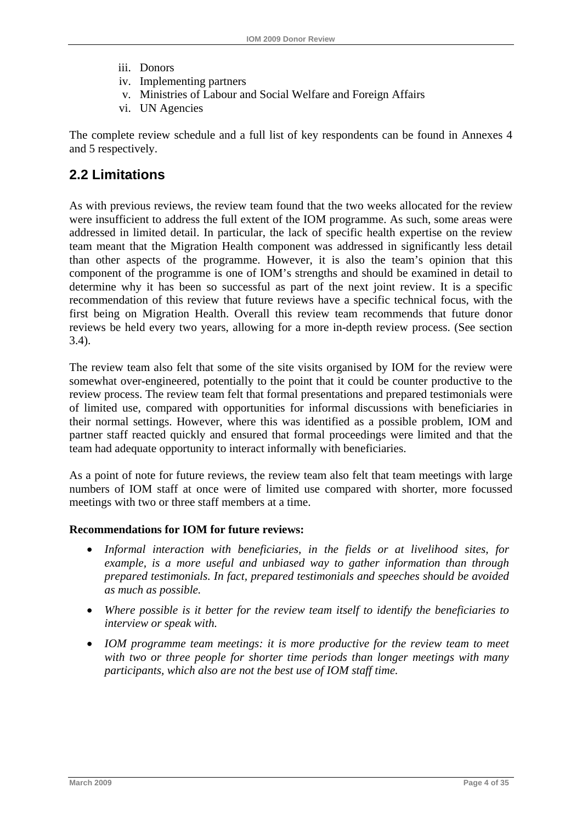- <span id="page-9-0"></span>iii. Donors
- iv. Implementing partners
- v. Ministries of Labour and Social Welfare and Foreign Affairs
- vi. UN Agencies

The complete review schedule and a full list of key respondents can be found in Annexes 4 and 5 respectively.

# **2.2 Limitations**

As with previous reviews, the review team found that the two weeks allocated for the review were insufficient to address the full extent of the IOM programme. As such, some areas were addressed in limited detail. In particular, the lack of specific health expertise on the review team meant that the Migration Health component was addressed in significantly less detail than other aspects of the programme. However, it is also the team's opinion that this component of the programme is one of IOM's strengths and should be examined in detail to determine why it has been so successful as part of the next joint review. It is a specific recommendation of this review that future reviews have a specific technical focus, with the first being on Migration Health. Overall this review team recommends that future donor reviews be held every two years, allowing for a more in-depth review process. (See section 3.4).

The review team also felt that some of the site visits organised by IOM for the review were somewhat over-engineered, potentially to the point that it could be counter productive to the review process. The review team felt that formal presentations and prepared testimonials were of limited use, compared with opportunities for informal discussions with beneficiaries in their normal settings. However, where this was identified as a possible problem, IOM and partner staff reacted quickly and ensured that formal proceedings were limited and that the team had adequate opportunity to interact informally with beneficiaries.

As a point of note for future reviews, the review team also felt that team meetings with large numbers of IOM staff at once were of limited use compared with shorter, more focussed meetings with two or three staff members at a time.

## **Recommendations for IOM for future reviews:**

- *Informal interaction with beneficiaries, in the fields or at livelihood sites, for example, is a more useful and unbiased way to gather information than through prepared testimonials. In fact, prepared testimonials and speeches should be avoided as much as possible.*
- *Where possible is it better for the review team itself to identify the beneficiaries to interview or speak with.*
- *IOM programme team meetings: it is more productive for the review team to meet with two or three people for shorter time periods than longer meetings with many participants, which also are not the best use of IOM staff time.*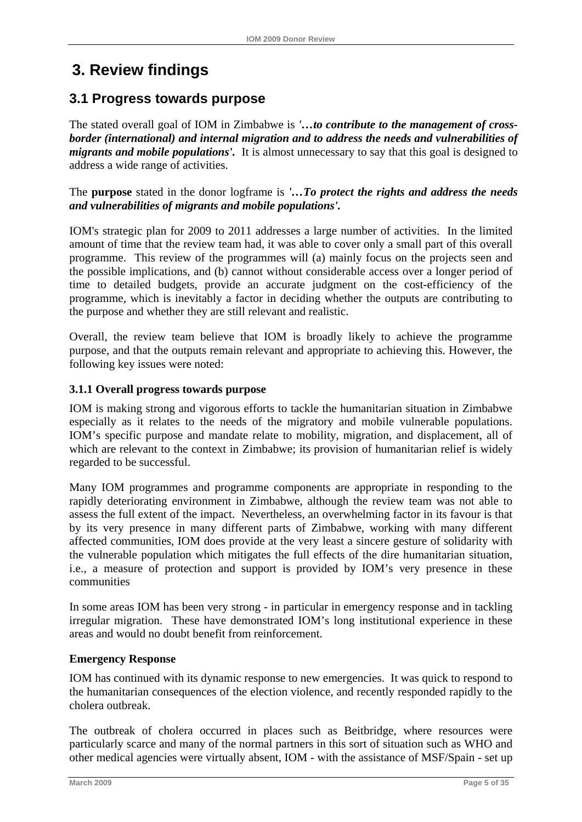# <span id="page-10-0"></span>**3. Review findings**

# **3.1 Progress towards purpose**

The stated overall goal of IOM in Zimbabwe is *'…to contribute to the management of crossborder (international) and internal migration and to address the needs and vulnerabilities of migrants and mobile populations'.* It is almost unnecessary to say that this goal is designed to address a wide range of activities.

The **purpose** stated in the donor logframe is *'…To protect the rights and address the needs and vulnerabilities of migrants and mobile populations'.*

IOM's strategic plan for 2009 to 2011 addresses a large number of activities. In the limited amount of time that the review team had, it was able to cover only a small part of this overall programme. This review of the programmes will (a) mainly focus on the projects seen and the possible implications, and (b) cannot without considerable access over a longer period of time to detailed budgets, provide an accurate judgment on the cost-efficiency of the programme, which is inevitably a factor in deciding whether the outputs are contributing to the purpose and whether they are still relevant and realistic.

Overall, the review team believe that IOM is broadly likely to achieve the programme purpose, and that the outputs remain relevant and appropriate to achieving this. However, the following key issues were noted:

## **3.1.1 Overall progress towards purpose**

IOM is making strong and vigorous efforts to tackle the humanitarian situation in Zimbabwe especially as it relates to the needs of the migratory and mobile vulnerable populations. IOM's specific purpose and mandate relate to mobility, migration, and displacement, all of which are relevant to the context in Zimbabwe; its provision of humanitarian relief is widely regarded to be successful.

Many IOM programmes and programme components are appropriate in responding to the rapidly deteriorating environment in Zimbabwe, although the review team was not able to assess the full extent of the impact. Nevertheless, an overwhelming factor in its favour is that by its very presence in many different parts of Zimbabwe, working with many different affected communities, IOM does provide at the very least a sincere gesture of solidarity with the vulnerable population which mitigates the full effects of the dire humanitarian situation, i.e., a measure of protection and support is provided by IOM's very presence in these communities

In some areas IOM has been very strong - in particular in emergency response and in tackling irregular migration. These have demonstrated IOM's long institutional experience in these areas and would no doubt benefit from reinforcement.

## **Emergency Response**

IOM has continued with its dynamic response to new emergencies. It was quick to respond to the humanitarian consequences of the election violence, and recently responded rapidly to the cholera outbreak.

The outbreak of cholera occurred in places such as Beitbridge, where resources were particularly scarce and many of the normal partners in this sort of situation such as WHO and other medical agencies were virtually absent, IOM - with the assistance of MSF/Spain - set up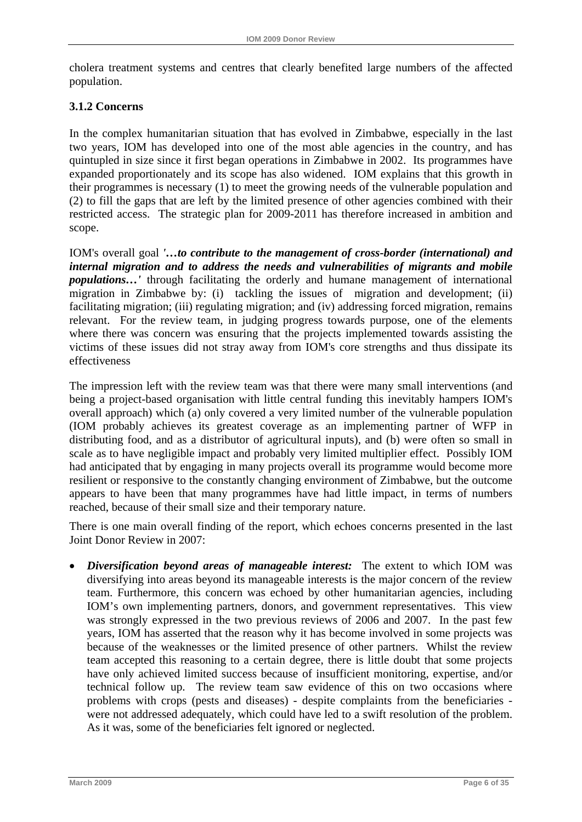cholera treatment systems and centres that clearly benefited large numbers of the affected population.

## **3.1.2 Concerns**

In the complex humanitarian situation that has evolved in Zimbabwe, especially in the last two years, IOM has developed into one of the most able agencies in the country, and has quintupled in size since it first began operations in Zimbabwe in 2002. Its programmes have expanded proportionately and its scope has also widened. IOM explains that this growth in their programmes is necessary (1) to meet the growing needs of the vulnerable population and (2) to fill the gaps that are left by the limited presence of other agencies combined with their restricted access. The strategic plan for 2009-2011 has therefore increased in ambition and scope.

IOM's overall goal *'…to contribute to the management of cross-border (international) and internal migration and to address the needs and vulnerabilities of migrants and mobile populations…'* through facilitating the orderly and humane management of international migration in Zimbabwe by: (i) tackling the issues of migration and development; (ii) facilitating migration; (iii) regulating migration; and (iv) addressing forced migration, remains relevant. For the review team, in judging progress towards purpose, one of the elements where there was concern was ensuring that the projects implemented towards assisting the victims of these issues did not stray away from IOM's core strengths and thus dissipate its effectiveness

The impression left with the review team was that there were many small interventions (and being a project-based organisation with little central funding this inevitably hampers IOM's overall approach) which (a) only covered a very limited number of the vulnerable population (IOM probably achieves its greatest coverage as an implementing partner of WFP in distributing food, and as a distributor of agricultural inputs), and (b) were often so small in scale as to have negligible impact and probably very limited multiplier effect. Possibly IOM had anticipated that by engaging in many projects overall its programme would become more resilient or responsive to the constantly changing environment of Zimbabwe, but the outcome appears to have been that many programmes have had little impact, in terms of numbers reached, because of their small size and their temporary nature.

There is one main overall finding of the report, which echoes concerns presented in the last Joint Donor Review in 2007:

• *Diversification beyond areas of manageable interest:* The extent to which IOM was diversifying into areas beyond its manageable interests is the major concern of the review team. Furthermore, this concern was echoed by other humanitarian agencies, including IOM's own implementing partners, donors, and government representatives. This view was strongly expressed in the two previous reviews of 2006 and 2007. In the past few years, IOM has asserted that the reason why it has become involved in some projects was because of the weaknesses or the limited presence of other partners. Whilst the review team accepted this reasoning to a certain degree, there is little doubt that some projects have only achieved limited success because of insufficient monitoring, expertise, and/or technical follow up. The review team saw evidence of this on two occasions where problems with crops (pests and diseases) - despite complaints from the beneficiaries were not addressed adequately, which could have led to a swift resolution of the problem. As it was, some of the beneficiaries felt ignored or neglected.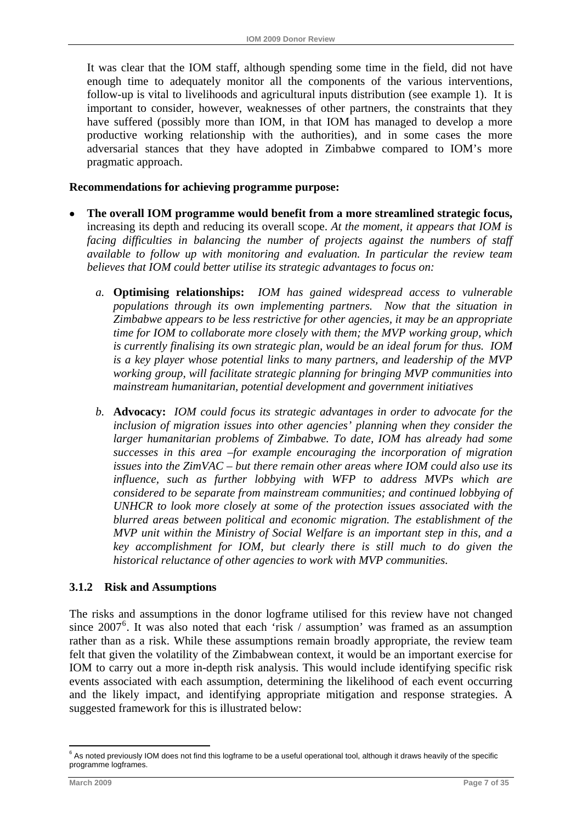<span id="page-12-0"></span>It was clear that the IOM staff, although spending some time in the field, did not have enough time to adequately monitor all the components of the various interventions, follow-up is vital to livelihoods and agricultural inputs distribution (see example 1). It is important to consider, however, weaknesses of other partners, the constraints that they have suffered (possibly more than IOM, in that IOM has managed to develop a more productive working relationship with the authorities), and in some cases the more adversarial stances that they have adopted in Zimbabwe compared to IOM's more pragmatic approach.

#### **Recommendations for achieving programme purpose:**

- **The overall IOM programme would benefit from a more streamlined strategic focus,**  increasing its depth and reducing its overall scope. *At the moment, it appears that IOM is facing difficulties in balancing the number of projects against the numbers of staff available to follow up with monitoring and evaluation. In particular the review team believes that IOM could better utilise its strategic advantages to focus on:*
	- *a.* **Optimising relationships:** *IOM has gained widespread access to vulnerable populations through its own implementing partners. Now that the situation in Zimbabwe appears to be less restrictive for other agencies, it may be an appropriate time for IOM to collaborate more closely with them; the MVP working group, which is currently finalising its own strategic plan, would be an ideal forum for thus. IOM is a key player whose potential links to many partners, and leadership of the MVP working group, will facilitate strategic planning for bringing MVP communities into mainstream humanitarian, potential development and government initiatives*
	- *b.* **Advocacy:** *IOM could focus its strategic advantages in order to advocate for the inclusion of migration issues into other agencies' planning when they consider the larger humanitarian problems of Zimbabwe. To date, IOM has already had some successes in this area –for example encouraging the incorporation of migration issues into the ZimVAC – but there remain other areas where IOM could also use its influence, such as further lobbying with WFP to address MVPs which are considered to be separate from mainstream communities; and continued lobbying of UNHCR to look more closely at some of the protection issues associated with the blurred areas between political and economic migration. The establishment of the MVP unit within the Ministry of Social Welfare is an important step in this, and a key accomplishment for IOM, but clearly there is still much to do given the historical reluctance of other agencies to work with MVP communities.*

#### **3.1.2 Risk and Assumptions**

The risks and assumptions in the donor logframe utilised for this review have not changed since 2007<sup>[6](#page-12-0)</sup>. It was also noted that each 'risk / assumption' was framed as an assumption rather than as a risk. While these assumptions remain broadly appropriate, the review team felt that given the volatility of the Zimbabwean context, it would be an important exercise for IOM to carry out a more in-depth risk analysis. This would include identifying specific risk events associated with each assumption, determining the likelihood of each event occurring and the likely impact, and identifying appropriate mitigation and response strategies. A suggested framework for this is illustrated below:

1

<sup>&</sup>lt;sup>6</sup> As noted previously IOM does not find this logframe to be a useful operational tool, although it draws heavily of the specific programme logframes.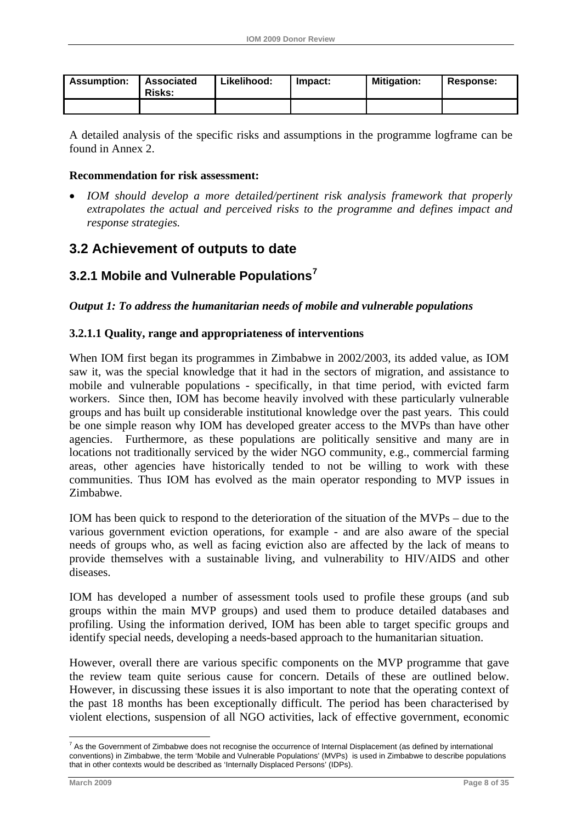<span id="page-13-0"></span>

| <b>Assumption:</b> | <b>Associated</b><br><b>Risks:</b> | Likelihood: | Impact: | <b>Mitigation:</b> | Response: |
|--------------------|------------------------------------|-------------|---------|--------------------|-----------|
|                    |                                    |             |         |                    |           |

A detailed analysis of the specific risks and assumptions in the programme logframe can be found in Annex 2.

## **Recommendation for risk assessment:**

• *IOM should develop a more detailed/pertinent risk analysis framework that properly extrapolates the actual and perceived risks to the programme and defines impact and response strategies.* 

## **3.2 Achievement of outputs to date**

## **3.2.1 Mobile and Vulnerable Populations[7](#page-13-0)**

*Output 1: To address the humanitarian needs of mobile and vulnerable populations* 

## **3.2.1.1 Quality, range and appropriateness of interventions**

When IOM first began its programmes in Zimbabwe in 2002/2003, its added value, as IOM saw it, was the special knowledge that it had in the sectors of migration, and assistance to mobile and vulnerable populations - specifically, in that time period, with evicted farm workers. Since then, IOM has become heavily involved with these particularly vulnerable groups and has built up considerable institutional knowledge over the past years. This could be one simple reason why IOM has developed greater access to the MVPs than have other agencies. Furthermore, as these populations are politically sensitive and many are in locations not traditionally serviced by the wider NGO community, e.g., commercial farming areas, other agencies have historically tended to not be willing to work with these communities. Thus IOM has evolved as the main operator responding to MVP issues in Zimbabwe.

IOM has been quick to respond to the deterioration of the situation of the MVPs – due to the various government eviction operations, for example - and are also aware of the special needs of groups who, as well as facing eviction also are affected by the lack of means to provide themselves with a sustainable living, and vulnerability to HIV/AIDS and other diseases.

IOM has developed a number of assessment tools used to profile these groups (and sub groups within the main MVP groups) and used them to produce detailed databases and profiling. Using the information derived, IOM has been able to target specific groups and identify special needs, developing a needs-based approach to the humanitarian situation.

However, overall there are various specific components on the MVP programme that gave the review team quite serious cause for concern. Details of these are outlined below. However, in discussing these issues it is also important to note that the operating context of the past 18 months has been exceptionally difficult. The period has been characterised by violent elections, suspension of all NGO activities, lack of effective government, economic

<sup>&</sup>lt;u>.</u>  $^7$  As the Government of Zimbabwe does not recognise the occurrence of Internal Displacement (as defined by international conventions) in Zimbabwe, the term 'Mobile and Vulnerable Populations' (MVPs) is used in Zimbabwe to describe populations that in other contexts would be described as 'Internally Displaced Persons' (IDPs).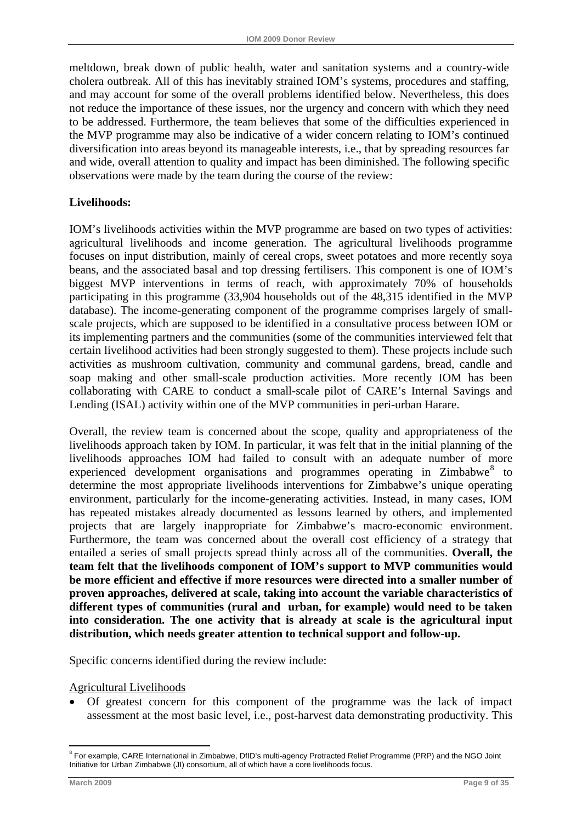<span id="page-14-0"></span>meltdown, break down of public health, water and sanitation systems and a country-wide cholera outbreak. All of this has inevitably strained IOM's systems, procedures and staffing, and may account for some of the overall problems identified below. Nevertheless, this does not reduce the importance of these issues, nor the urgency and concern with which they need to be addressed. Furthermore, the team believes that some of the difficulties experienced in the MVP programme may also be indicative of a wider concern relating to IOM's continued diversification into areas beyond its manageable interests, i.e., that by spreading resources far and wide, overall attention to quality and impact has been diminished. The following specific observations were made by the team during the course of the review:

## **Livelihoods:**

IOM's livelihoods activities within the MVP programme are based on two types of activities: agricultural livelihoods and income generation. The agricultural livelihoods programme focuses on input distribution, mainly of cereal crops, sweet potatoes and more recently soya beans, and the associated basal and top dressing fertilisers. This component is one of IOM's biggest MVP interventions in terms of reach, with approximately 70% of households participating in this programme (33,904 households out of the 48,315 identified in the MVP database). The income-generating component of the programme comprises largely of smallscale projects, which are supposed to be identified in a consultative process between IOM or its implementing partners and the communities (some of the communities interviewed felt that certain livelihood activities had been strongly suggested to them). These projects include such activities as mushroom cultivation, community and communal gardens, bread, candle and soap making and other small-scale production activities. More recently IOM has been collaborating with CARE to conduct a small-scale pilot of CARE's Internal Savings and Lending (ISAL) activity within one of the MVP communities in peri-urban Harare.

Overall, the review team is concerned about the scope, quality and appropriateness of the livelihoods approach taken by IOM. In particular, it was felt that in the initial planning of the livelihoods approaches IOM had failed to consult with an adequate number of more experienced development organisations and programmes operating in  $Zimbabwe<sup>8</sup>$  $Zimbabwe<sup>8</sup>$  $Zimbabwe<sup>8</sup>$  to determine the most appropriate livelihoods interventions for Zimbabwe's unique operating environment, particularly for the income-generating activities. Instead, in many cases, IOM has repeated mistakes already documented as lessons learned by others, and implemented projects that are largely inappropriate for Zimbabwe's macro-economic environment. Furthermore, the team was concerned about the overall cost efficiency of a strategy that entailed a series of small projects spread thinly across all of the communities. **Overall, the team felt that the livelihoods component of IOM's support to MVP communities would be more efficient and effective if more resources were directed into a smaller number of proven approaches, delivered at scale, taking into account the variable characteristics of different types of communities (rural and urban, for example) would need to be taken into consideration. The one activity that is already at scale is the agricultural input distribution, which needs greater attention to technical support and follow-up.** 

Specific concerns identified during the review include:

#### Agricultural Livelihoods

• Of greatest concern for this component of the programme was the lack of impact assessment at the most basic level, i.e., post-harvest data demonstrating productivity. This

1

<sup>&</sup>lt;sup>8</sup> For example, CARE International in Zimbabwe, DfID's multi-agency Protracted Relief Programme (PRP) and the NGO Joint Initiative for Urban Zimbabwe (JI) consortium, all of which have a core livelihoods focus.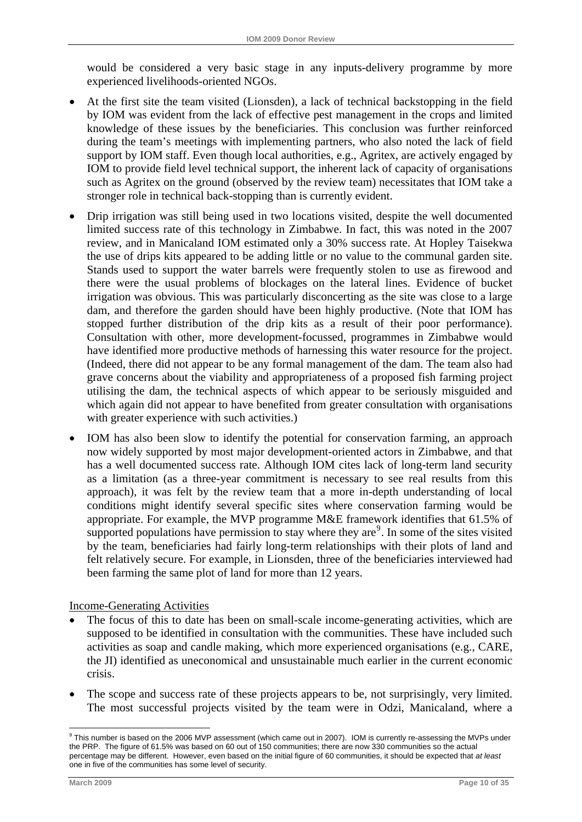<span id="page-15-0"></span>would be considered a very basic stage in any inputs-delivery programme by more experienced livelihoods-oriented NGOs.

- At the first site the team visited (Lionsden), a lack of technical backstopping in the field by IOM was evident from the lack of effective pest management in the crops and limited knowledge of these issues by the beneficiaries. This conclusion was further reinforced during the team's meetings with implementing partners, who also noted the lack of field support by IOM staff. Even though local authorities, e.g., Agritex, are actively engaged by IOM to provide field level technical support, the inherent lack of capacity of organisations such as Agritex on the ground (observed by the review team) necessitates that IOM take a stronger role in technical back-stopping than is currently evident.
- Drip irrigation was still being used in two locations visited, despite the well documented limited success rate of this technology in Zimbabwe. In fact, this was noted in the 2007 review, and in Manicaland IOM estimated only a 30% success rate. At Hopley Taisekwa the use of drips kits appeared to be adding little or no value to the communal garden site. Stands used to support the water barrels were frequently stolen to use as firewood and there were the usual problems of blockages on the lateral lines. Evidence of bucket irrigation was obvious. This was particularly disconcerting as the site was close to a large dam, and therefore the garden should have been highly productive. (Note that IOM has stopped further distribution of the drip kits as a result of their poor performance). Consultation with other, more development-focussed, programmes in Zimbabwe would have identified more productive methods of harnessing this water resource for the project. (Indeed, there did not appear to be any formal management of the dam. The team also had grave concerns about the viability and appropriateness of a proposed fish farming project utilising the dam, the technical aspects of which appear to be seriously misguided and which again did not appear to have benefited from greater consultation with organisations with greater experience with such activities.)
- IOM has also been slow to identify the potential for conservation farming, an approach now widely supported by most major development-oriented actors in Zimbabwe, and that has a well documented success rate. Although IOM cites lack of long-term land security as a limitation (as a three-year commitment is necessary to see real results from this approach), it was felt by the review team that a more in-depth understanding of local conditions might identify several specific sites where conservation farming would be appropriate. For example, the MVP programme M&E framework identifies that 61.5% of supported populations have permission to stay where they are $9$ . In some of the sites visited by the team, beneficiaries had fairly long-term relationships with their plots of land and felt relatively secure. For example, in Lionsden, three of the beneficiaries interviewed had been farming the same plot of land for more than 12 years.

#### Income-Generating Activities

- The focus of this to date has been on small-scale income-generating activities, which are supposed to be identified in consultation with the communities. These have included such activities as soap and candle making, which more experienced organisations (e.g., CARE, the JI) identified as uneconomical and unsustainable much earlier in the current economic crisis.
- The scope and success rate of these projects appears to be, not surprisingly, very limited. The most successful projects visited by the team were in Odzi, Manicaland, where a

1

<sup>&</sup>lt;sup>9</sup> This number is based on the 2006 MVP assessment (which came out in 2007). IOM is currently re-assessing the MVPs under the PRP. The figure of 61.5% was based on 60 out of 150 communities; there are now 330 communities so the actual percentage may be different. However, even based on the initial figure of 60 communities, it should be expected that *at least*  one in five of the communities has some level of security.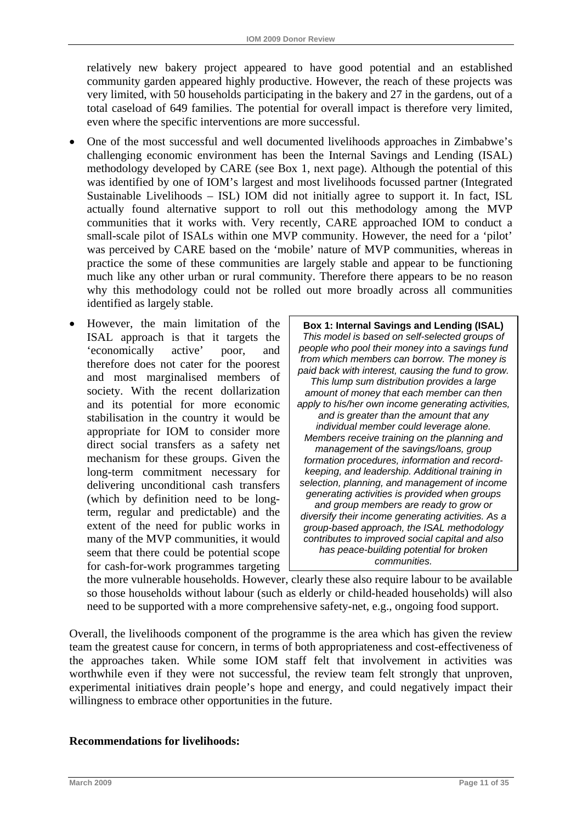relatively new bakery project appeared to have good potential and an established community garden appeared highly productive. However, the reach of these projects was very limited, with 50 households participating in the bakery and 27 in the gardens, out of a total caseload of 649 families. The potential for overall impact is therefore very limited, even where the specific interventions are more successful.

- One of the most successful and well documented livelihoods approaches in Zimbabwe's challenging economic environment has been the Internal Savings and Lending (ISAL) methodology developed by CARE (see Box 1, next page). Although the potential of this was identified by one of IOM's largest and most livelihoods focussed partner (Integrated Sustainable Livelihoods – ISL) IOM did not initially agree to support it. In fact, ISL actually found alternative support to roll out this methodology among the MVP communities that it works with. Very recently, CARE approached IOM to conduct a small-scale pilot of ISALs within one MVP community. However, the need for a 'pilot' was perceived by CARE based on the 'mobile' nature of MVP communities, whereas in practice the some of these communities are largely stable and appear to be functioning much like any other urban or rural community. Therefore there appears to be no reason why this methodology could not be rolled out more broadly across all communities identified as largely stable.
- However, the main limitation of the ISAL approach is that it targets the 'economically active' poor, and therefore does not cater for the poorest and most marginalised members of society. With the recent dollarization and its potential for more economic stabilisation in the country it would be appropriate for IOM to consider more direct social transfers as a safety net mechanism for these groups. Given the long-term commitment necessary for delivering unconditional cash transfers (which by definition need to be longterm, regular and predictable) and the extent of the need for public works in many of the MVP communities, it would seem that there could be potential scope for cash-for-work programmes targeting

**Box 1: Internal Savings and Lending (ISAL)**  *This model is based on self-selected groups of people who pool their money into a savings fund from which members can borrow. The money is paid back with interest, causing the fund to grow. This lump sum distribution provides a large amount of money that each member can then apply to his/her own income generating activities, and is greater than the amount that any individual member could leverage alone. Members receive training on the planning and management of the savings/loans, group formation procedures, information and recordkeeping, and leadership. Additional training in selection, planning, and management of income generating activities is provided when groups and group members are ready to grow or diversify their income generating activities. As a group-based approach, the ISAL methodology contributes to improved social capital and also has peace-building potential for broken communities.* 

the more vulnerable households. However, clearly these also require labour to be available so those households without labour (such as elderly or child-headed households) will also need to be supported with a more comprehensive safety-net, e.g., ongoing food support.

Overall, the livelihoods component of the programme is the area which has given the review team the greatest cause for concern, in terms of both appropriateness and cost-effectiveness of the approaches taken. While some IOM staff felt that involvement in activities was worthwhile even if they were not successful, the review team felt strongly that unproven, experimental initiatives drain people's hope and energy, and could negatively impact their willingness to embrace other opportunities in the future.

#### **Recommendations for livelihoods:**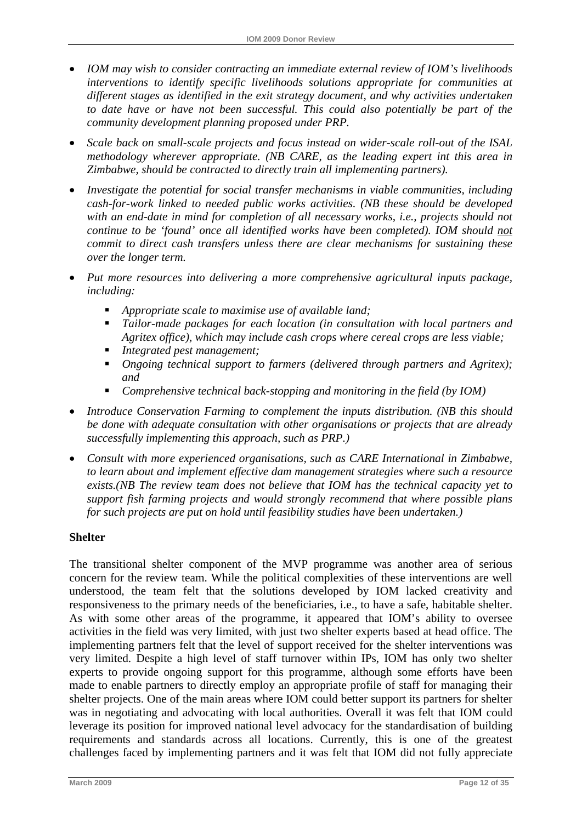- *IOM may wish to consider contracting an immediate external review of IOM's livelihoods interventions to identify specific livelihoods solutions appropriate for communities at different stages as identified in the exit strategy document, and why activities undertaken to date have or have not been successful. This could also potentially be part of the community development planning proposed under PRP.*
- *Scale back on small-scale projects and focus instead on wider-scale roll-out of the ISAL methodology wherever appropriate. (NB CARE, as the leading expert int this area in Zimbabwe, should be contracted to directly train all implementing partners).*
- *Investigate the potential for social transfer mechanisms in viable communities, including cash-for-work linked to needed public works activities. (NB these should be developed*  with an end-date in mind for completion of all necessary works, i.e., projects should not *continue to be 'found' once all identified works have been completed). IOM should not commit to direct cash transfers unless there are clear mechanisms for sustaining these over the longer term.*
- *Put more resources into delivering a more comprehensive agricultural inputs package, including:* 
	- *Appropriate scale to maximise use of available land;*
	- *Tailor-made packages for each location (in consultation with local partners and Agritex office), which may include cash crops where cereal crops are less viable;*
	- *Integrated pest management;*
	- *Ongoing technical support to farmers (delivered through partners and Agritex); and*
	- *Comprehensive technical back-stopping and monitoring in the field (by IOM)*
- *Introduce Conservation Farming to complement the inputs distribution. (NB this should be done with adequate consultation with other organisations or projects that are already successfully implementing this approach, such as PRP.)*
- *Consult with more experienced organisations, such as CARE International in Zimbabwe, to learn about and implement effective dam management strategies where such a resource exists.(NB The review team does not believe that IOM has the technical capacity yet to support fish farming projects and would strongly recommend that where possible plans for such projects are put on hold until feasibility studies have been undertaken.)*

## **Shelter**

The transitional shelter component of the MVP programme was another area of serious concern for the review team. While the political complexities of these interventions are well understood, the team felt that the solutions developed by IOM lacked creativity and responsiveness to the primary needs of the beneficiaries, i.e., to have a safe, habitable shelter. As with some other areas of the programme, it appeared that IOM's ability to oversee activities in the field was very limited, with just two shelter experts based at head office. The implementing partners felt that the level of support received for the shelter interventions was very limited. Despite a high level of staff turnover within IPs, IOM has only two shelter experts to provide ongoing support for this programme, although some efforts have been made to enable partners to directly employ an appropriate profile of staff for managing their shelter projects. One of the main areas where IOM could better support its partners for shelter was in negotiating and advocating with local authorities. Overall it was felt that IOM could leverage its position for improved national level advocacy for the standardisation of building requirements and standards across all locations. Currently, this is one of the greatest challenges faced by implementing partners and it was felt that IOM did not fully appreciate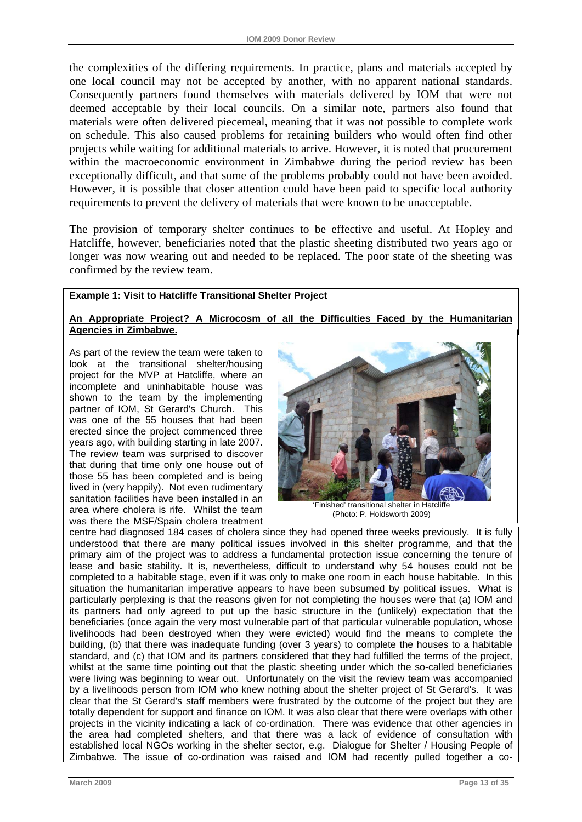the complexities of the differing requirements. In practice, plans and materials accepted by one local council may not be accepted by another, with no apparent national standards. Consequently partners found themselves with materials delivered by IOM that were not deemed acceptable by their local councils. On a similar note, partners also found that materials were often delivered piecemeal, meaning that it was not possible to complete work on schedule. This also caused problems for retaining builders who would often find other projects while waiting for additional materials to arrive. However, it is noted that procurement within the macroeconomic environment in Zimbabwe during the period review has been exceptionally difficult, and that some of the problems probably could not have been avoided. However, it is possible that closer attention could have been paid to specific local authority requirements to prevent the delivery of materials that were known to be unacceptable.

The provision of temporary shelter continues to be effective and useful. At Hopley and Hatcliffe, however, beneficiaries noted that the plastic sheeting distributed two years ago or longer was now wearing out and needed to be replaced. The poor state of the sheeting was confirmed by the review team.

#### **Example 1: Visit to Hatcliffe Transitional Shelter Project**

#### **An Appropriate Project? A Microcosm of all the Difficulties Faced by the Humanitarian Agencies in Zimbabwe.**

As part of the review the team were taken to look at the transitional shelter/housing project for the MVP at Hatcliffe, where an incomplete and uninhabitable house was shown to the team by the implementing partner of IOM, St Gerard's Church. This was one of the 55 houses that had been erected since the project commenced three years ago, with building starting in late 2007. The review team was surprised to discover that during that time only one house out of those 55 has been completed and is being lived in (very happily). Not even rudimentary sanitation facilities have been installed in an area where cholera is rife. Whilst the team was there the MSF/Spain cholera treatment



'Finished' transitional shelter in Hatcliffe (Photo: P. Holdsworth 2009)

centre had diagnosed 184 cases of cholera since they had opened three weeks previously. It is fully understood that there are many political issues involved in this shelter programme, and that the primary aim of the project was to address a fundamental protection issue concerning the tenure of lease and basic stability. It is, nevertheless, difficult to understand why 54 houses could not be completed to a habitable stage, even if it was only to make one room in each house habitable. In this situation the humanitarian imperative appears to have been subsumed by political issues. What is particularly perplexing is that the reasons given for not completing the houses were that (a) IOM and its partners had only agreed to put up the basic structure in the (unlikely) expectation that the beneficiaries (once again the very most vulnerable part of that particular vulnerable population, whose livelihoods had been destroyed when they were evicted) would find the means to complete the building, (b) that there was inadequate funding (over 3 years) to complete the houses to a habitable standard, and (c) that IOM and its partners considered that they had fulfilled the terms of the project, whilst at the same time pointing out that the plastic sheeting under which the so-called beneficiaries were living was beginning to wear out. Unfortunately on the visit the review team was accompanied by a livelihoods person from IOM who knew nothing about the shelter project of St Gerard's. It was clear that the St Gerard's staff members were frustrated by the outcome of the project but they are totally dependent for support and finance on IOM. It was also clear that there were overlaps with other projects in the vicinity indicating a lack of co-ordination. There was evidence that other agencies in the area had completed shelters, and that there was a lack of evidence of consultation with established local NGOs working in the shelter sector, e.g. Dialogue for Shelter / Housing People of Zimbabwe. The issue of co-ordination was raised and IOM had recently pulled together a co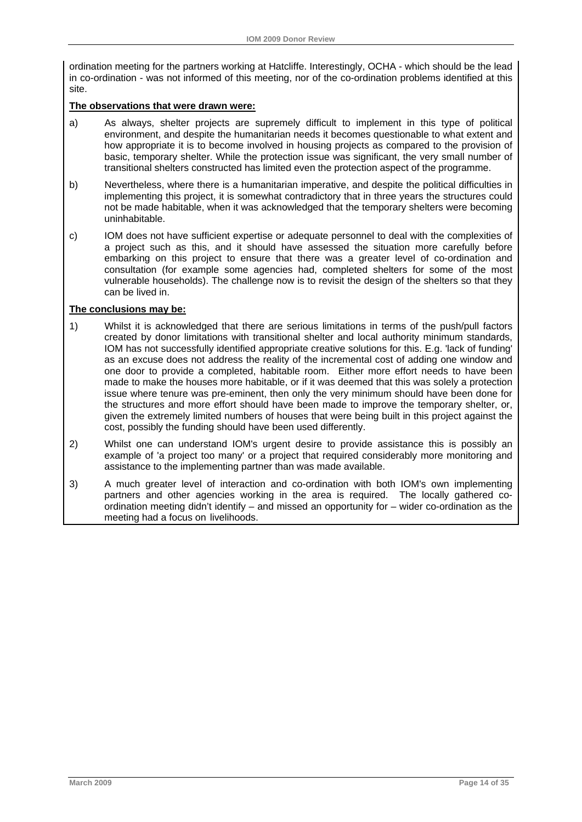ordination meeting for the partners working at Hatcliffe. Interestingly, OCHA - which should be the lead in co-ordination - was not informed of this meeting, nor of the co-ordination problems identified at this site.

#### **The observations that were drawn were:**

- a) As always, shelter projects are supremely difficult to implement in this type of political environment, and despite the humanitarian needs it becomes questionable to what extent and how appropriate it is to become involved in housing projects as compared to the provision of basic, temporary shelter. While the protection issue was significant, the very small number of transitional shelters constructed has limited even the protection aspect of the programme.
- b) Nevertheless, where there is a humanitarian imperative, and despite the political difficulties in implementing this project, it is somewhat contradictory that in three years the structures could not be made habitable, when it was acknowledged that the temporary shelters were becoming uninhabitable.
- c) IOM does not have sufficient expertise or adequate personnel to deal with the complexities of a project such as this, and it should have assessed the situation more carefully before embarking on this project to ensure that there was a greater level of co-ordination and consultation (for example some agencies had, completed shelters for some of the most vulnerable households). The challenge now is to revisit the design of the shelters so that they can be lived in.

#### **The conclusions may be:**

- 1) Whilst it is acknowledged that there are serious limitations in terms of the push/pull factors created by donor limitations with transitional shelter and local authority minimum standards, IOM has not successfully identified appropriate creative solutions for this. E.g. 'lack of funding' as an excuse does not address the reality of the incremental cost of adding one window and one door to provide a completed, habitable room. Either more effort needs to have been made to make the houses more habitable, or if it was deemed that this was solely a protection issue where tenure was pre-eminent, then only the very minimum should have been done for the structures and more effort should have been made to improve the temporary shelter, or, given the extremely limited numbers of houses that were being built in this project against the cost, possibly the funding should have been used differently.
- 2) Whilst one can understand IOM's urgent desire to provide assistance this is possibly an example of 'a project too many' or a project that required considerably more monitoring and assistance to the implementing partner than was made available.
- 3) A much greater level of interaction and co-ordination with both IOM's own implementing partners and other agencies working in the area is required. The locally gathered coordination meeting didn't identify – and missed an opportunity for – wider co-ordination as the meeting had a focus on livelihoods.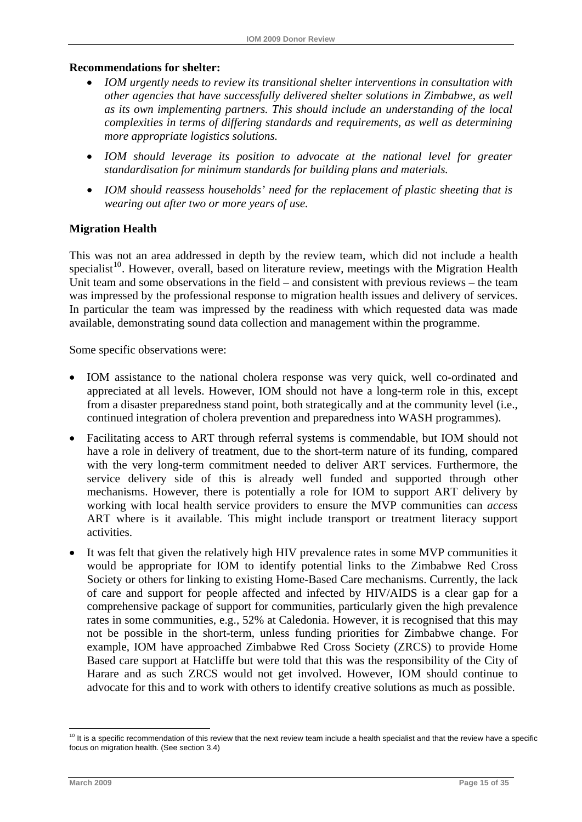#### <span id="page-20-0"></span>**Recommendations for shelter:**

- *IOM urgently needs to review its transitional shelter interventions in consultation with other agencies that have successfully delivered shelter solutions in Zimbabwe, as well as its own implementing partners. This should include an understanding of the local complexities in terms of differing standards and requirements, as well as determining more appropriate logistics solutions.*
- *IOM should leverage its position to advocate at the national level for greater standardisation for minimum standards for building plans and materials.*
- *IOM should reassess households' need for the replacement of plastic sheeting that is wearing out after two or more years of use.*

#### **Migration Health**

This was not an area addressed in depth by the review team, which did not include a health specialist<sup>[10](#page-20-0)</sup>. However, overall, based on literature review, meetings with the Migration Health Unit team and some observations in the field – and consistent with previous reviews – the team was impressed by the professional response to migration health issues and delivery of services. In particular the team was impressed by the readiness with which requested data was made available, demonstrating sound data collection and management within the programme.

Some specific observations were:

- IOM assistance to the national cholera response was very quick, well co-ordinated and appreciated at all levels. However, IOM should not have a long-term role in this, except from a disaster preparedness stand point, both strategically and at the community level (i.e., continued integration of cholera prevention and preparedness into WASH programmes).
- Facilitating access to ART through referral systems is commendable, but IOM should not have a role in delivery of treatment, due to the short-term nature of its funding, compared with the very long-term commitment needed to deliver ART services. Furthermore, the service delivery side of this is already well funded and supported through other mechanisms. However, there is potentially a role for IOM to support ART delivery by working with local health service providers to ensure the MVP communities can *access* ART where is it available. This might include transport or treatment literacy support activities.
- It was felt that given the relatively high HIV prevalence rates in some MVP communities it would be appropriate for IOM to identify potential links to the Zimbabwe Red Cross Society or others for linking to existing Home-Based Care mechanisms. Currently, the lack of care and support for people affected and infected by HIV/AIDS is a clear gap for a comprehensive package of support for communities, particularly given the high prevalence rates in some communities, e.g., 52% at Caledonia. However, it is recognised that this may not be possible in the short-term, unless funding priorities for Zimbabwe change. For example, IOM have approached Zimbabwe Red Cross Society (ZRCS) to provide Home Based care support at Hatcliffe but were told that this was the responsibility of the City of Harare and as such ZRCS would not get involved. However, IOM should continue to advocate for this and to work with others to identify creative solutions as much as possible.

1

 $10$  It is a specific recommendation of this review that the next review team include a health specialist and that the review have a specific focus on migration health. (See section 3.4)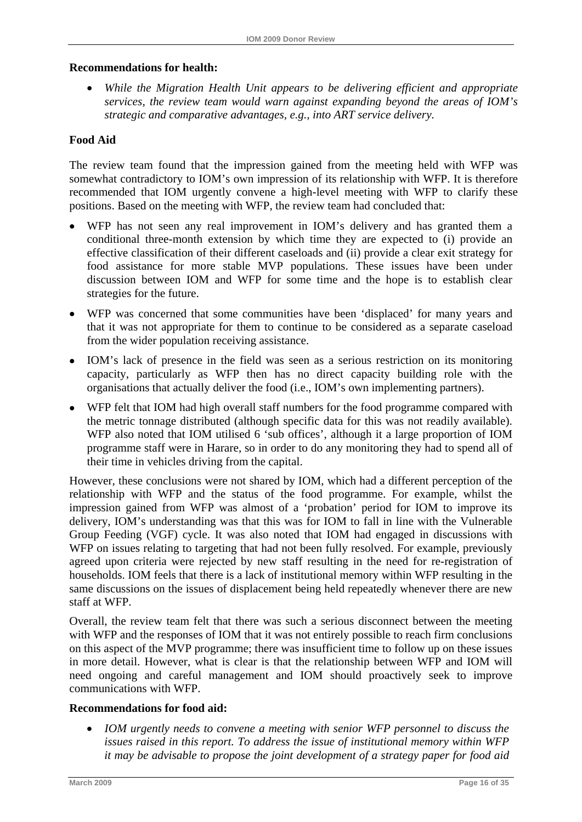#### **Recommendations for health:**

• *While the Migration Health Unit appears to be delivering efficient and appropriate services, the review team would warn against expanding beyond the areas of IOM's strategic and comparative advantages, e.g., into ART service delivery.* 

### **Food Aid**

The review team found that the impression gained from the meeting held with WFP was somewhat contradictory to IOM's own impression of its relationship with WFP. It is therefore recommended that IOM urgently convene a high-level meeting with WFP to clarify these positions. Based on the meeting with WFP, the review team had concluded that:

- WFP has not seen any real improvement in IOM's delivery and has granted them a conditional three-month extension by which time they are expected to (i) provide an effective classification of their different caseloads and (ii) provide a clear exit strategy for food assistance for more stable MVP populations. These issues have been under discussion between IOM and WFP for some time and the hope is to establish clear strategies for the future.
- WFP was concerned that some communities have been 'displaced' for many years and that it was not appropriate for them to continue to be considered as a separate caseload from the wider population receiving assistance.
- IOM's lack of presence in the field was seen as a serious restriction on its monitoring capacity, particularly as WFP then has no direct capacity building role with the organisations that actually deliver the food (i.e., IOM's own implementing partners).
- WFP felt that IOM had high overall staff numbers for the food programme compared with the metric tonnage distributed (although specific data for this was not readily available). WFP also noted that IOM utilised 6 'sub offices', although it a large proportion of IOM programme staff were in Harare, so in order to do any monitoring they had to spend all of their time in vehicles driving from the capital.

However, these conclusions were not shared by IOM, which had a different perception of the relationship with WFP and the status of the food programme. For example, whilst the impression gained from WFP was almost of a 'probation' period for IOM to improve its delivery, IOM's understanding was that this was for IOM to fall in line with the Vulnerable Group Feeding (VGF) cycle. It was also noted that IOM had engaged in discussions with WFP on issues relating to targeting that had not been fully resolved. For example, previously agreed upon criteria were rejected by new staff resulting in the need for re-registration of households. IOM feels that there is a lack of institutional memory within WFP resulting in the same discussions on the issues of displacement being held repeatedly whenever there are new staff at WFP.

Overall, the review team felt that there was such a serious disconnect between the meeting with WFP and the responses of IOM that it was not entirely possible to reach firm conclusions on this aspect of the MVP programme; there was insufficient time to follow up on these issues in more detail. However, what is clear is that the relationship between WFP and IOM will need ongoing and careful management and IOM should proactively seek to improve communications with WFP.

#### **Recommendations for food aid:**

• *IOM urgently needs to convene a meeting with senior WFP personnel to discuss the issues raised in this report. To address the issue of institutional memory within WFP it may be advisable to propose the joint development of a strategy paper for food aid*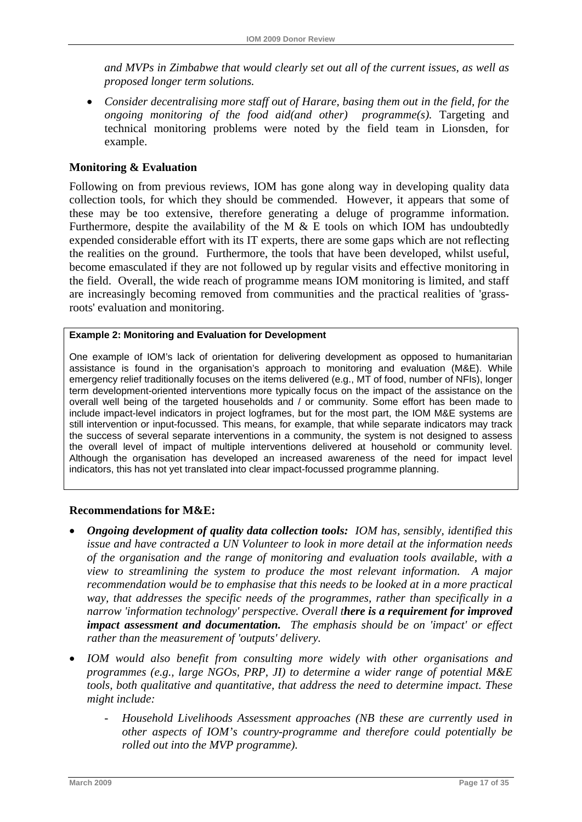*and MVPs in Zimbabwe that would clearly set out all of the current issues, as well as proposed longer term solutions.* 

• *Consider decentralising more staff out of Harare, basing them out in the field, for the ongoing monitoring of the food aid(and other) programme(s).* Targeting and technical monitoring problems were noted by the field team in Lionsden, for example.

## **Monitoring & Evaluation**

Following on from previous reviews, IOM has gone along way in developing quality data collection tools, for which they should be commended. However, it appears that some of these may be too extensive, therefore generating a deluge of programme information. Furthermore, despite the availability of the M & E tools on which IOM has undoubtedly expended considerable effort with its IT experts, there are some gaps which are not reflecting the realities on the ground. Furthermore, the tools that have been developed, whilst useful, become emasculated if they are not followed up by regular visits and effective monitoring in the field. Overall, the wide reach of programme means IOM monitoring is limited, and staff are increasingly becoming removed from communities and the practical realities of 'grassroots' evaluation and monitoring.

#### **Example 2: Monitoring and Evaluation for Development**

One example of IOM's lack of orientation for delivering development as opposed to humanitarian assistance is found in the organisation's approach to monitoring and evaluation (M&E). While emergency relief traditionally focuses on the items delivered (e.g., MT of food, number of NFIs), longer term development-oriented interventions more typically focus on the impact of the assistance on the overall well being of the targeted households and / or community. Some effort has been made to include impact-level indicators in project logframes, but for the most part, the IOM M&E systems are still intervention or input-focussed. This means, for example, that while separate indicators may track the success of several separate interventions in a community, the system is not designed to assess the overall level of impact of multiple interventions delivered at household or community level. Although the organisation has developed an increased awareness of the need for impact level indicators, this has not yet translated into clear impact-focussed programme planning.

### **Recommendations for M&E:**

- *Ongoing development of quality data collection tools: IOM has, sensibly, identified this issue and have contracted a UN Volunteer to look in more detail at the information needs of the organisation and the range of monitoring and evaluation tools available, with a view to streamlining the system to produce the most relevant information. A major recommendation would be to emphasise that this needs to be looked at in a more practical way, that addresses the specific needs of the programmes, rather than specifically in a narrow 'information technology' perspective. Overall there is a requirement for improved impact assessment and documentation. The emphasis should be on 'impact' or effect rather than the measurement of 'outputs' delivery.*
- *IOM would also benefit from consulting more widely with other organisations and programmes (e.g., large NGOs, PRP, JI) to determine a wider range of potential M&E tools, both qualitative and quantitative, that address the need to determine impact. These might include:* 
	- *Household Livelihoods Assessment approaches (NB these are currently used in other aspects of IOM's country-programme and therefore could potentially be rolled out into the MVP programme).*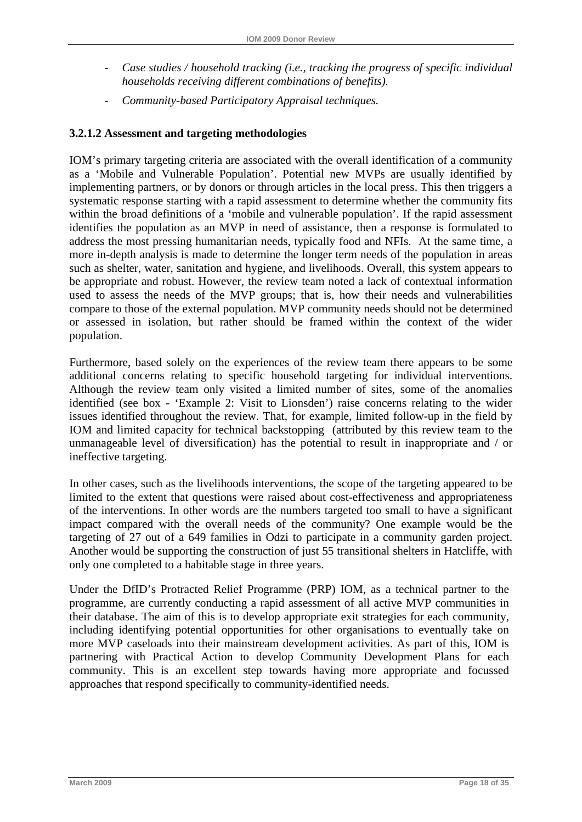- *Case studies / household tracking (i.e., tracking the progress of specific individual households receiving different combinations of benefits).*
- *Community-based Participatory Appraisal techniques.*

## **3.2.1.2 Assessment and targeting methodologies**

IOM's primary targeting criteria are associated with the overall identification of a community as a 'Mobile and Vulnerable Population'. Potential new MVPs are usually identified by implementing partners, or by donors or through articles in the local press. This then triggers a systematic response starting with a rapid assessment to determine whether the community fits within the broad definitions of a 'mobile and vulnerable population'. If the rapid assessment identifies the population as an MVP in need of assistance, then a response is formulated to address the most pressing humanitarian needs, typically food and NFIs. At the same time, a more in-depth analysis is made to determine the longer term needs of the population in areas such as shelter, water, sanitation and hygiene, and livelihoods. Overall, this system appears to be appropriate and robust. However, the review team noted a lack of contextual information used to assess the needs of the MVP groups; that is, how their needs and vulnerabilities compare to those of the external population. MVP community needs should not be determined or assessed in isolation, but rather should be framed within the context of the wider population.

Furthermore, based solely on the experiences of the review team there appears to be some additional concerns relating to specific household targeting for individual interventions. Although the review team only visited a limited number of sites, some of the anomalies identified (see box - 'Example 2: Visit to Lionsden') raise concerns relating to the wider issues identified throughout the review. That, for example, limited follow-up in the field by IOM and limited capacity for technical backstopping (attributed by this review team to the unmanageable level of diversification) has the potential to result in inappropriate and / or ineffective targeting.

In other cases, such as the livelihoods interventions, the scope of the targeting appeared to be limited to the extent that questions were raised about cost-effectiveness and appropriateness of the interventions. In other words are the numbers targeted too small to have a significant impact compared with the overall needs of the community? One example would be the targeting of 27 out of a 649 families in Odzi to participate in a community garden project. Another would be supporting the construction of just 55 transitional shelters in Hatcliffe, with only one completed to a habitable stage in three years.

Under the DfID's Protracted Relief Programme (PRP) IOM, as a technical partner to the programme, are currently conducting a rapid assessment of all active MVP communities in their database. The aim of this is to develop appropriate exit strategies for each community, including identifying potential opportunities for other organisations to eventually take on more MVP caseloads into their mainstream development activities. As part of this, IOM is partnering with Practical Action to develop Community Development Plans for each community. This is an excellent step towards having more appropriate and focussed approaches that respond specifically to community-identified needs.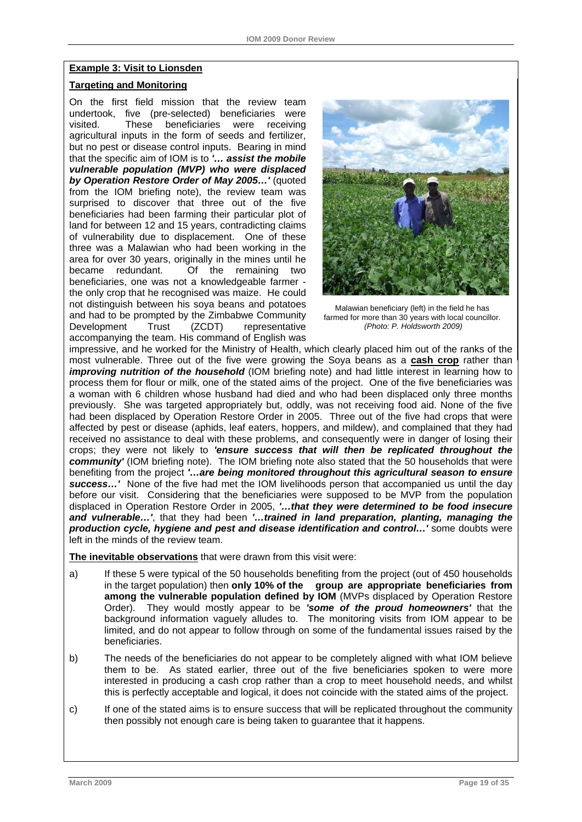#### **Example 3: Visit to Lionsden**

#### **Targeting and Monitoring**

On the first field mission that the review team undertook, five (pre-selected) beneficiaries were visited. These beneficiaries were receiving agricultural inputs in the form of seeds and fertilizer, but no pest or disease control inputs. Bearing in mind that the specific aim of IOM is to *'… assist the mobile vulnerable population (MVP) who were displaced*  **by Operation Restore Order of May 2005...'** (quoted from the IOM briefing note), the review team was surprised to discover that three out of the five beneficiaries had been farming their particular plot of land for between 12 and 15 years, contradicting claims of vulnerability due to displacement. One of these three was a Malawian who had been working in the area for over 30 years, originally in the mines until he became redundant. Of the remaining two beneficiaries, one was not a knowledgeable farmer the only crop that he recognised was maize. He could not distinguish between his soya beans and potatoes and had to be prompted by the Zimbabwe Community Development Trust (ZCDT) representative accompanying the team. His command of English was



Malawian beneficiary (left) in the field he has farmed for more than 30 years with local councillor.  *(Photo: P. Holdsworth 2009)* 

impressive, and he worked for the Ministry of Health, which clearly placed him out of the ranks of the most vulnerable. Three out of the five were growing the Soya beans as a **cash crop** rather than *improving nutrition of the household* (IOM briefing note) and had little interest in learning how to process them for flour or milk, one of the stated aims of the project. One of the five beneficiaries was a woman with 6 children whose husband had died and who had been displaced only three months previously. She was targeted appropriately but, oddly, was not receiving food aid. None of the five had been displaced by Operation Restore Order in 2005. Three out of the five had crops that were affected by pest or disease (aphids, leaf eaters, hoppers, and mildew), and complained that they had received no assistance to deal with these problems, and consequently were in danger of losing their crops; they were not likely to *'ensure success that will then be replicated throughout the community'* (IOM briefing note). The IOM briefing note also stated that the 50 households that were benefiting from the project *'…are being monitored throughout this agricultural season to ensure success…'* None of the five had met the IOM livelihoods person that accompanied us until the day before our visit. Considering that the beneficiaries were supposed to be MVP from the population displaced in Operation Restore Order in 2005, *'…that they were determined to be food insecure and vulnerable…'*, that they had been *'…trained in land preparation, planting, managing the production cycle, hygiene and pest and disease identification and control…'* some doubts were left in the minds of the review team.

**The inevitable observations** that were drawn from this visit were:

- a) If these 5 were typical of the 50 households benefiting from the project (out of 450 households in the target population) then **only 10% of the group are appropriate beneficiaries from among the vulnerable population defined by IOM** (MVPs displaced by Operation Restore Order). They would mostly appear to be *'some of the proud homeowners'* that the background information vaguely alludes to. The monitoring visits from IOM appear to be limited, and do not appear to follow through on some of the fundamental issues raised by the beneficiaries.
- b) The needs of the beneficiaries do not appear to be completely aligned with what IOM believe them to be. As stated earlier, three out of the five beneficiaries spoken to were more interested in producing a cash crop rather than a crop to meet household needs, and whilst this is perfectly acceptable and logical, it does not coincide with the stated aims of the project.
- c) If one of the stated aims is to ensure success that will be replicated throughout the community then possibly not enough care is being taken to guarantee that it happens.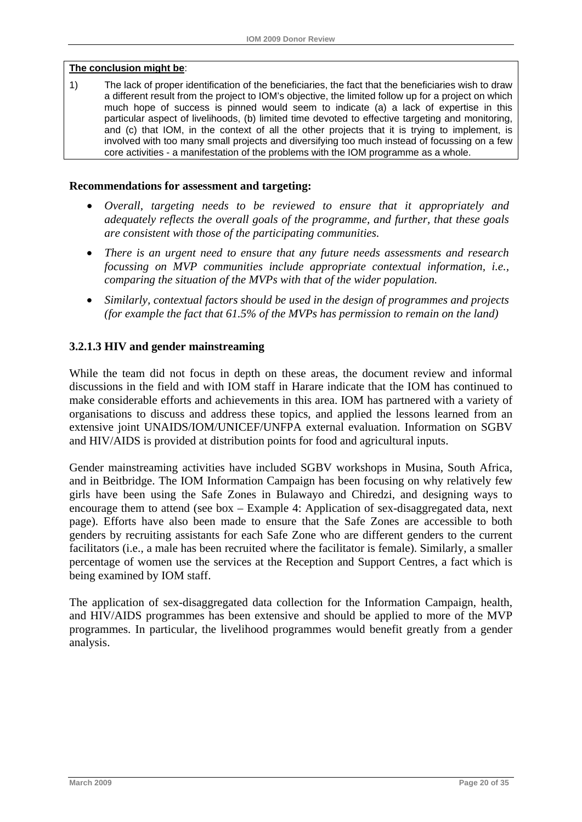#### **The conclusion might be**:

1) The lack of proper identification of the beneficiaries, the fact that the beneficiaries wish to draw a different result from the project to IOM's objective, the limited follow up for a project on which much hope of success is pinned would seem to indicate (a) a lack of expertise in this particular aspect of livelihoods, (b) limited time devoted to effective targeting and monitoring, and (c) that IOM, in the context of all the other projects that it is trying to implement, is involved with too many small projects and diversifying too much instead of focussing on a few core activities - a manifestation of the problems with the IOM programme as a whole.

#### **Recommendations for assessment and targeting:**

- *Overall, targeting needs to be reviewed to ensure that it appropriately and adequately reflects the overall goals of the programme, and further, that these goals are consistent with those of the participating communities.*
- *There is an urgent need to ensure that any future needs assessments and research focussing on MVP communities include appropriate contextual information, i.e., comparing the situation of the MVPs with that of the wider population.*
- *Similarly, contextual factors should be used in the design of programmes and projects (for example the fact that 61.5% of the MVPs has permission to remain on the land)*

#### **3.2.1.3 HIV and gender mainstreaming**

While the team did not focus in depth on these areas, the document review and informal discussions in the field and with IOM staff in Harare indicate that the IOM has continued to make considerable efforts and achievements in this area. IOM has partnered with a variety of organisations to discuss and address these topics, and applied the lessons learned from an extensive joint UNAIDS/IOM/UNICEF/UNFPA external evaluation. Information on SGBV and HIV/AIDS is provided at distribution points for food and agricultural inputs.

Gender mainstreaming activities have included SGBV workshops in Musina, South Africa, and in Beitbridge. The IOM Information Campaign has been focusing on why relatively few girls have been using the Safe Zones in Bulawayo and Chiredzi, and designing ways to encourage them to attend (see box – Example 4: Application of sex-disaggregated data, next page). Efforts have also been made to ensure that the Safe Zones are accessible to both genders by recruiting assistants for each Safe Zone who are different genders to the current facilitators (i.e., a male has been recruited where the facilitator is female). Similarly, a smaller percentage of women use the services at the Reception and Support Centres, a fact which is being examined by IOM staff.

The application of sex-disaggregated data collection for the Information Campaign, health, and HIV/AIDS programmes has been extensive and should be applied to more of the MVP programmes. In particular, the livelihood programmes would benefit greatly from a gender analysis.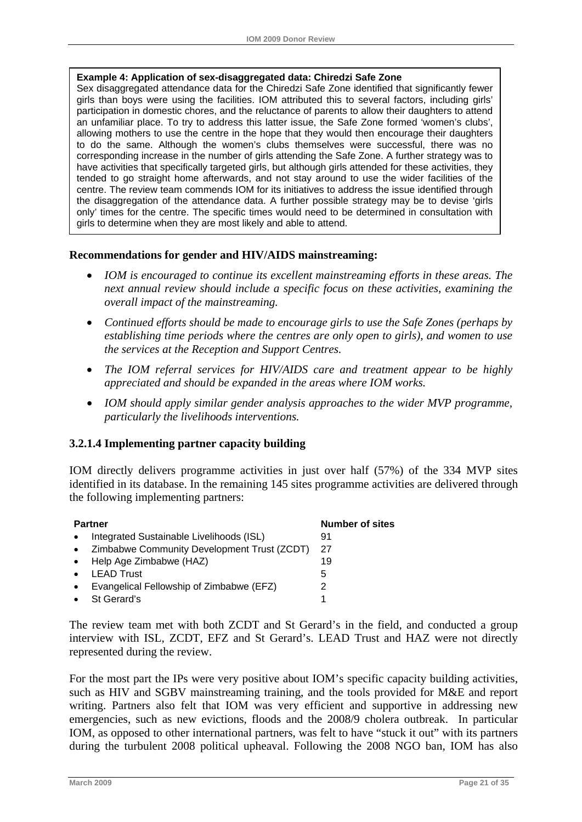#### **Example 4: Application of sex-disaggregated data: Chiredzi Safe Zone**

Sex disaggregated attendance data for the Chiredzi Safe Zone identified that significantly fewer girls than boys were using the facilities. IOM attributed this to several factors, including girls' participation in domestic chores, and the reluctance of parents to allow their daughters to attend an unfamiliar place. To try to address this latter issue, the Safe Zone formed 'women's clubs', allowing mothers to use the centre in the hope that they would then encourage their daughters to do the same. Although the women's clubs themselves were successful, there was no corresponding increase in the number of girls attending the Safe Zone. A further strategy was to have activities that specifically targeted girls, but although girls attended for these activities, they tended to go straight home afterwards, and not stay around to use the wider facilities of the centre. The review team commends IOM for its initiatives to address the issue identified through the disaggregation of the attendance data. A further possible strategy may be to devise 'girls only' times for the centre. The specific times would need to be determined in consultation with girls to determine when they are most likely and able to attend.

#### **Recommendations for gender and HIV/AIDS mainstreaming:**

- *IOM is encouraged to continue its excellent mainstreaming efforts in these areas. The next annual review should include a specific focus on these activities, examining the overall impact of the mainstreaming.*
- *Continued efforts should be made to encourage girls to use the Safe Zones (perhaps by establishing time periods where the centres are only open to girls), and women to use the services at the Reception and Support Centres.*
- *The IOM referral services for HIV/AIDS care and treatment appear to be highly appreciated and should be expanded in the areas where IOM works.*
- *IOM should apply similar gender analysis approaches to the wider MVP programme, particularly the livelihoods interventions.*

#### **3.2.1.4 Implementing partner capacity building**

IOM directly delivers programme activities in just over half (57%) of the 334 MVP sites identified in its database. In the remaining 145 sites programme activities are delivered through the following implementing partners:

|           | <b>Partner</b>                              | <b>Number of sites</b> |
|-----------|---------------------------------------------|------------------------|
|           | Integrated Sustainable Livelihoods (ISL)    | 91                     |
| $\bullet$ | Zimbabwe Community Development Trust (ZCDT) | 27                     |
|           | Help Age Zimbabwe (HAZ)                     | 19                     |
|           | <b>LEAD Trust</b>                           | 5                      |
|           | Evangelical Fellowship of Zimbabwe (EFZ)    | 2                      |
|           | St Gerard's                                 |                        |

The review team met with both ZCDT and St Gerard's in the field, and conducted a group interview with ISL, ZCDT, EFZ and St Gerard's. LEAD Trust and HAZ were not directly represented during the review.

For the most part the IPs were very positive about IOM's specific capacity building activities, such as HIV and SGBV mainstreaming training, and the tools provided for M&E and report writing. Partners also felt that IOM was very efficient and supportive in addressing new emergencies, such as new evictions, floods and the 2008/9 cholera outbreak. In particular IOM, as opposed to other international partners, was felt to have "stuck it out" with its partners during the turbulent 2008 political upheaval. Following the 2008 NGO ban, IOM has also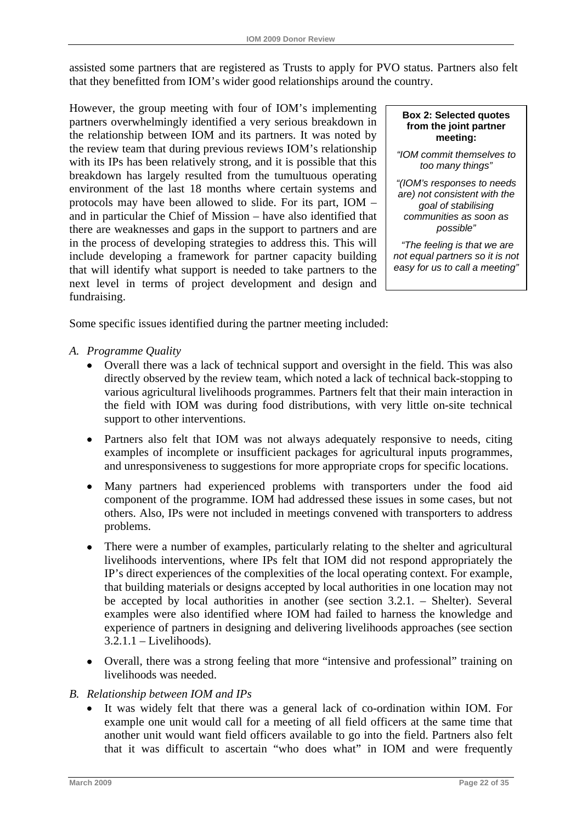assisted some partners that are registered as Trusts to apply for PVO status. Partners also felt that they benefitted from IOM's wider good relationships around the country.

However, the group meeting with four of IOM's implementing partners overwhelmingly identified a very serious breakdown in the relationship between IOM and its partners. It was noted by the review team that during previous reviews IOM's relationship with its IPs has been relatively strong, and it is possible that this breakdown has largely resulted from the tumultuous operating environment of the last 18 months where certain systems and protocols may have been allowed to slide. For its part, IOM – and in particular the Chief of Mission – have also identified that there are weaknesses and gaps in the support to partners and are in the process of developing strategies to address this. This will include developing a framework for partner capacity building that will identify what support is needed to take partners to the next level in terms of project development and design and fundraising.

**Box 2: Selected quotes from the joint partner meeting:** 

*"IOM commit themselves to too many things"* 

*"(IOM's responses to needs are) not consistent with the goal of stabilising communities as soon as possible"* 

 *"The feeling is that we are not equal partners so it is not easy for us to call a meeting"* 

Some specific issues identified during the partner meeting included:

## *A. Programme Quality*

- Overall there was a lack of technical support and oversight in the field. This was also directly observed by the review team, which noted a lack of technical back-stopping to various agricultural livelihoods programmes. Partners felt that their main interaction in the field with IOM was during food distributions, with very little on-site technical support to other interventions.
- Partners also felt that IOM was not always adequately responsive to needs, citing examples of incomplete or insufficient packages for agricultural inputs programmes, and unresponsiveness to suggestions for more appropriate crops for specific locations.
- Many partners had experienced problems with transporters under the food aid component of the programme. IOM had addressed these issues in some cases, but not others. Also, IPs were not included in meetings convened with transporters to address problems.
- There were a number of examples, particularly relating to the shelter and agricultural livelihoods interventions, where IPs felt that IOM did not respond appropriately the IP's direct experiences of the complexities of the local operating context. For example, that building materials or designs accepted by local authorities in one location may not be accepted by local authorities in another (see section 3.2.1. – Shelter). Several examples were also identified where IOM had failed to harness the knowledge and experience of partners in designing and delivering livelihoods approaches (see section  $3.2.1.1 -$ Livelihoods).
- Overall, there was a strong feeling that more "intensive and professional" training on livelihoods was needed.
- *B. Relationship between IOM and IPs* 
	- It was widely felt that there was a general lack of co-ordination within IOM. For example one unit would call for a meeting of all field officers at the same time that another unit would want field officers available to go into the field. Partners also felt that it was difficult to ascertain "who does what" in IOM and were frequently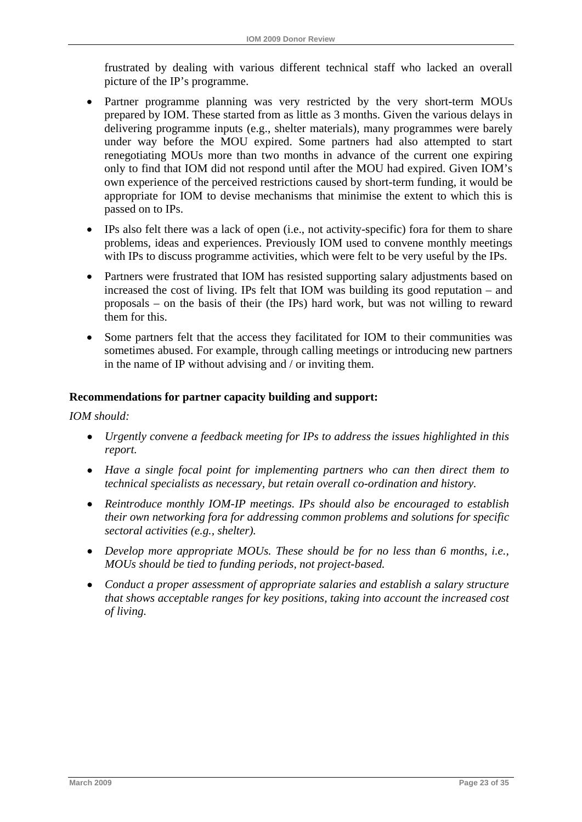frustrated by dealing with various different technical staff who lacked an overall picture of the IP's programme.

- Partner programme planning was very restricted by the very short-term MOUs prepared by IOM. These started from as little as 3 months. Given the various delays in delivering programme inputs (e.g., shelter materials), many programmes were barely under way before the MOU expired. Some partners had also attempted to start renegotiating MOUs more than two months in advance of the current one expiring only to find that IOM did not respond until after the MOU had expired. Given IOM's own experience of the perceived restrictions caused by short-term funding, it would be appropriate for IOM to devise mechanisms that minimise the extent to which this is passed on to IPs.
- IPs also felt there was a lack of open (i.e., not activity-specific) fora for them to share problems, ideas and experiences. Previously IOM used to convene monthly meetings with IPs to discuss programme activities, which were felt to be very useful by the IPs.
- Partners were frustrated that IOM has resisted supporting salary adjustments based on increased the cost of living. IPs felt that IOM was building its good reputation – and proposals – on the basis of their (the IPs) hard work, but was not willing to reward them for this.
- Some partners felt that the access they facilitated for IOM to their communities was sometimes abused. For example, through calling meetings or introducing new partners in the name of IP without advising and / or inviting them.

## **Recommendations for partner capacity building and support:**

#### *IOM should:*

- *Urgently convene a feedback meeting for IPs to address the issues highlighted in this report.*
- *Have a single focal point for implementing partners who can then direct them to technical specialists as necessary, but retain overall co-ordination and history.*
- *Reintroduce monthly IOM-IP meetings. IPs should also be encouraged to establish their own networking fora for addressing common problems and solutions for specific sectoral activities (e.g., shelter).*
- *Develop more appropriate MOUs. These should be for no less than 6 months, i.e., MOUs should be tied to funding periods, not project-based.*
- *Conduct a proper assessment of appropriate salaries and establish a salary structure that shows acceptable ranges for key positions, taking into account the increased cost of living.*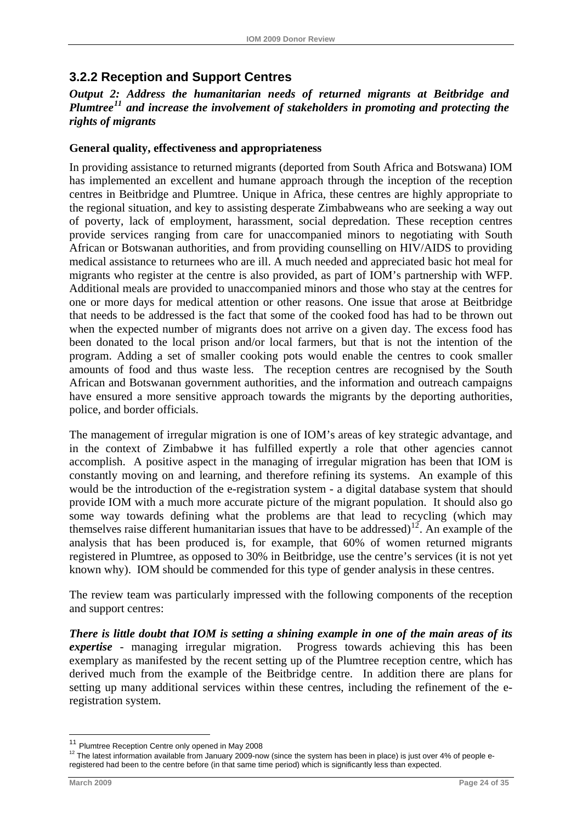# <span id="page-29-0"></span>**3.2.2 Reception and Support Centres**

## *Output 2: Address the humanitarian needs of returned migrants at Beitbridge and Plumtree[11](#page-29-0) and increase the involvement of stakeholders in promoting and protecting the rights of migrants*

## **General quality, effectiveness and appropriateness**

In providing assistance to returned migrants (deported from South Africa and Botswana) IOM has implemented an excellent and humane approach through the inception of the reception centres in Beitbridge and Plumtree. Unique in Africa, these centres are highly appropriate to the regional situation, and key to assisting desperate Zimbabweans who are seeking a way out of poverty, lack of employment, harassment, social depredation. These reception centres provide services ranging from care for unaccompanied minors to negotiating with South African or Botswanan authorities, and from providing counselling on HIV/AIDS to providing medical assistance to returnees who are ill. A much needed and appreciated basic hot meal for migrants who register at the centre is also provided, as part of IOM's partnership with WFP. Additional meals are provided to unaccompanied minors and those who stay at the centres for one or more days for medical attention or other reasons. One issue that arose at Beitbridge that needs to be addressed is the fact that some of the cooked food has had to be thrown out when the expected number of migrants does not arrive on a given day. The excess food has been donated to the local prison and/or local farmers, but that is not the intention of the program. Adding a set of smaller cooking pots would enable the centres to cook smaller amounts of food and thus waste less. The reception centres are recognised by the South African and Botswanan government authorities, and the information and outreach campaigns have ensured a more sensitive approach towards the migrants by the deporting authorities, police, and border officials.

The management of irregular migration is one of IOM's areas of key strategic advantage, and in the context of Zimbabwe it has fulfilled expertly a role that other agencies cannot accomplish. A positive aspect in the managing of irregular migration has been that IOM is constantly moving on and learning, and therefore refining its systems. An example of this would be the introduction of the e-registration system - a digital database system that should provide IOM with a much more accurate picture of the migrant population. It should also go some way towards defining what the problems are that lead to recycling (which may themselves raise different humanitarian issues that have to be addressed)<sup>[12](#page-29-0)</sup>. An example of the analysis that has been produced is, for example, that 60% of women returned migrants registered in Plumtree, as opposed to 30% in Beitbridge, use the centre's services (it is not yet known why). IOM should be commended for this type of gender analysis in these centres.

The review team was particularly impressed with the following components of the reception and support centres:

*There is little doubt that IOM is setting a shining example in one of the main areas of its expertise* - managing irregular migration. Progress towards achieving this has been exemplary as manifested by the recent setting up of the Plumtree reception centre, which has derived much from the example of the Beitbridge centre. In addition there are plans for setting up many additional services within these centres, including the refinement of the eregistration system.

1

<sup>11</sup> Plumtree Reception Centre only opened in May 2008

<sup>&</sup>lt;sup>12</sup> The latest information available from January 2009-now (since the system has been in place) is just over 4% of people eregistered had been to the centre before (in that same time period) which is significantly less than expected.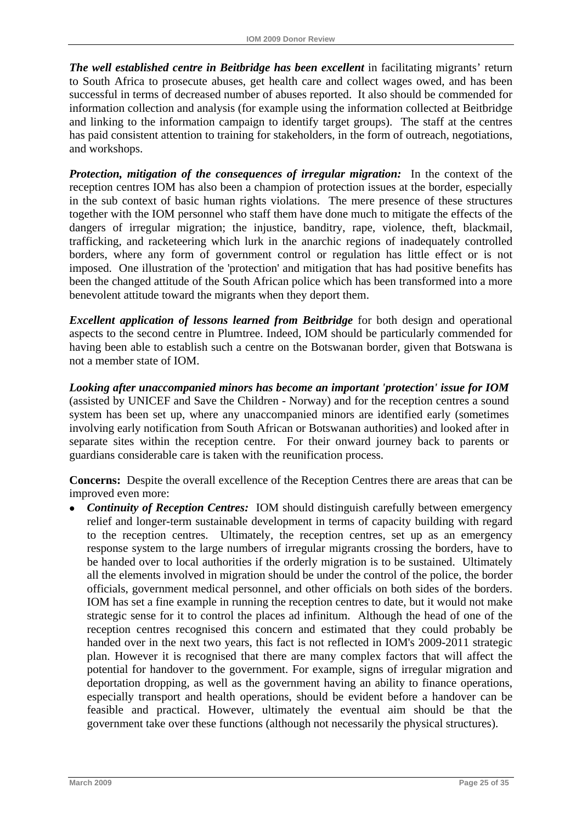*The well established centre in Beitbridge has been excellent* in facilitating migrants' return to South Africa to prosecute abuses, get health care and collect wages owed, and has been successful in terms of decreased number of abuses reported. It also should be commended for information collection and analysis (for example using the information collected at Beitbridge and linking to the information campaign to identify target groups). The staff at the centres has paid consistent attention to training for stakeholders, in the form of outreach, negotiations, and workshops.

*Protection, mitigation of the consequences of irregular migration:* In the context of the reception centres IOM has also been a champion of protection issues at the border, especially in the sub context of basic human rights violations. The mere presence of these structures together with the IOM personnel who staff them have done much to mitigate the effects of the dangers of irregular migration; the injustice, banditry, rape, violence, theft, blackmail, trafficking, and racketeering which lurk in the anarchic regions of inadequately controlled borders, where any form of government control or regulation has little effect or is not imposed. One illustration of the 'protection' and mitigation that has had positive benefits has been the changed attitude of the South African police which has been transformed into a more benevolent attitude toward the migrants when they deport them.

*Excellent application of lessons learned from Beitbridge* for both design and operational aspects to the second centre in Plumtree. Indeed, IOM should be particularly commended for having been able to establish such a centre on the Botswanan border, given that Botswana is not a member state of IOM.

*Looking after unaccompanied minors has become an important 'protection' issue for IOM*  (assisted by UNICEF and Save the Children - Norway) and for the reception centres a sound system has been set up, where any unaccompanied minors are identified early (sometimes involving early notification from South African or Botswanan authorities) and looked after in separate sites within the reception centre. For their onward journey back to parents or guardians considerable care is taken with the reunification process.

**Concerns:** Despite the overall excellence of the Reception Centres there are areas that can be improved even more:

• *Continuity of Reception Centres:* IOM should distinguish carefully between emergency relief and longer-term sustainable development in terms of capacity building with regard to the reception centres. Ultimately, the reception centres, set up as an emergency response system to the large numbers of irregular migrants crossing the borders, have to be handed over to local authorities if the orderly migration is to be sustained. Ultimately all the elements involved in migration should be under the control of the police, the border officials, government medical personnel, and other officials on both sides of the borders. IOM has set a fine example in running the reception centres to date, but it would not make strategic sense for it to control the places ad infinitum. Although the head of one of the reception centres recognised this concern and estimated that they could probably be handed over in the next two years, this fact is not reflected in IOM's 2009-2011 strategic plan. However it is recognised that there are many complex factors that will affect the potential for handover to the government. For example, signs of irregular migration and deportation dropping, as well as the government having an ability to finance operations, especially transport and health operations, should be evident before a handover can be feasible and practical. However, ultimately the eventual aim should be that the government take over these functions (although not necessarily the physical structures).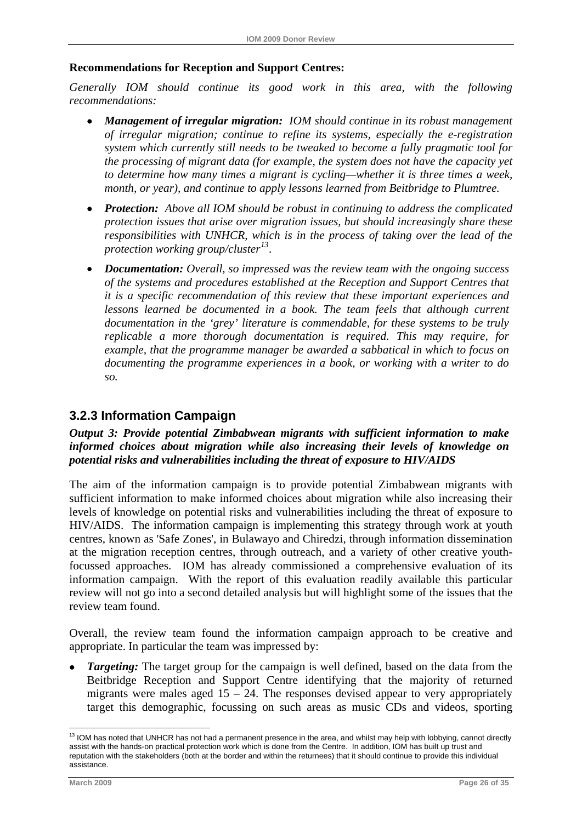## <span id="page-31-0"></span>**Recommendations for Reception and Support Centres:**

*Generally IOM should continue its good work in this area, with the following recommendations:* 

- *Management of irregular migration: IOM should continue in its robust management of irregular migration; continue to refine its systems, especially the e-registration system which currently still needs to be tweaked to become a fully pragmatic tool for the processing of migrant data (for example, the system does not have the capacity yet to determine how many times a migrant is cycling—whether it is three times a week, month, or year), and continue to apply lessons learned from Beitbridge to Plumtree.*
- *Protection: Above all IOM should be robust in continuing to address the complicated protection issues that arise over migration issues, but should increasingly share these responsibilities with UNHCR, which is in the process of taking over the lead of the protection working group/cluster[13](#page-31-0).*
- *Documentation: Overall, so impressed was the review team with the ongoing success of the systems and procedures established at the Reception and Support Centres that it is a specific recommendation of this review that these important experiences and*  lessons learned be documented in a book. The team feels that although current *documentation in the 'grey' literature is commendable, for these systems to be truly replicable a more thorough documentation is required. This may require, for example, that the programme manager be awarded a sabbatical in which to focus on documenting the programme experiences in a book, or working with a writer to do so.*

## **3.2.3 Information Campaign**

## *Output 3: Provide potential Zimbabwean migrants with sufficient information to make informed choices about migration while also increasing their levels of knowledge on potential risks and vulnerabilities including the threat of exposure to HIV/AIDS*

The aim of the information campaign is to provide potential Zimbabwean migrants with sufficient information to make informed choices about migration while also increasing their levels of knowledge on potential risks and vulnerabilities including the threat of exposure to HIV/AIDS. The information campaign is implementing this strategy through work at youth centres, known as 'Safe Zones', in Bulawayo and Chiredzi, through information dissemination at the migration reception centres, through outreach, and a variety of other creative youthfocussed approaches. IOM has already commissioned a comprehensive evaluation of its information campaign. With the report of this evaluation readily available this particular review will not go into a second detailed analysis but will highlight some of the issues that the review team found.

Overall, the review team found the information campaign approach to be creative and appropriate. In particular the team was impressed by:

*Targeting:* The target group for the campaign is well defined, based on the data from the Beitbridge Reception and Support Centre identifying that the majority of returned migrants were males aged  $15 - 24$ . The responses devised appear to very appropriately target this demographic, focussing on such areas as music CDs and videos, sporting

1

 $13$  IOM has noted that UNHCR has not had a permanent presence in the area, and whilst may help with lobbying, cannot directly assist with the hands-on practical protection work which is done from the Centre. In addition, IOM has built up trust and reputation with the stakeholders (both at the border and within the returnees) that it should continue to provide this individual assistance.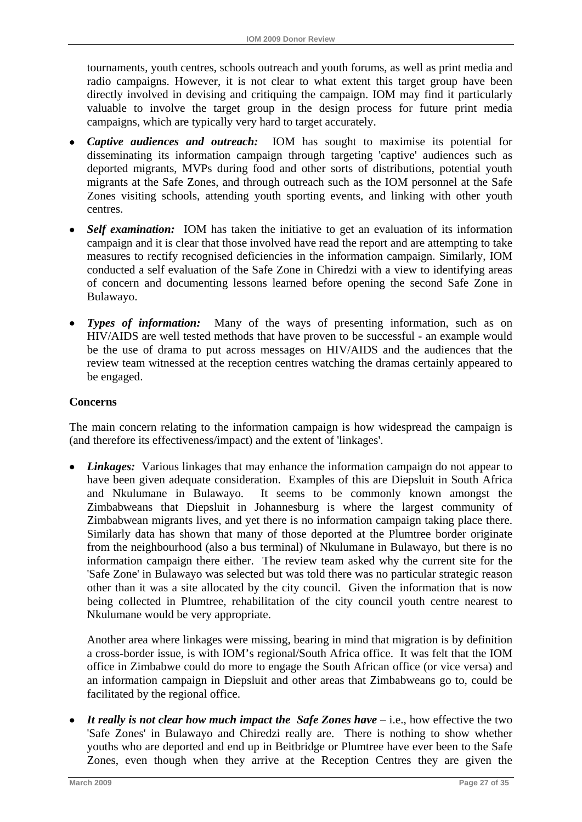tournaments, youth centres, schools outreach and youth forums, as well as print media and radio campaigns. However, it is not clear to what extent this target group have been directly involved in devising and critiquing the campaign. IOM may find it particularly valuable to involve the target group in the design process for future print media campaigns, which are typically very hard to target accurately.

- *Captive audiences and outreach:* IOM has sought to maximise its potential for disseminating its information campaign through targeting 'captive' audiences such as deported migrants, MVPs during food and other sorts of distributions, potential youth migrants at the Safe Zones, and through outreach such as the IOM personnel at the Safe Zones visiting schools, attending youth sporting events, and linking with other youth centres.
- *Self examination:* IOM has taken the initiative to get an evaluation of its information campaign and it is clear that those involved have read the report and are attempting to take measures to rectify recognised deficiencies in the information campaign. Similarly, IOM conducted a self evaluation of the Safe Zone in Chiredzi with a view to identifying areas of concern and documenting lessons learned before opening the second Safe Zone in Bulawayo.
- *Types of information:* Many of the ways of presenting information, such as on HIV/AIDS are well tested methods that have proven to be successful - an example would be the use of drama to put across messages on HIV/AIDS and the audiences that the review team witnessed at the reception centres watching the dramas certainly appeared to be engaged.

## **Concerns**

The main concern relating to the information campaign is how widespread the campaign is (and therefore its effectiveness/impact) and the extent of 'linkages'.

• *Linkages:* Various linkages that may enhance the information campaign do not appear to have been given adequate consideration. Examples of this are Diepsluit in South Africa and Nkulumane in Bulawayo. It seems to be commonly known amongst the Zimbabweans that Diepsluit in Johannesburg is where the largest community of Zimbabwean migrants lives, and yet there is no information campaign taking place there. Similarly data has shown that many of those deported at the Plumtree border originate from the neighbourhood (also a bus terminal) of Nkulumane in Bulawayo, but there is no information campaign there either. The review team asked why the current site for the 'Safe Zone' in Bulawayo was selected but was told there was no particular strategic reason other than it was a site allocated by the city council. Given the information that is now being collected in Plumtree, rehabilitation of the city council youth centre nearest to Nkulumane would be very appropriate.

Another area where linkages were missing, bearing in mind that migration is by definition a cross-border issue, is with IOM's regional/South Africa office. It was felt that the IOM office in Zimbabwe could do more to engage the South African office (or vice versa) and an information campaign in Diepsluit and other areas that Zimbabweans go to, could be facilitated by the regional office.

It really is not clear how much impact the Safe Zones have – i.e., how effective the two 'Safe Zones' in Bulawayo and Chiredzi really are. There is nothing to show whether youths who are deported and end up in Beitbridge or Plumtree have ever been to the Safe Zones, even though when they arrive at the Reception Centres they are given the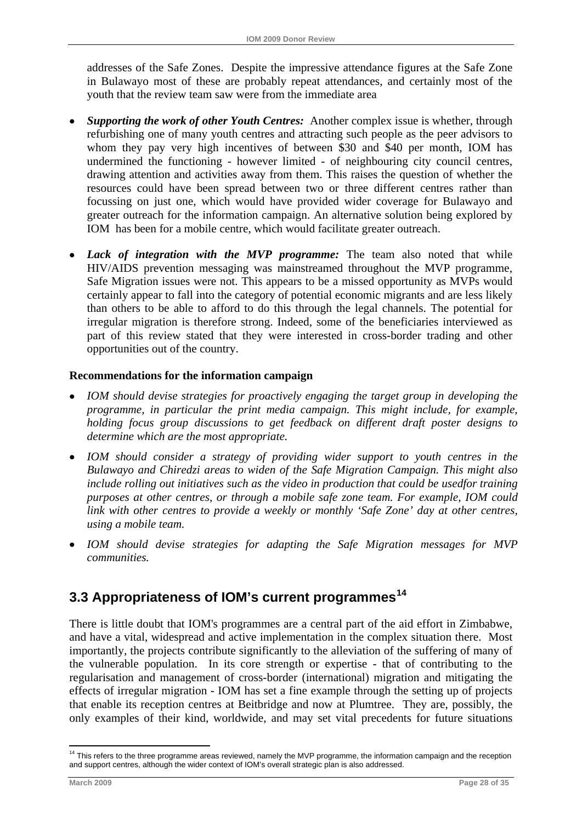<span id="page-33-0"></span>addresses of the Safe Zones. Despite the impressive attendance figures at the Safe Zone in Bulawayo most of these are probably repeat attendances, and certainly most of the youth that the review team saw were from the immediate area

- *Supporting the work of other Youth Centres:* Another complex issue is whether, through refurbishing one of many youth centres and attracting such people as the peer advisors to whom they pay very high incentives of between \$30 and \$40 per month, IOM has undermined the functioning - however limited - of neighbouring city council centres, drawing attention and activities away from them. This raises the question of whether the resources could have been spread between two or three different centres rather than focussing on just one, which would have provided wider coverage for Bulawayo and greater outreach for the information campaign. An alternative solution being explored by IOM has been for a mobile centre, which would facilitate greater outreach.
- *Lack of integration with the MVP programme:* The team also noted that while HIV/AIDS prevention messaging was mainstreamed throughout the MVP programme, Safe Migration issues were not. This appears to be a missed opportunity as MVPs would certainly appear to fall into the category of potential economic migrants and are less likely than others to be able to afford to do this through the legal channels. The potential for irregular migration is therefore strong. Indeed, some of the beneficiaries interviewed as part of this review stated that they were interested in cross-border trading and other opportunities out of the country.

## **Recommendations for the information campaign**

- *IOM should devise strategies for proactively engaging the target group in developing the programme, in particular the print media campaign. This might include, for example, holding focus group discussions to get feedback on different draft poster designs to determine which are the most appropriate.*
- *IOM should consider a strategy of providing wider support to youth centres in the Bulawayo and Chiredzi areas to widen of the Safe Migration Campaign. This might also include rolling out initiatives such as the video in production that could be usedfor training purposes at other centres, or through a mobile safe zone team. For example, IOM could link with other centres to provide a weekly or monthly 'Safe Zone' day at other centres, using a mobile team.*
- *IOM should devise strategies for adapting the Safe Migration messages for MVP communities.*

# **3.3 Appropriateness of IOM's current programmes[14](#page-33-0)**

There is little doubt that IOM's programmes are a central part of the aid effort in Zimbabwe, and have a vital, widespread and active implementation in the complex situation there. Most importantly, the projects contribute significantly to the alleviation of the suffering of many of the vulnerable population. In its core strength or expertise - that of contributing to the regularisation and management of cross-border (international) migration and mitigating the effects of irregular migration - IOM has set a fine example through the setting up of projects that enable its reception centres at Beitbridge and now at Plumtree. They are, possibly, the only examples of their kind, worldwide, and may set vital precedents for future situations

1

<sup>&</sup>lt;sup>14</sup> This refers to the three programme areas reviewed, namely the MVP programme, the information campaign and the reception and support centres, although the wider context of IOM's overall strategic plan is also addressed.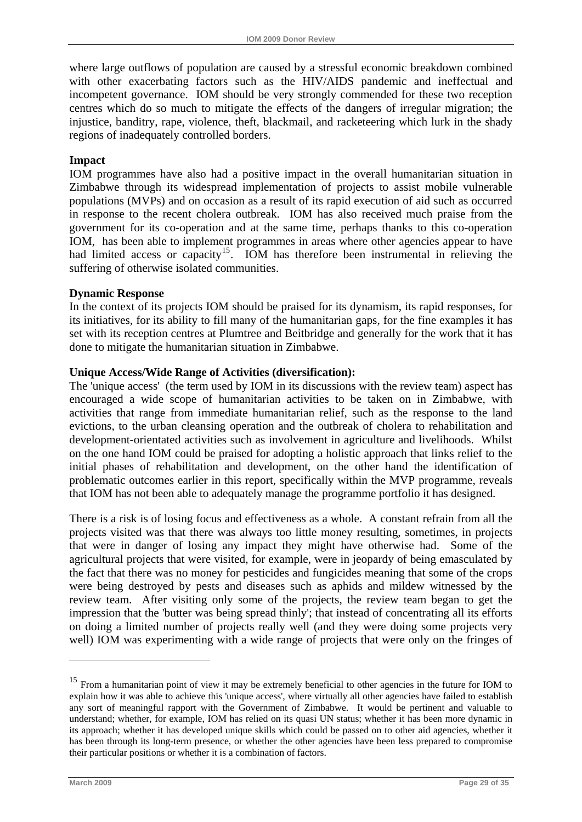<span id="page-34-0"></span>where large outflows of population are caused by a stressful economic breakdown combined with other exacerbating factors such as the HIV/AIDS pandemic and ineffectual and incompetent governance. IOM should be very strongly commended for these two reception centres which do so much to mitigate the effects of the dangers of irregular migration; the injustice, banditry, rape, violence, theft, blackmail, and racketeering which lurk in the shady regions of inadequately controlled borders.

#### **Impact**

IOM programmes have also had a positive impact in the overall humanitarian situation in Zimbabwe through its widespread implementation of projects to assist mobile vulnerable populations (MVPs) and on occasion as a result of its rapid execution of aid such as occurred in response to the recent cholera outbreak. IOM has also received much praise from the government for its co-operation and at the same time, perhaps thanks to this co-operation IOM, has been able to implement programmes in areas where other agencies appear to have had limited access or capacity<sup>[15](#page-34-0)</sup>. IOM has therefore been instrumental in relieving the suffering of otherwise isolated communities.

## **Dynamic Response**

In the context of its projects IOM should be praised for its dynamism, its rapid responses, for its initiatives, for its ability to fill many of the humanitarian gaps, for the fine examples it has set with its reception centres at Plumtree and Beitbridge and generally for the work that it has done to mitigate the humanitarian situation in Zimbabwe.

#### **Unique Access/Wide Range of Activities (diversification):**

The 'unique access' (the term used by IOM in its discussions with the review team) aspect has encouraged a wide scope of humanitarian activities to be taken on in Zimbabwe, with activities that range from immediate humanitarian relief, such as the response to the land evictions, to the urban cleansing operation and the outbreak of cholera to rehabilitation and development-orientated activities such as involvement in agriculture and livelihoods. Whilst on the one hand IOM could be praised for adopting a holistic approach that links relief to the initial phases of rehabilitation and development, on the other hand the identification of problematic outcomes earlier in this report, specifically within the MVP programme, reveals that IOM has not been able to adequately manage the programme portfolio it has designed.

There is a risk is of losing focus and effectiveness as a whole. A constant refrain from all the projects visited was that there was always too little money resulting, sometimes, in projects that were in danger of losing any impact they might have otherwise had. Some of the agricultural projects that were visited, for example, were in jeopardy of being emasculated by the fact that there was no money for pesticides and fungicides meaning that some of the crops were being destroyed by pests and diseases such as aphids and mildew witnessed by the review team. After visiting only some of the projects, the review team began to get the impression that the 'butter was being spread thinly'; that instead of concentrating all its efforts on doing a limited number of projects really well (and they were doing some projects very well) IOM was experimenting with a wide range of projects that were only on the fringes of

<u>.</u>

<sup>&</sup>lt;sup>15</sup> From a humanitarian point of view it may be extremely beneficial to other agencies in the future for IOM to explain how it was able to achieve this 'unique access', where virtually all other agencies have failed to establish any sort of meaningful rapport with the Government of Zimbabwe. It would be pertinent and valuable to understand; whether, for example, IOM has relied on its quasi UN status; whether it has been more dynamic in its approach; whether it has developed unique skills which could be passed on to other aid agencies, whether it has been through its long-term presence, or whether the other agencies have been less prepared to compromise their particular positions or whether it is a combination of factors.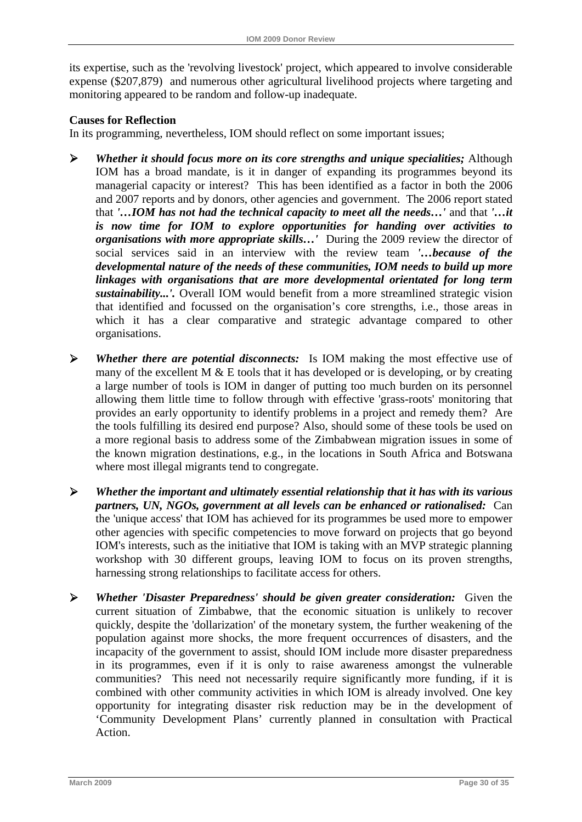its expertise, such as the 'revolving livestock' project, which appeared to involve considerable expense (\$207,879) and numerous other agricultural livelihood projects where targeting and monitoring appeared to be random and follow-up inadequate.

#### **Causes for Reflection**

In its programming, nevertheless, IOM should reflect on some important issues;

- ¾ *Whether it should focus more on its core strengths and unique specialities;* Although IOM has a broad mandate, is it in danger of expanding its programmes beyond its managerial capacity or interest? This has been identified as a factor in both the 2006 and 2007 reports and by donors, other agencies and government. The 2006 report stated that *'…IOM has not had the technical capacity to meet all the needs…'* and that *'…it is now time for IOM to explore opportunities for handing over activities to organisations with more appropriate skills…'* During the 2009 review the director of social services said in an interview with the review team *'…because of the developmental nature of the needs of these communities, IOM needs to build up more linkages with organisations that are more developmental orientated for long term sustainability...'.* Overall IOM would benefit from a more streamlined strategic vision that identified and focussed on the organisation's core strengths, i.e., those areas in which it has a clear comparative and strategic advantage compared to other organisations.
- ¾ *Whether there are potential disconnects:* Is IOM making the most effective use of many of the excellent M  $&$  E tools that it has developed or is developing, or by creating a large number of tools is IOM in danger of putting too much burden on its personnel allowing them little time to follow through with effective 'grass-roots' monitoring that provides an early opportunity to identify problems in a project and remedy them? Are the tools fulfilling its desired end purpose? Also, should some of these tools be used on a more regional basis to address some of the Zimbabwean migration issues in some of the known migration destinations, e.g., in the locations in South Africa and Botswana where most illegal migrants tend to congregate.
- ¾ *Whether the important and ultimately essential relationship that it has with its various partners, UN, NGOs, government at all levels can be enhanced or rationalised:* Can the 'unique access' that IOM has achieved for its programmes be used more to empower other agencies with specific competencies to move forward on projects that go beyond IOM's interests, such as the initiative that IOM is taking with an MVP strategic planning workshop with 30 different groups, leaving IOM to focus on its proven strengths, harnessing strong relationships to facilitate access for others.
- ¾ *Whether 'Disaster Preparedness' should be given greater consideration:* Given the current situation of Zimbabwe, that the economic situation is unlikely to recover quickly, despite the 'dollarization' of the monetary system, the further weakening of the population against more shocks, the more frequent occurrences of disasters, and the incapacity of the government to assist, should IOM include more disaster preparedness in its programmes, even if it is only to raise awareness amongst the vulnerable communities? This need not necessarily require significantly more funding, if it is combined with other community activities in which IOM is already involved. One key opportunity for integrating disaster risk reduction may be in the development of 'Community Development Plans' currently planned in consultation with Practical Action.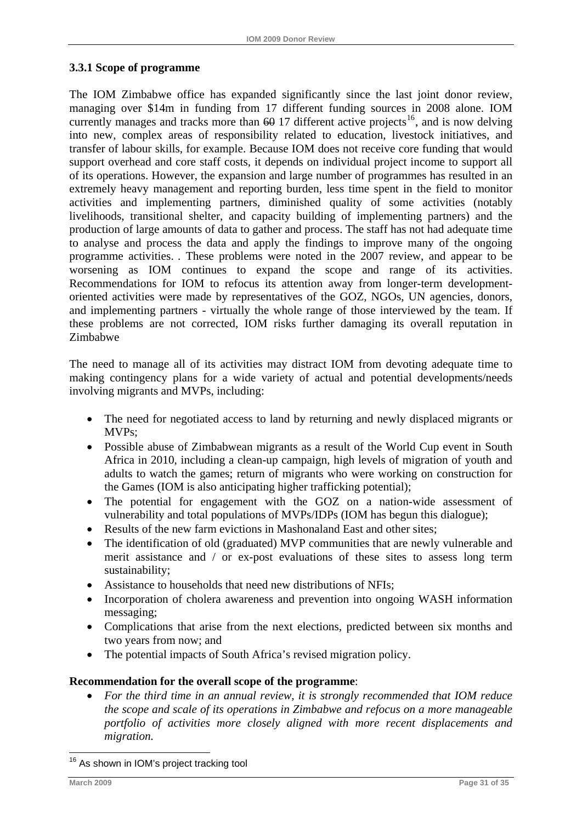## <span id="page-36-0"></span>**3.3.1 Scope of programme**

The IOM Zimbabwe office has expanded significantly since the last joint donor review, managing over \$14m in funding from 17 different funding sources in 2008 alone. IOM currently manages and tracks more than  $60$  17 different active projects<sup>[16](#page-36-0)</sup>, and is now delving into new, complex areas of responsibility related to education, livestock initiatives, and transfer of labour skills, for example. Because IOM does not receive core funding that would support overhead and core staff costs, it depends on individual project income to support all of its operations. However, the expansion and large number of programmes has resulted in an extremely heavy management and reporting burden, less time spent in the field to monitor activities and implementing partners, diminished quality of some activities (notably livelihoods, transitional shelter, and capacity building of implementing partners) and the production of large amounts of data to gather and process. The staff has not had adequate time to analyse and process the data and apply the findings to improve many of the ongoing programme activities. . These problems were noted in the 2007 review, and appear to be worsening as IOM continues to expand the scope and range of its activities. Recommendations for IOM to refocus its attention away from longer-term developmentoriented activities were made by representatives of the GOZ, NGOs, UN agencies, donors, and implementing partners - virtually the whole range of those interviewed by the team. If these problems are not corrected, IOM risks further damaging its overall reputation in Zimbabwe

The need to manage all of its activities may distract IOM from devoting adequate time to making contingency plans for a wide variety of actual and potential developments/needs involving migrants and MVPs, including:

- The need for negotiated access to land by returning and newly displaced migrants or MVPs;
- Possible abuse of Zimbabwean migrants as a result of the World Cup event in South Africa in 2010, including a clean-up campaign, high levels of migration of youth and adults to watch the games; return of migrants who were working on construction for the Games (IOM is also anticipating higher trafficking potential);
- The potential for engagement with the GOZ on a nation-wide assessment of vulnerability and total populations of MVPs/IDPs (IOM has begun this dialogue);
- Results of the new farm evictions in Mashonaland East and other sites:
- The identification of old (graduated) MVP communities that are newly vulnerable and merit assistance and / or ex-post evaluations of these sites to assess long term sustainability;
- Assistance to households that need new distributions of NFIs;
- Incorporation of cholera awareness and prevention into ongoing WASH information messaging;
- Complications that arise from the next elections, predicted between six months and two years from now; and
- The potential impacts of South Africa's revised migration policy.

#### **Recommendation for the overall scope of the programme**:

• *For the third time in an annual review, it is strongly recommended that IOM reduce the scope and scale of its operations in Zimbabwe and refocus on a more manageable portfolio of activities more closely aligned with more recent displacements and migration.*

<u>.</u>

<sup>&</sup>lt;sup>16</sup> As shown in IOM's project tracking tool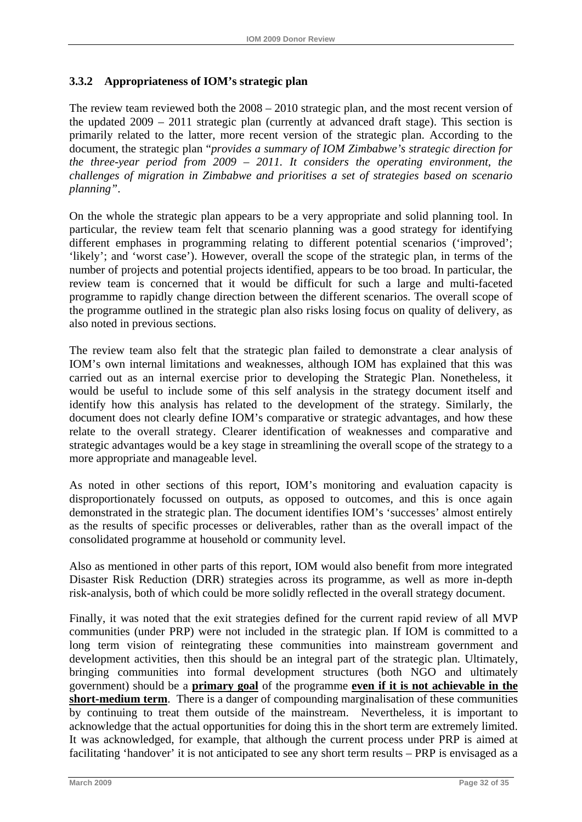## **3.3.2 Appropriateness of IOM's strategic plan**

The review team reviewed both the 2008 – 2010 strategic plan, and the most recent version of the updated 2009 – 2011 strategic plan (currently at advanced draft stage). This section is primarily related to the latter, more recent version of the strategic plan. According to the document, the strategic plan "*provides a summary of IOM Zimbabwe's strategic direction for the three-year period from 2009 – 2011. It considers the operating environment, the challenges of migration in Zimbabwe and prioritises a set of strategies based on scenario planning"*.

On the whole the strategic plan appears to be a very appropriate and solid planning tool. In particular, the review team felt that scenario planning was a good strategy for identifying different emphases in programming relating to different potential scenarios ('improved'; 'likely'; and 'worst case'). However, overall the scope of the strategic plan, in terms of the number of projects and potential projects identified, appears to be too broad. In particular, the review team is concerned that it would be difficult for such a large and multi-faceted programme to rapidly change direction between the different scenarios. The overall scope of the programme outlined in the strategic plan also risks losing focus on quality of delivery, as also noted in previous sections.

The review team also felt that the strategic plan failed to demonstrate a clear analysis of IOM's own internal limitations and weaknesses, although IOM has explained that this was carried out as an internal exercise prior to developing the Strategic Plan. Nonetheless, it would be useful to include some of this self analysis in the strategy document itself and identify how this analysis has related to the development of the strategy. Similarly, the document does not clearly define IOM's comparative or strategic advantages, and how these relate to the overall strategy. Clearer identification of weaknesses and comparative and strategic advantages would be a key stage in streamlining the overall scope of the strategy to a more appropriate and manageable level.

As noted in other sections of this report, IOM's monitoring and evaluation capacity is disproportionately focussed on outputs, as opposed to outcomes, and this is once again demonstrated in the strategic plan. The document identifies IOM's 'successes' almost entirely as the results of specific processes or deliverables, rather than as the overall impact of the consolidated programme at household or community level.

Also as mentioned in other parts of this report, IOM would also benefit from more integrated Disaster Risk Reduction (DRR) strategies across its programme, as well as more in-depth risk-analysis, both of which could be more solidly reflected in the overall strategy document.

Finally, it was noted that the exit strategies defined for the current rapid review of all MVP communities (under PRP) were not included in the strategic plan. If IOM is committed to a long term vision of reintegrating these communities into mainstream government and development activities, then this should be an integral part of the strategic plan. Ultimately, bringing communities into formal development structures (both NGO and ultimately government) should be a **primary goal** of the programme **even if it is not achievable in the short-medium term**. There is a danger of compounding marginalisation of these communities by continuing to treat them outside of the mainstream. Nevertheless, it is important to acknowledge that the actual opportunities for doing this in the short term are extremely limited. It was acknowledged, for example, that although the current process under PRP is aimed at facilitating 'handover' it is not anticipated to see any short term results – PRP is envisaged as a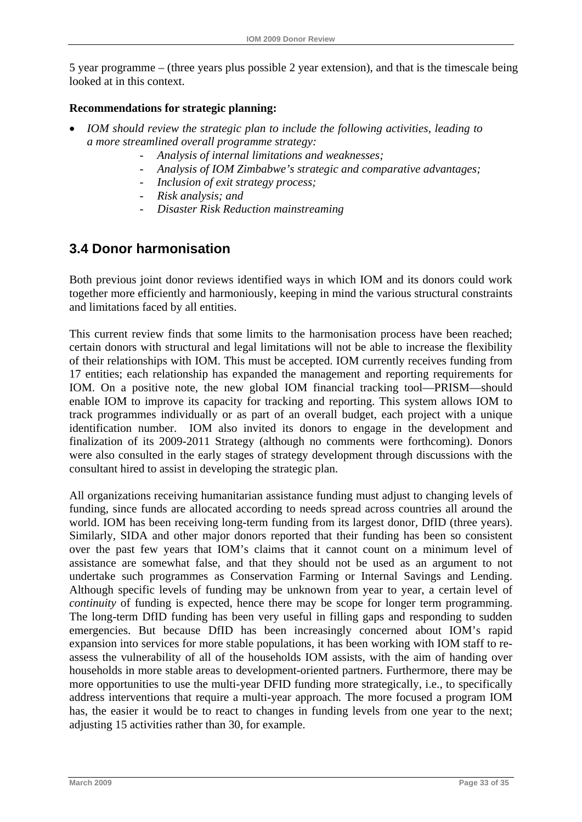<span id="page-38-0"></span>5 year programme – (three years plus possible 2 year extension), and that is the timescale being looked at in this context.

## **Recommendations for strategic planning:**

- *IOM should review the strategic plan to include the following activities, leading to a more streamlined overall programme strategy:* 
	- *Analysis of internal limitations and weaknesses;*
	- *Analysis of IOM Zimbabwe's strategic and comparative advantages;*
	- *Inclusion of exit strategy process;*
	- *Risk analysis; and*
	- *Disaster Risk Reduction mainstreaming*

# **3.4 Donor harmonisation**

Both previous joint donor reviews identified ways in which IOM and its donors could work together more efficiently and harmoniously, keeping in mind the various structural constraints and limitations faced by all entities.

This current review finds that some limits to the harmonisation process have been reached; certain donors with structural and legal limitations will not be able to increase the flexibility of their relationships with IOM. This must be accepted. IOM currently receives funding from 17 entities; each relationship has expanded the management and reporting requirements for IOM. On a positive note, the new global IOM financial tracking tool—PRISM—should enable IOM to improve its capacity for tracking and reporting. This system allows IOM to track programmes individually or as part of an overall budget, each project with a unique identification number. IOM also invited its donors to engage in the development and finalization of its 2009-2011 Strategy (although no comments were forthcoming). Donors were also consulted in the early stages of strategy development through discussions with the consultant hired to assist in developing the strategic plan.

All organizations receiving humanitarian assistance funding must adjust to changing levels of funding, since funds are allocated according to needs spread across countries all around the world. IOM has been receiving long-term funding from its largest donor, DfID (three years). Similarly, SIDA and other major donors reported that their funding has been so consistent over the past few years that IOM's claims that it cannot count on a minimum level of assistance are somewhat false, and that they should not be used as an argument to not undertake such programmes as Conservation Farming or Internal Savings and Lending. Although specific levels of funding may be unknown from year to year, a certain level of *continuity* of funding is expected, hence there may be scope for longer term programming. The long-term DfID funding has been very useful in filling gaps and responding to sudden emergencies. But because DfID has been increasingly concerned about IOM's rapid expansion into services for more stable populations, it has been working with IOM staff to reassess the vulnerability of all of the households IOM assists, with the aim of handing over households in more stable areas to development-oriented partners. Furthermore, there may be more opportunities to use the multi-year DFID funding more strategically, i.e., to specifically address interventions that require a multi-year approach. The more focused a program IOM has, the easier it would be to react to changes in funding levels from one year to the next; adjusting 15 activities rather than 30, for example.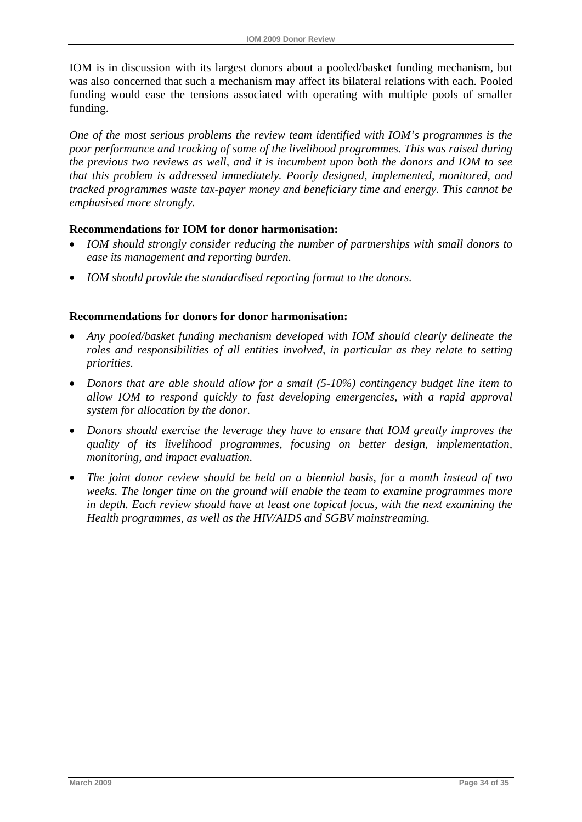IOM is in discussion with its largest donors about a pooled/basket funding mechanism, but was also concerned that such a mechanism may affect its bilateral relations with each. Pooled funding would ease the tensions associated with operating with multiple pools of smaller funding.

*One of the most serious problems the review team identified with IOM's programmes is the poor performance and tracking of some of the livelihood programmes. This was raised during the previous two reviews as well, and it is incumbent upon both the donors and IOM to see that this problem is addressed immediately. Poorly designed, implemented, monitored, and tracked programmes waste tax-payer money and beneficiary time and energy. This cannot be emphasised more strongly.* 

## **Recommendations for IOM for donor harmonisation:**

- *IOM should strongly consider reducing the number of partnerships with small donors to ease its management and reporting burden.*
- *IOM should provide the standardised reporting format to the donors.*

## **Recommendations for donors for donor harmonisation:**

- *Any pooled/basket funding mechanism developed with IOM should clearly delineate the roles and responsibilities of all entities involved, in particular as they relate to setting priorities.*
- *Donors that are able should allow for a small (5-10%) contingency budget line item to allow IOM to respond quickly to fast developing emergencies, with a rapid approval system for allocation by the donor.*
- *Donors should exercise the leverage they have to ensure that IOM greatly improves the quality of its livelihood programmes, focusing on better design, implementation, monitoring, and impact evaluation.*
- *The joint donor review should be held on a biennial basis, for a month instead of two weeks. The longer time on the ground will enable the team to examine programmes more in depth. Each review should have at least one topical focus, with the next examining the Health programmes, as well as the HIV/AIDS and SGBV mainstreaming.*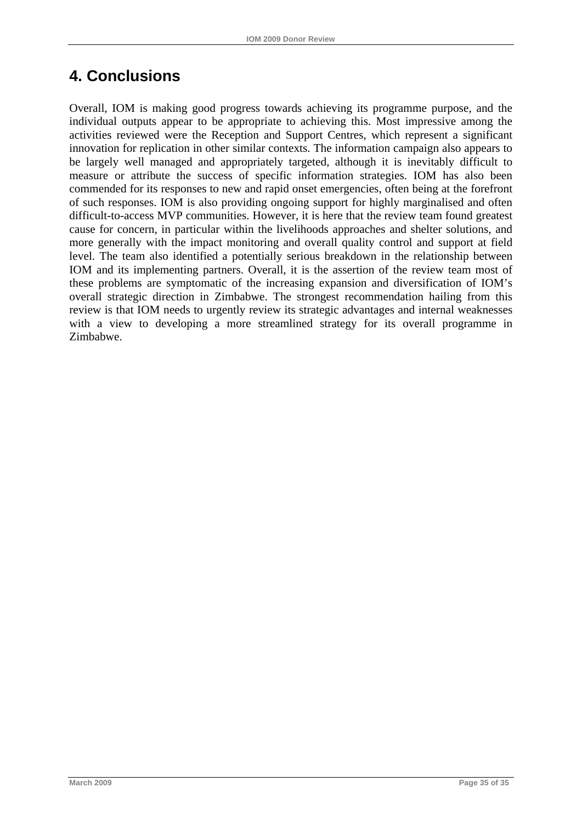# <span id="page-40-0"></span>**4. Conclusions**

Overall, IOM is making good progress towards achieving its programme purpose, and the individual outputs appear to be appropriate to achieving this. Most impressive among the activities reviewed were the Reception and Support Centres, which represent a significant innovation for replication in other similar contexts. The information campaign also appears to be largely well managed and appropriately targeted, although it is inevitably difficult to measure or attribute the success of specific information strategies. IOM has also been commended for its responses to new and rapid onset emergencies, often being at the forefront of such responses. IOM is also providing ongoing support for highly marginalised and often difficult-to-access MVP communities. However, it is here that the review team found greatest cause for concern, in particular within the livelihoods approaches and shelter solutions, and more generally with the impact monitoring and overall quality control and support at field level. The team also identified a potentially serious breakdown in the relationship between IOM and its implementing partners. Overall, it is the assertion of the review team most of these problems are symptomatic of the increasing expansion and diversification of IOM's overall strategic direction in Zimbabwe. The strongest recommendation hailing from this review is that IOM needs to urgently review its strategic advantages and internal weaknesses with a view to developing a more streamlined strategy for its overall programme in Zimbabwe.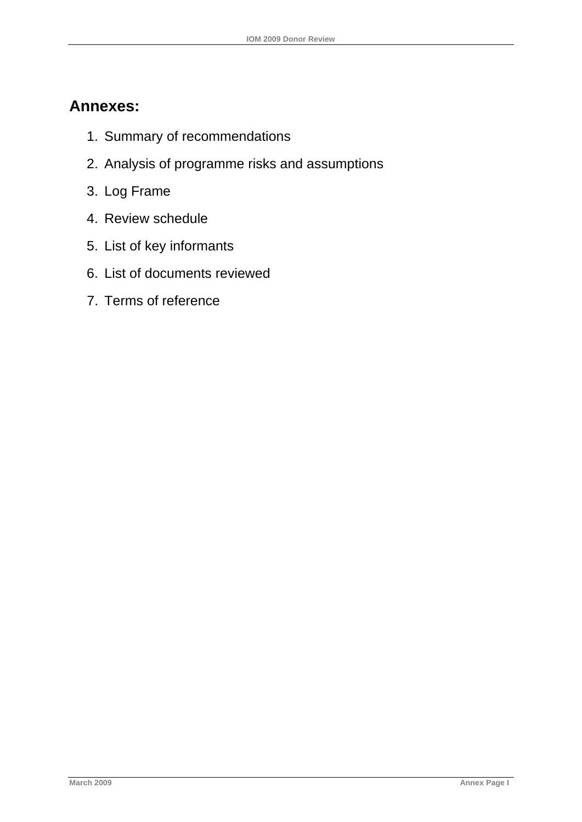# **Annexes:**

- 1. Summary of recommendations
- 2. Analysis of programme risks and assumptions
- 3. Log Frame
- 4. Review schedule
- 5. List of key informants
- 6. List of documents reviewed
- 7. Terms of reference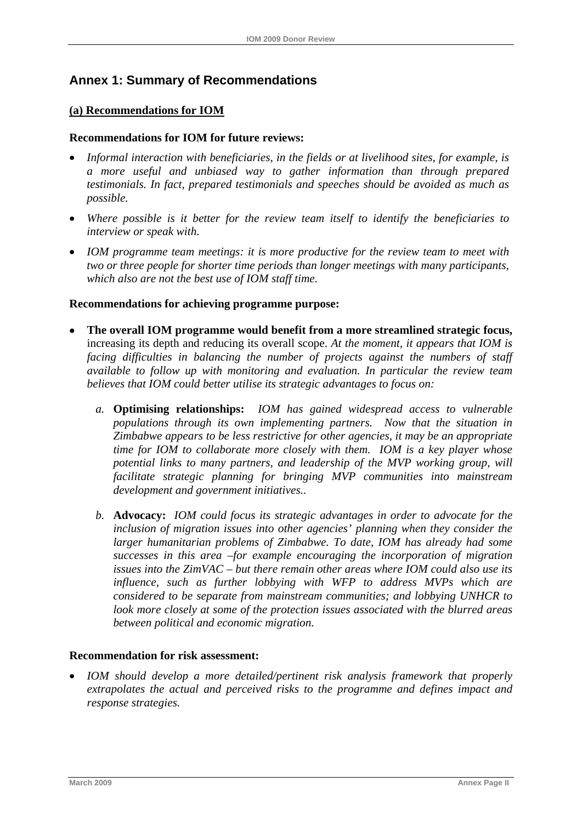## <span id="page-42-0"></span>**Annex 1: Summary of Recommendations**

## **(a) Recommendations for IOM**

#### **Recommendations for IOM for future reviews:**

- *Informal interaction with beneficiaries, in the fields or at livelihood sites, for example, is a more useful and unbiased way to gather information than through prepared testimonials. In fact, prepared testimonials and speeches should be avoided as much as possible.*
- *Where possible is it better for the review team itself to identify the beneficiaries to interview or speak with.*
- *IOM programme team meetings: it is more productive for the review team to meet with two or three people for shorter time periods than longer meetings with many participants, which also are not the best use of IOM staff time.*

#### **Recommendations for achieving programme purpose:**

- **The overall IOM programme would benefit from a more streamlined strategic focus,**  increasing its depth and reducing its overall scope. *At the moment, it appears that IOM is facing difficulties in balancing the number of projects against the numbers of staff available to follow up with monitoring and evaluation. In particular the review team believes that IOM could better utilise its strategic advantages to focus on:*
	- *a.* **Optimising relationships:** *IOM has gained widespread access to vulnerable populations through its own implementing partners. Now that the situation in Zimbabwe appears to be less restrictive for other agencies, it may be an appropriate time for IOM to collaborate more closely with them. IOM is a key player whose potential links to many partners, and leadership of the MVP working group, will facilitate strategic planning for bringing MVP communities into mainstream development and government initiatives..*
	- *b.* **Advocacy:** *IOM could focus its strategic advantages in order to advocate for the inclusion of migration issues into other agencies' planning when they consider the larger humanitarian problems of Zimbabwe. To date, IOM has already had some successes in this area –for example encouraging the incorporation of migration issues into the ZimVAC – but there remain other areas where IOM could also use its influence, such as further lobbying with WFP to address MVPs which are considered to be separate from mainstream communities; and lobbying UNHCR to look more closely at some of the protection issues associated with the blurred areas between political and economic migration.*

#### **Recommendation for risk assessment:**

• *IOM should develop a more detailed/pertinent risk analysis framework that properly extrapolates the actual and perceived risks to the programme and defines impact and response strategies.*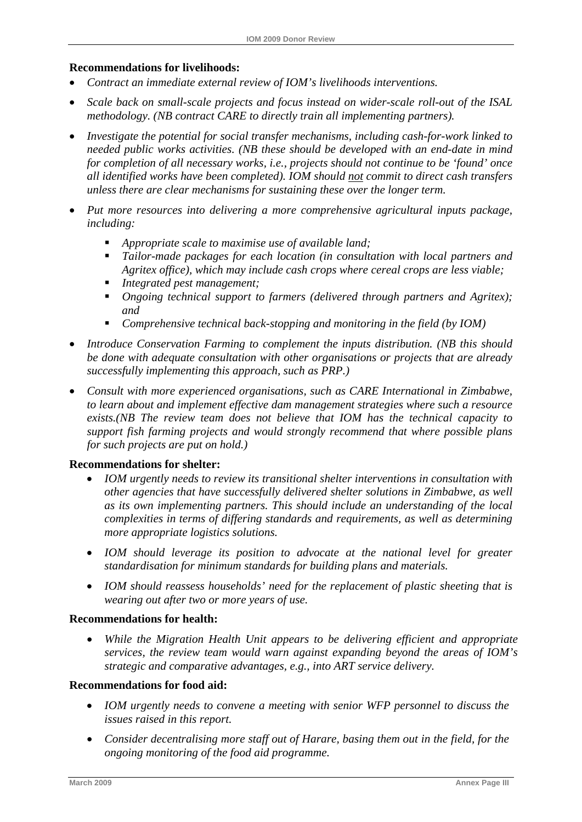#### **Recommendations for livelihoods:**

- *Contract an immediate external review of IOM's livelihoods interventions.*
- *Scale back on small-scale projects and focus instead on wider-scale roll-out of the ISAL methodology. (NB contract CARE to directly train all implementing partners).*
- *Investigate the potential for social transfer mechanisms, including cash-for-work linked to needed public works activities. (NB these should be developed with an end-date in mind for completion of all necessary works, i.e., projects should not continue to be 'found' once all identified works have been completed). IOM should not commit to direct cash transfers unless there are clear mechanisms for sustaining these over the longer term.*
- *Put more resources into delivering a more comprehensive agricultural inputs package, including:* 
	- *Appropriate scale to maximise use of available land;*
	- *Tailor-made packages for each location (in consultation with local partners and Agritex office), which may include cash crops where cereal crops are less viable;*
	- *Integrated pest management;*
	- *Ongoing technical support to farmers (delivered through partners and Agritex); and*
	- *Comprehensive technical back-stopping and monitoring in the field (by IOM)*
- *Introduce Conservation Farming to complement the inputs distribution. (NB this should be done with adequate consultation with other organisations or projects that are already successfully implementing this approach, such as PRP.)*
- *Consult with more experienced organisations, such as CARE International in Zimbabwe, to learn about and implement effective dam management strategies where such a resource exists.(NB The review team does not believe that IOM has the technical capacity to support fish farming projects and would strongly recommend that where possible plans for such projects are put on hold.)*

#### **Recommendations for shelter:**

- *IOM urgently needs to review its transitional shelter interventions in consultation with other agencies that have successfully delivered shelter solutions in Zimbabwe, as well as its own implementing partners. This should include an understanding of the local complexities in terms of differing standards and requirements, as well as determining more appropriate logistics solutions.*
- *IOM should leverage its position to advocate at the national level for greater standardisation for minimum standards for building plans and materials.*
- *IOM should reassess households' need for the replacement of plastic sheeting that is wearing out after two or more years of use.*

#### **Recommendations for health:**

• *While the Migration Health Unit appears to be delivering efficient and appropriate services, the review team would warn against expanding beyond the areas of IOM's strategic and comparative advantages, e.g., into ART service delivery.* 

#### **Recommendations for food aid:**

- *IOM urgently needs to convene a meeting with senior WFP personnel to discuss the issues raised in this report.*
- *Consider decentralising more staff out of Harare, basing them out in the field, for the ongoing monitoring of the food aid programme.*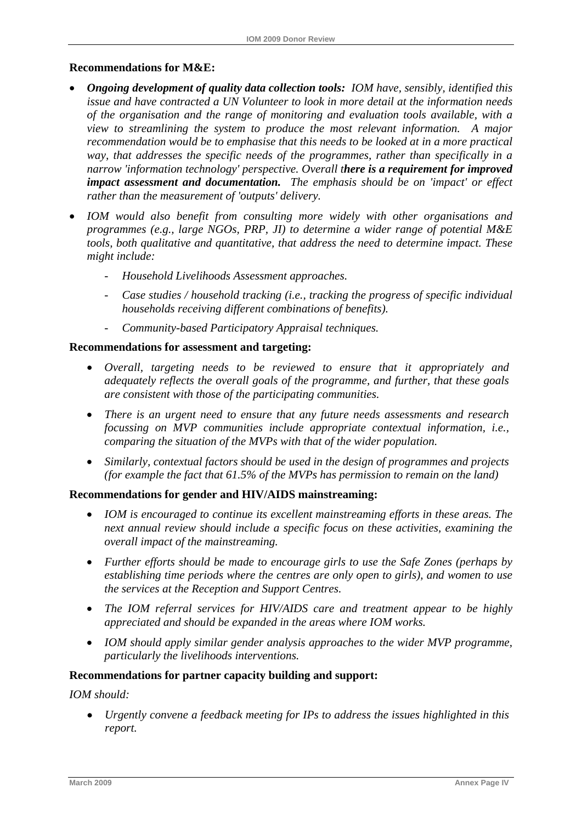### **Recommendations for M&E:**

- *Ongoing development of quality data collection tools: IOM have, sensibly, identified this issue and have contracted a UN Volunteer to look in more detail at the information needs of the organisation and the range of monitoring and evaluation tools available, with a view to streamlining the system to produce the most relevant information. A major recommendation would be to emphasise that this needs to be looked at in a more practical way, that addresses the specific needs of the programmes, rather than specifically in a narrow 'information technology' perspective. Overall there is a requirement for improved impact assessment and documentation. The emphasis should be on 'impact' or effect rather than the measurement of 'outputs' delivery.*
- *IOM would also benefit from consulting more widely with other organisations and programmes (e.g., large NGOs, PRP, JI) to determine a wider range of potential M&E tools, both qualitative and quantitative, that address the need to determine impact. These might include:* 
	- *Household Livelihoods Assessment approaches.*
	- *Case studies / household tracking (i.e., tracking the progress of specific individual households receiving different combinations of benefits).*
	- *Community-based Participatory Appraisal techniques.*

#### **Recommendations for assessment and targeting:**

- *Overall, targeting needs to be reviewed to ensure that it appropriately and adequately reflects the overall goals of the programme, and further, that these goals are consistent with those of the participating communities.*
- *There is an urgent need to ensure that any future needs assessments and research focussing on MVP communities include appropriate contextual information, i.e., comparing the situation of the MVPs with that of the wider population.*
- *Similarly, contextual factors should be used in the design of programmes and projects (for example the fact that 61.5% of the MVPs has permission to remain on the land)*

### **Recommendations for gender and HIV/AIDS mainstreaming:**

- *IOM is encouraged to continue its excellent mainstreaming efforts in these areas. The next annual review should include a specific focus on these activities, examining the overall impact of the mainstreaming.*
- *Further efforts should be made to encourage girls to use the Safe Zones (perhaps by establishing time periods where the centres are only open to girls), and women to use the services at the Reception and Support Centres.*
- *The IOM referral services for HIV/AIDS care and treatment appear to be highly appreciated and should be expanded in the areas where IOM works.*
- *IOM should apply similar gender analysis approaches to the wider MVP programme, particularly the livelihoods interventions.*

## **Recommendations for partner capacity building and support:**

## *IOM should:*

• *Urgently convene a feedback meeting for IPs to address the issues highlighted in this report.*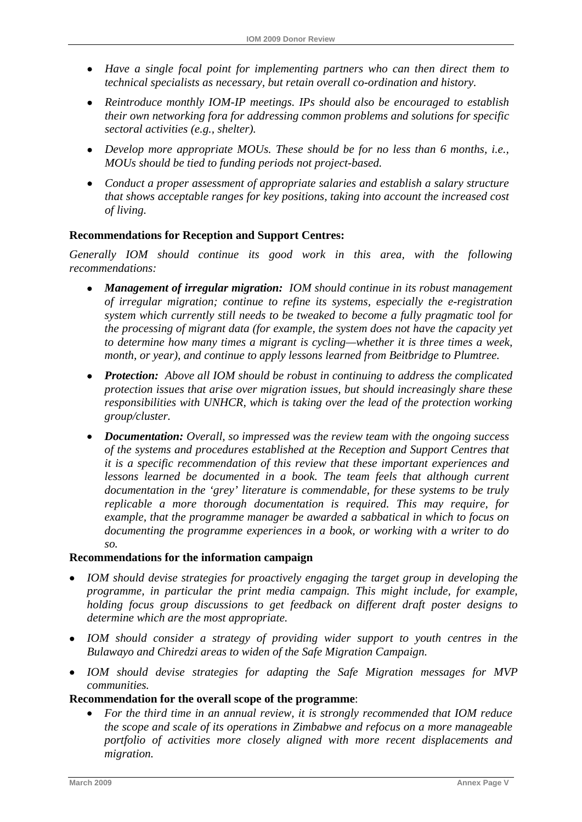- *Have a single focal point for implementing partners who can then direct them to technical specialists as necessary, but retain overall co-ordination and history.*
- *Reintroduce monthly IOM-IP meetings. IPs should also be encouraged to establish their own networking fora for addressing common problems and solutions for specific sectoral activities (e.g., shelter).*
- *Develop more appropriate MOUs. These should be for no less than 6 months, i.e., MOUs should be tied to funding periods not project-based.*
- *Conduct a proper assessment of appropriate salaries and establish a salary structure that shows acceptable ranges for key positions, taking into account the increased cost of living.*

## **Recommendations for Reception and Support Centres:**

*Generally IOM should continue its good work in this area, with the following recommendations:* 

- *Management of irregular migration: IOM should continue in its robust management of irregular migration; continue to refine its systems, especially the e-registration system which currently still needs to be tweaked to become a fully pragmatic tool for the processing of migrant data (for example, the system does not have the capacity yet to determine how many times a migrant is cycling—whether it is three times a week, month, or year), and continue to apply lessons learned from Beitbridge to Plumtree.*
- *Protection: Above all IOM should be robust in continuing to address the complicated protection issues that arise over migration issues, but should increasingly share these responsibilities with UNHCR, which is taking over the lead of the protection working group/cluster.*
- *Documentation: Overall, so impressed was the review team with the ongoing success of the systems and procedures established at the Reception and Support Centres that it is a specific recommendation of this review that these important experiences and*  lessons learned be documented in a book. The team feels that although current *documentation in the 'grey' literature is commendable, for these systems to be truly replicable a more thorough documentation is required. This may require, for example, that the programme manager be awarded a sabbatical in which to focus on documenting the programme experiences in a book, or working with a writer to do so.*

## **Recommendations for the information campaign**

- *IOM should devise strategies for proactively engaging the target group in developing the programme, in particular the print media campaign. This might include, for example, holding focus group discussions to get feedback on different draft poster designs to determine which are the most appropriate.*
- *IOM should consider a strategy of providing wider support to youth centres in the Bulawayo and Chiredzi areas to widen of the Safe Migration Campaign.*
- *IOM should devise strategies for adapting the Safe Migration messages for MVP communities.*

## **Recommendation for the overall scope of the programme**:

• *For the third time in an annual review, it is strongly recommended that IOM reduce the scope and scale of its operations in Zimbabwe and refocus on a more manageable portfolio of activities more closely aligned with more recent displacements and migration.*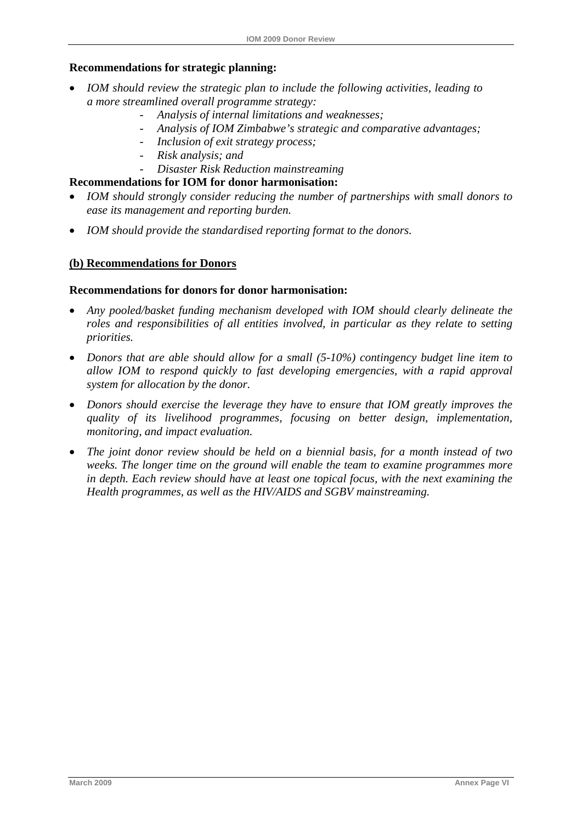## **Recommendations for strategic planning:**

- *IOM should review the strategic plan to include the following activities, leading to a more streamlined overall programme strategy:* 
	- *Analysis of internal limitations and weaknesses;*
	- *Analysis of IOM Zimbabwe's strategic and comparative advantages;*
	- *Inclusion of exit strategy process;*
	- *Risk analysis; and*
	- *Disaster Risk Reduction mainstreaming*

### **Recommendations for IOM for donor harmonisation:**

- *IOM should strongly consider reducing the number of partnerships with small donors to ease its management and reporting burden.*
- *IOM should provide the standardised reporting format to the donors.*

## **(b) Recommendations for Donors**

#### **Recommendations for donors for donor harmonisation:**

- *Any pooled/basket funding mechanism developed with IOM should clearly delineate the roles and responsibilities of all entities involved, in particular as they relate to setting priorities.*
- *Donors that are able should allow for a small (5-10%) contingency budget line item to allow IOM to respond quickly to fast developing emergencies, with a rapid approval system for allocation by the donor.*
- *Donors should exercise the leverage they have to ensure that IOM greatly improves the quality of its livelihood programmes, focusing on better design, implementation, monitoring, and impact evaluation.*
- *The joint donor review should be held on a biennial basis, for a month instead of two weeks. The longer time on the ground will enable the team to examine programmes more in depth. Each review should have at least one topical focus, with the next examining the Health programmes, as well as the HIV/AIDS and SGBV mainstreaming.*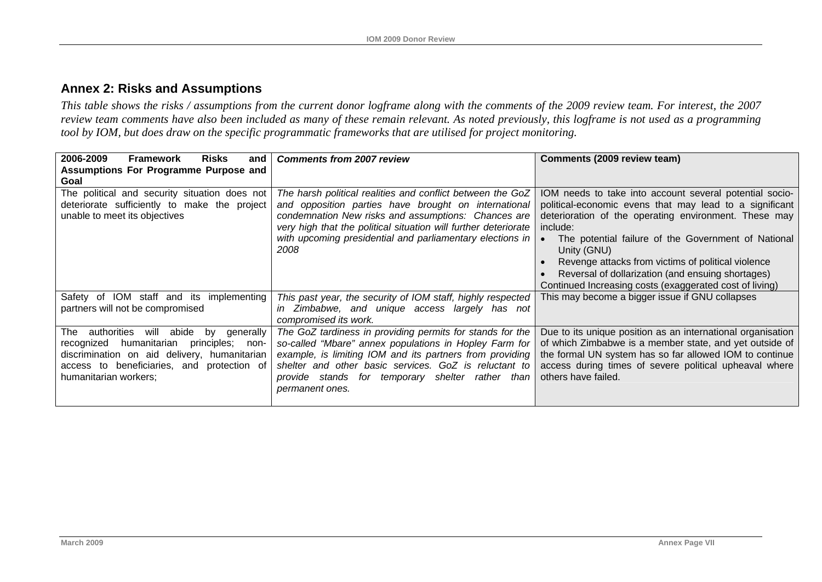## **Annex 2: Risks and Assumptions**

*This table shows the risks / assumptions from the current donor logframe along with the comments of the 2009 review team. For interest, the 2007 review team comments have also been included as many of these remain relevant. As noted previously, this logframe is not used as a programming tool by IOM, but does draw on the specific programmatic frameworks that are utilised for project monitoring.* 

<span id="page-47-0"></span>

| 2006-2009<br><b>Risks</b><br><b>Framework</b><br>and                                                                                                                                                                               | <b>Comments from 2007 review</b>                                                                                                                                                                                                                                                                                   | Comments (2009 review team)                                                                                                                                                                                                                                                                                                                                                                                                         |
|------------------------------------------------------------------------------------------------------------------------------------------------------------------------------------------------------------------------------------|--------------------------------------------------------------------------------------------------------------------------------------------------------------------------------------------------------------------------------------------------------------------------------------------------------------------|-------------------------------------------------------------------------------------------------------------------------------------------------------------------------------------------------------------------------------------------------------------------------------------------------------------------------------------------------------------------------------------------------------------------------------------|
| Assumptions For Programme Purpose and<br>Goal                                                                                                                                                                                      |                                                                                                                                                                                                                                                                                                                    |                                                                                                                                                                                                                                                                                                                                                                                                                                     |
| The political and security situation does not<br>deteriorate sufficiently to make the project<br>unable to meet its objectives                                                                                                     | The harsh political realities and conflict between the GoZ<br>and opposition parties have brought on international<br>condemnation New risks and assumptions: Chances are<br>very high that the political situation will further deteriorate<br>with upcoming presidential and parliamentary elections in<br>2008  | IOM needs to take into account several potential socio-<br>political-economic evens that may lead to a significant<br>deterioration of the operating environment. These may<br>include:<br>The potential failure of the Government of National<br>Unity (GNU)<br>Revenge attacks from victims of political violence<br>Reversal of dollarization (and ensuing shortages)<br>Continued Increasing costs (exaggerated cost of living) |
| Safety of IOM staff and its implementing<br>partners will not be compromised                                                                                                                                                       | This past year, the security of IOM staff, highly respected<br>in Zimbabwe, and unique access largely has not<br>compromised its work.                                                                                                                                                                             | This may become a bigger issue if GNU collapses                                                                                                                                                                                                                                                                                                                                                                                     |
| authorities<br>The<br>abide<br>will<br>generally<br>by<br>humanitarian<br>principles;<br>recognized<br>non-<br>discrimination on aid delivery, humanitarian<br>access to beneficiaries, and protection of<br>humanitarian workers; | The GoZ tardiness in providing permits for stands for the<br>so-called "Mbare" annex populations in Hopley Farm for<br>example, is limiting IOM and its partners from providing<br>shelter and other basic services. GoZ is reluctant to<br>provide stands for temporary shelter<br>rather than<br>permanent ones. | Due to its unique position as an international organisation<br>of which Zimbabwe is a member state, and yet outside of<br>the formal UN system has so far allowed IOM to continue<br>access during times of severe political upheaval where<br>others have failed.                                                                                                                                                                  |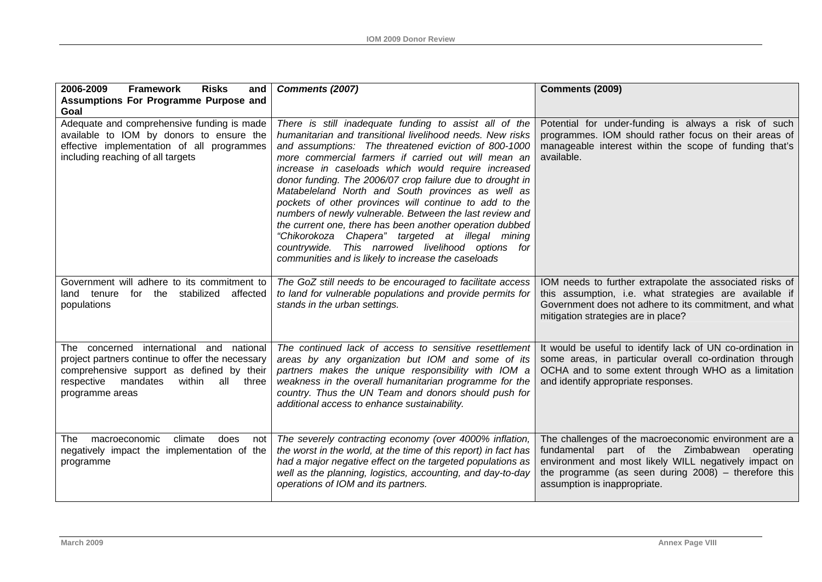| 2006-2009<br><b>Framework</b><br><b>Risks</b><br>and<br>Assumptions For Programme Purpose and                                                                                                                    | Comments (2007)                                                                                                                                                                                                                                                                                                                                                                                                                                                                                                                                                                                                                                                                                                                                               | Comments (2009)                                                                                                                                                                                                                                              |
|------------------------------------------------------------------------------------------------------------------------------------------------------------------------------------------------------------------|---------------------------------------------------------------------------------------------------------------------------------------------------------------------------------------------------------------------------------------------------------------------------------------------------------------------------------------------------------------------------------------------------------------------------------------------------------------------------------------------------------------------------------------------------------------------------------------------------------------------------------------------------------------------------------------------------------------------------------------------------------------|--------------------------------------------------------------------------------------------------------------------------------------------------------------------------------------------------------------------------------------------------------------|
| Goal<br>Adequate and comprehensive funding is made<br>available to IOM by donors to ensure the<br>effective implementation of all programmes<br>including reaching of all targets                                | There is still inadequate funding to assist all of the<br>humanitarian and transitional livelihood needs. New risks<br>and assumptions: The threatened eviction of 800-1000<br>more commercial farmers if carried out will mean an<br>increase in caseloads which would require increased<br>donor funding. The 2006/07 crop failure due to drought in<br>Matabeleland North and South provinces as well as<br>pockets of other provinces will continue to add to the<br>numbers of newly vulnerable. Between the last review and<br>the current one, there has been another operation dubbed<br>"Chikorokoza Chapera" targeted at illegal mining<br>countrywide. This narrowed livelihood options for<br>communities and is likely to increase the caseloads | Potential for under-funding is always a risk of such<br>programmes. IOM should rather focus on their areas of<br>manageable interest within the scope of funding that's<br>available.                                                                        |
| Government will adhere to its commitment to<br>for the stabilized<br>affected<br>land tenure<br>populations                                                                                                      | The GoZ still needs to be encouraged to facilitate access<br>to land for vulnerable populations and provide permits for<br>stands in the urban settings.                                                                                                                                                                                                                                                                                                                                                                                                                                                                                                                                                                                                      | IOM needs to further extrapolate the associated risks of<br>this assumption, i.e. what strategies are available if<br>Government does not adhere to its commitment, and what<br>mitigation strategies are in place?                                          |
| The concerned international and<br>national<br>project partners continue to offer the necessary<br>comprehensive support as defined by their<br>mandates<br>within<br>all three<br>respective<br>programme areas | The continued lack of access to sensitive resettlement<br>areas by any organization but IOM and some of its<br>partners makes the unique responsibility with IOM a<br>weakness in the overall humanitarian programme for the<br>country. Thus the UN Team and donors should push for<br>additional access to enhance sustainability.                                                                                                                                                                                                                                                                                                                                                                                                                          | It would be useful to identify lack of UN co-ordination in<br>some areas, in particular overall co-ordination through<br>OCHA and to some extent through WHO as a limitation<br>and identify appropriate responses.                                          |
| macroeconomic<br>climate<br>does<br><b>The</b><br>not<br>negatively impact the implementation of the<br>programme                                                                                                | The severely contracting economy (over 4000% inflation,<br>the worst in the world, at the time of this report) in fact has<br>had a major negative effect on the targeted populations as<br>well as the planning, logistics, accounting, and day-to-day<br>operations of IOM and its partners.                                                                                                                                                                                                                                                                                                                                                                                                                                                                | The challenges of the macroeconomic environment are a<br>fundamental part of the Zimbabwean<br>operating<br>environment and most likely WILL negatively impact on<br>the programme (as seen during $2008$ ) - therefore this<br>assumption is inappropriate. |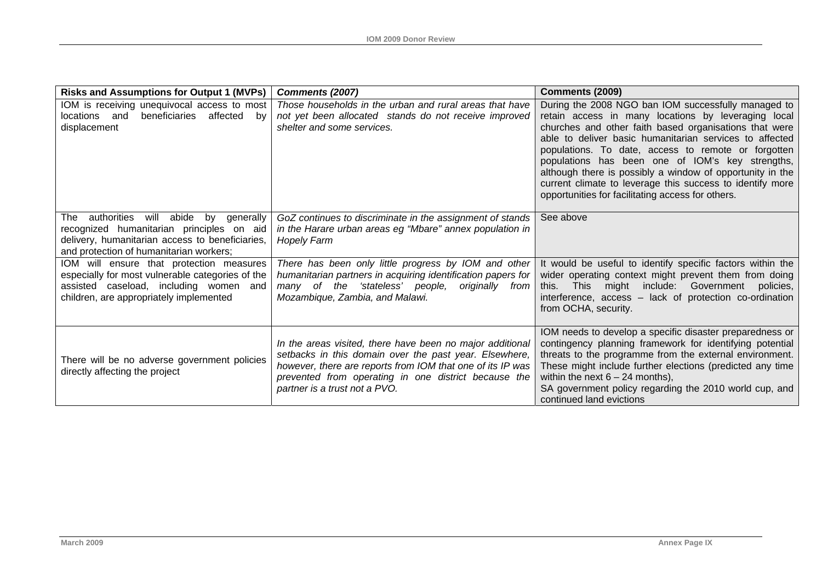| <b>Risks and Assumptions for Output 1 (MVPs)</b>                                                                                                                                      | Comments (2007)                                                                                                                                                                                                                                                            | Comments (2009)                                                                                                                                                                                                                                                                                                                                                                                                                                                                                                           |
|---------------------------------------------------------------------------------------------------------------------------------------------------------------------------------------|----------------------------------------------------------------------------------------------------------------------------------------------------------------------------------------------------------------------------------------------------------------------------|---------------------------------------------------------------------------------------------------------------------------------------------------------------------------------------------------------------------------------------------------------------------------------------------------------------------------------------------------------------------------------------------------------------------------------------------------------------------------------------------------------------------------|
| IOM is receiving unequivocal access to most<br>beneficiaries<br>affected<br>locations and<br>bv<br>displacement                                                                       | Those households in the urban and rural areas that have<br>not yet been allocated stands do not receive improved<br>shelter and some services.                                                                                                                             | During the 2008 NGO ban IOM successfully managed to<br>retain access in many locations by leveraging local<br>churches and other faith based organisations that were<br>able to deliver basic humanitarian services to affected<br>populations. To date, access to remote or forgotten<br>populations has been one of IOM's key strengths,<br>although there is possibly a window of opportunity in the<br>current climate to leverage this success to identify more<br>opportunities for facilitating access for others. |
| abide by generally<br>The authorities will<br>recognized humanitarian principles on aid<br>delivery, humanitarian access to beneficiaries,<br>and protection of humanitarian workers; | GoZ continues to discriminate in the assignment of stands<br>in the Harare urban areas eg "Mbare" annex population in<br><b>Hopely Farm</b>                                                                                                                                | See above                                                                                                                                                                                                                                                                                                                                                                                                                                                                                                                 |
| IOM will ensure that protection measures<br>especially for most vulnerable categories of the<br>assisted caseload, including women and<br>children, are appropriately implemented     | There has been only little progress by IOM and other<br>humanitarian partners in acquiring identification papers for<br>many of the 'stateless' people,<br>originally from<br>Mozambique, Zambia, and Malawi.                                                              | It would be useful to identify specific factors within the<br>wider operating context might prevent them from doing<br>might include: Government<br>this.<br>This<br>policies,<br>interference, access - lack of protection co-ordination<br>from OCHA, security.                                                                                                                                                                                                                                                         |
| There will be no adverse government policies<br>directly affecting the project                                                                                                        | In the areas visited, there have been no major additional<br>setbacks in this domain over the past year. Elsewhere,<br>however, there are reports from IOM that one of its IP was<br>prevented from operating in one district because the<br>partner is a trust not a PVO. | IOM needs to develop a specific disaster preparedness or<br>contingency planning framework for identifying potential<br>threats to the programme from the external environment.<br>These might include further elections (predicted any time<br>within the next $6 - 24$ months),<br>SA government policy regarding the 2010 world cup, and<br>continued land evictions                                                                                                                                                   |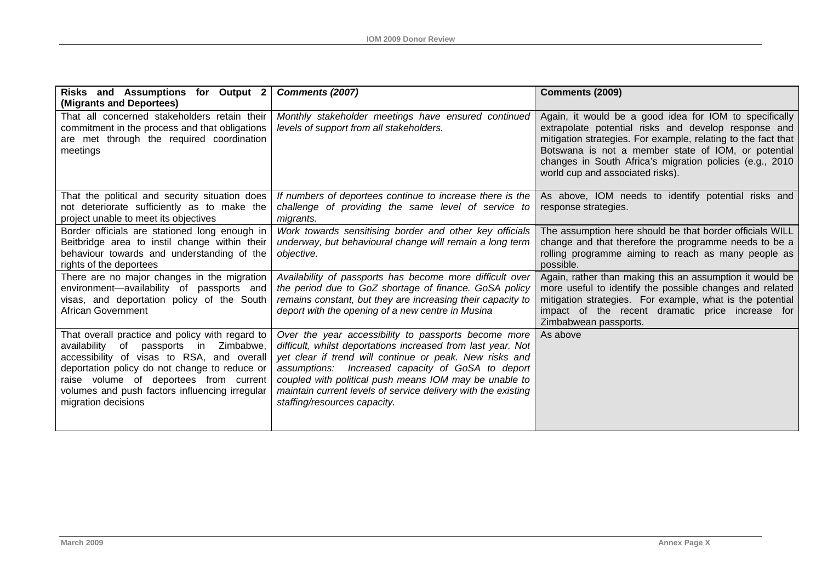| Risks and Assumptions for Output 2<br>(Migrants and Deportees)                                                                                                                                                                                                                                              | Comments (2007)                                                                                                                                                                                                                                                                                                                                                                                 | Comments (2009)                                                                                                                                                                                                                                                                                                                        |
|-------------------------------------------------------------------------------------------------------------------------------------------------------------------------------------------------------------------------------------------------------------------------------------------------------------|-------------------------------------------------------------------------------------------------------------------------------------------------------------------------------------------------------------------------------------------------------------------------------------------------------------------------------------------------------------------------------------------------|----------------------------------------------------------------------------------------------------------------------------------------------------------------------------------------------------------------------------------------------------------------------------------------------------------------------------------------|
| That all concerned stakeholders retain their<br>commitment in the process and that obligations<br>are met through the required coordination<br>meetings                                                                                                                                                     | Monthly stakeholder meetings have ensured continued<br>levels of support from all stakeholders.                                                                                                                                                                                                                                                                                                 | Again, it would be a good idea for IOM to specifically<br>extrapolate potential risks and develop response and<br>mitigation strategies. For example, relating to the fact that<br>Botswana is not a member state of IOM, or potential<br>changes in South Africa's migration policies (e.g., 2010<br>world cup and associated risks). |
| That the political and security situation does<br>not deteriorate sufficiently as to make the<br>project unable to meet its objectives                                                                                                                                                                      | If numbers of deportees continue to increase there is the<br>challenge of providing the same level of service to<br>migrants.                                                                                                                                                                                                                                                                   | As above, IOM needs to identify potential risks and<br>response strategies.                                                                                                                                                                                                                                                            |
| Border officials are stationed long enough in<br>Beitbridge area to instil change within their<br>behaviour towards and understanding of the<br>rights of the deportees                                                                                                                                     | Work towards sensitising border and other key officials<br>underway, but behavioural change will remain a long term<br>objective.                                                                                                                                                                                                                                                               | The assumption here should be that border officials WILL<br>change and that therefore the programme needs to be a<br>rolling programme aiming to reach as many people as<br>possible.                                                                                                                                                  |
| There are no major changes in the migration<br>environment-availability of passports and<br>visas, and deportation policy of the South<br><b>African Government</b>                                                                                                                                         | Availability of passports has become more difficult over<br>the period due to GoZ shortage of finance. GoSA policy<br>remains constant, but they are increasing their capacity to<br>deport with the opening of a new centre in Musina                                                                                                                                                          | Again, rather than making this an assumption it would be<br>more useful to identify the possible changes and related<br>mitigation strategies. For example, what is the potential<br>impact of the recent dramatic price increase for<br>Zimbabwean passports.                                                                         |
| That overall practice and policy with regard to<br>availability of passports in Zimbabwe,<br>accessibility of visas to RSA, and overall<br>deportation policy do not change to reduce or<br>raise volume of deportees from current<br>volumes and push factors influencing irregular<br>migration decisions | Over the year accessibility to passports become more<br>difficult, whilst deportations increased from last year. Not<br>yet clear if trend will continue or peak. New risks and<br>assumptions: Increased capacity of GoSA to deport<br>coupled with political push means IOM may be unable to<br>maintain current levels of service delivery with the existing<br>staffing/resources capacity. | As above                                                                                                                                                                                                                                                                                                                               |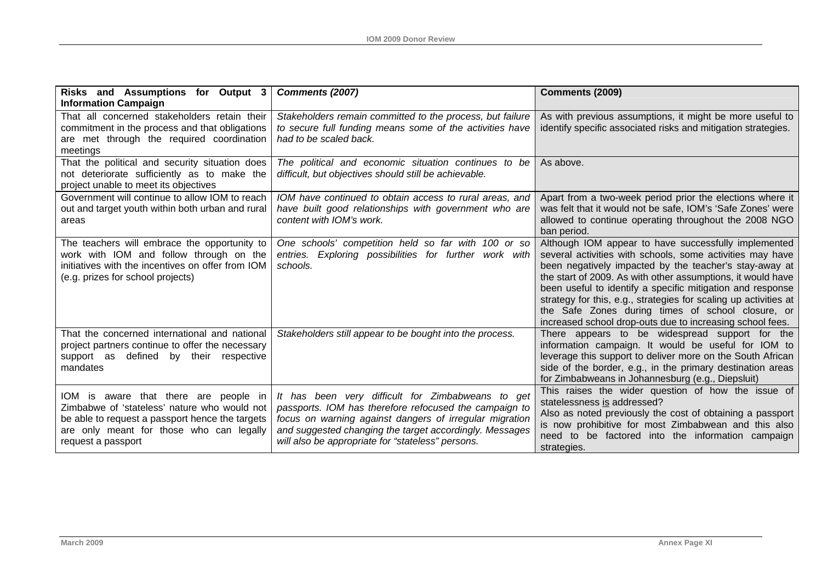| Risks and Assumptions for Output 3                                                                                                                                                                         | <b>Comments (2007)</b>                                                                                                                                                                                                                                                                 | Comments (2009)                                                                                                                                                                                                                                                                                                                                                                                                                                                                                |
|------------------------------------------------------------------------------------------------------------------------------------------------------------------------------------------------------------|----------------------------------------------------------------------------------------------------------------------------------------------------------------------------------------------------------------------------------------------------------------------------------------|------------------------------------------------------------------------------------------------------------------------------------------------------------------------------------------------------------------------------------------------------------------------------------------------------------------------------------------------------------------------------------------------------------------------------------------------------------------------------------------------|
| <b>Information Campaign</b><br>That all concerned stakeholders retain their<br>commitment in the process and that obligations<br>are met through the required coordination<br>meetings                     | Stakeholders remain committed to the process, but failure<br>to secure full funding means some of the activities have<br>had to be scaled back.                                                                                                                                        | As with previous assumptions, it might be more useful to<br>identify specific associated risks and mitigation strategies.                                                                                                                                                                                                                                                                                                                                                                      |
| That the political and security situation does<br>not deteriorate sufficiently as to make the<br>project unable to meet its objectives                                                                     | The political and economic situation continues to be<br>difficult, but objectives should still be achievable.                                                                                                                                                                          | As above.                                                                                                                                                                                                                                                                                                                                                                                                                                                                                      |
| Government will continue to allow IOM to reach<br>out and target youth within both urban and rural<br>areas                                                                                                | IOM have continued to obtain access to rural areas, and<br>have built good relationships with government who are<br>content with IOM's work.                                                                                                                                           | Apart from a two-week period prior the elections where it<br>was felt that it would not be safe, IOM's 'Safe Zones' were<br>allowed to continue operating throughout the 2008 NGO<br>ban period.                                                                                                                                                                                                                                                                                               |
| The teachers will embrace the opportunity to<br>work with IOM and follow through on the<br>initiatives with the incentives on offer from IOM<br>(e.g. prizes for school projects)                          | One schools' competition held so far with 100 or so<br>entries. Exploring possibilities for further work with<br>schools.                                                                                                                                                              | Although IOM appear to have successfully implemented<br>several activities with schools, some activities may have<br>been negatively impacted by the teacher's stay-away at<br>the start of 2009. As with other assumptions, it would have<br>been useful to identify a specific mitigation and response<br>strategy for this, e.g., strategies for scaling up activities at<br>the Safe Zones during times of school closure, or<br>increased school drop-outs due to increasing school fees. |
| That the concerned international and national<br>project partners continue to offer the necessary<br>support as defined by their respective<br>mandates                                                    | Stakeholders still appear to be bought into the process.                                                                                                                                                                                                                               | There appears to be widespread support for the<br>information campaign. It would be useful for IOM to<br>leverage this support to deliver more on the South African<br>side of the border, e.g., in the primary destination areas<br>for Zimbabweans in Johannesburg (e.g., Diepsluit)                                                                                                                                                                                                         |
| IOM is aware that there are people in<br>Zimbabwe of 'stateless' nature who would not<br>be able to request a passport hence the targets<br>are only meant for those who can legally<br>request a passport | It has been very difficult for Zimbabweans to get<br>passports. IOM has therefore refocused the campaign to<br>focus on warning against dangers of irregular migration<br>and suggested changing the target accordingly. Messages<br>will also be appropriate for "stateless" persons. | This raises the wider question of how the issue of<br>statelessness is addressed?<br>Also as noted previously the cost of obtaining a passport<br>is now prohibitive for most Zimbabwean and this also<br>need to be factored into the information campaign<br>strategies.                                                                                                                                                                                                                     |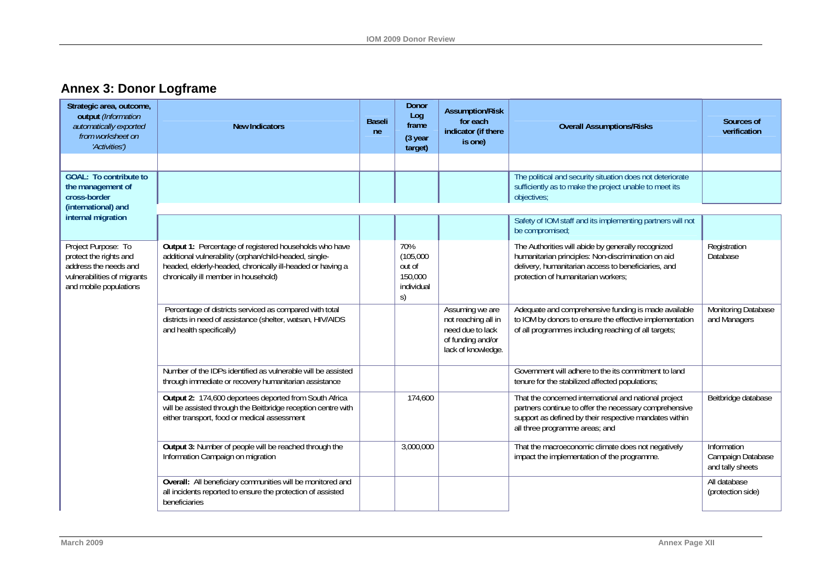# **Annex 3: Donor Logframe**

| Strategic area, outcome,<br>output (Information<br>automatically exported<br>from worksheet on<br>'Activities')                 | <b>New Indicators</b>                                                                                                                                                                                                  | <b>Baseli</b><br>ne | <b>Donor</b><br>Log<br>frame<br>(3 year<br>target)        | <b>Assumption/Risk</b><br>for each<br>indicator (if there<br>is one)                                  | <b>Overall Assumptions/Risks</b>                                                                                                                                                                            | Sources of<br>verification                           |
|---------------------------------------------------------------------------------------------------------------------------------|------------------------------------------------------------------------------------------------------------------------------------------------------------------------------------------------------------------------|---------------------|-----------------------------------------------------------|-------------------------------------------------------------------------------------------------------|-------------------------------------------------------------------------------------------------------------------------------------------------------------------------------------------------------------|------------------------------------------------------|
|                                                                                                                                 |                                                                                                                                                                                                                        |                     |                                                           |                                                                                                       |                                                                                                                                                                                                             |                                                      |
| <b>GOAL: To contribute to</b><br>the management of<br>cross-border                                                              |                                                                                                                                                                                                                        |                     |                                                           |                                                                                                       | The political and security situation does not deteriorate<br>sufficiently as to make the project unable to meet its<br>objectives;                                                                          |                                                      |
| (international) and<br>internal migration                                                                                       |                                                                                                                                                                                                                        |                     |                                                           |                                                                                                       |                                                                                                                                                                                                             |                                                      |
|                                                                                                                                 |                                                                                                                                                                                                                        |                     |                                                           |                                                                                                       | Safety of IOM staff and its implementing partners will not<br>be compromised;                                                                                                                               |                                                      |
| Project Purpose: To<br>protect the rights and<br>address the needs and<br>vulnerabilities of migrants<br>and mobile populations | Output 1: Percentage of registered households who have<br>additional vulnerability (orphan/child-headed, single-<br>headed, elderly-headed, chronically ill-headed or having a<br>chronically ill member in household) |                     | 70%<br>(105,000)<br>out of<br>150,000<br>individual<br>S) |                                                                                                       | The Authorities will abide by generally recognized<br>humanitarian principles: Non-discrimination on aid<br>delivery, humanitarian access to beneficiaries, and<br>protection of humanitarian workers;      | Registration<br>Database                             |
|                                                                                                                                 | Percentage of districts serviced as compared with total<br>districts in need of assistance (shelter, watsan, HIV/AIDS<br>and health specifically)                                                                      |                     |                                                           | Assuming we are<br>not reaching all in<br>need due to lack<br>of funding and/or<br>lack of knowledge. | Adequate and comprehensive funding is made available<br>to IOM by donors to ensure the effective implementation<br>of all programmes including reaching of all targets;                                     | Monitoring Database<br>and Managers                  |
|                                                                                                                                 | Number of the IDPs identified as vulnerable will be assisted<br>through immediate or recovery humanitarian assistance                                                                                                  |                     |                                                           |                                                                                                       | Government will adhere to the its commitment to land<br>tenure for the stabilized affected populations;                                                                                                     |                                                      |
|                                                                                                                                 | Output 2: 174,600 deportees deported from South Africa<br>will be assisted through the Beitbridge reception centre with<br>either transport, food or medical assessment                                                |                     | 174,600                                                   |                                                                                                       | That the concerned international and national project<br>partners continue to offer the necessary comprehensive<br>support as defined by their respective mandates within<br>all three programme areas; and | Beitbridge database                                  |
|                                                                                                                                 | Output 3: Number of people will be reached through the<br>Information Campaign on migration                                                                                                                            |                     | 3,000,000                                                 |                                                                                                       | That the macroeconomic climate does not negatively<br>impact the implementation of the programme.                                                                                                           | Information<br>Campaign Database<br>and tally sheets |
|                                                                                                                                 | Overall: All beneficiary communities will be monitored and<br>all incidents reported to ensure the protection of assisted<br>beneficiaries                                                                             |                     |                                                           |                                                                                                       |                                                                                                                                                                                                             | All database<br>(protection side)                    |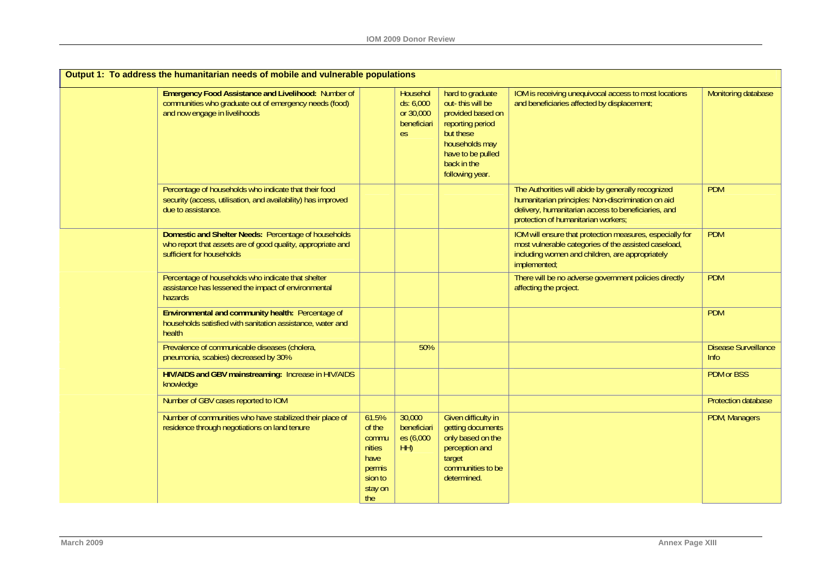| Output 1: To address the humanitarian needs of mobile and vulnerable populations                                                                      |                                                                                   |                                                          |                                                                                                                                                                     |                                                                                                                                                                                                        |                                     |  |
|-------------------------------------------------------------------------------------------------------------------------------------------------------|-----------------------------------------------------------------------------------|----------------------------------------------------------|---------------------------------------------------------------------------------------------------------------------------------------------------------------------|--------------------------------------------------------------------------------------------------------------------------------------------------------------------------------------------------------|-------------------------------------|--|
| <b>Emergency Food Assistance and Livelihood: Number of</b><br>communities who graduate out of emergency needs (food)<br>and now engage in livelihoods |                                                                                   | Househol<br>ds: 6,000<br>or 30,000<br>beneficiari<br>es. | hard to graduate<br>out-this will be<br>provided based on<br>reporting period<br>but these<br>households may<br>have to be pulled<br>back in the<br>following year. | IOM is receiving unequivocal access to most locations<br>and beneficiaries affected by displacement;                                                                                                   | Monitoring database                 |  |
| Percentage of households who indicate that their food<br>security (access, utilisation, and availability) has improved<br>due to assistance.          |                                                                                   |                                                          |                                                                                                                                                                     | The Authorities will abide by generally recognized<br>humanitarian principles: Non-discrimination on aid<br>delivery, humanitarian access to beneficiaries, and<br>protection of humanitarian workers; | <b>PDM</b>                          |  |
| Domestic and Shelter Needs: Percentage of households<br>who report that assets are of good quality, appropriate and<br>sufficient for households      |                                                                                   |                                                          |                                                                                                                                                                     | IOM will ensure that protection measures, especially for<br>most vulnerable categories of the assisted caseload,<br>including women and children, are appropriately<br>implemented;                    | <b>PDM</b>                          |  |
| Percentage of households who indicate that shelter<br>assistance has lessened the impact of environmental<br>hazards                                  |                                                                                   |                                                          |                                                                                                                                                                     | There will be no adverse government policies directly<br>affecting the project.                                                                                                                        | <b>PDM</b>                          |  |
| Environmental and community health: Percentage of<br>households satisfied with sanitation assistance, water and<br>health                             |                                                                                   |                                                          |                                                                                                                                                                     |                                                                                                                                                                                                        | <b>PDM</b>                          |  |
| Prevalence of communicable diseases (cholera,<br>pneumonia, scabies) decreased by 30%                                                                 |                                                                                   | 50%                                                      |                                                                                                                                                                     |                                                                                                                                                                                                        | <b>Disease Surveillance</b><br>Info |  |
| HIV/AIDS and GBV mainstreaming: Increase in HIV/AIDS<br>knowledge                                                                                     |                                                                                   |                                                          |                                                                                                                                                                     |                                                                                                                                                                                                        | <b>PDM</b> or BSS                   |  |
| Number of GBV cases reported to IOM                                                                                                                   |                                                                                   |                                                          |                                                                                                                                                                     |                                                                                                                                                                                                        | Protection database                 |  |
| Number of communities who have stabilized their place of<br>residence through negotiations on land tenure                                             | 61.5%<br>of the<br>commu<br>nities<br>have<br>permis<br>sion to<br>stay on<br>the | 30,000<br>beneficiari<br>es (6,000<br>HH)                | Given difficulty in<br>getting documents<br>only based on the<br>perception and<br>target<br>communities to be<br>determined.                                       |                                                                                                                                                                                                        | PDM, Managers                       |  |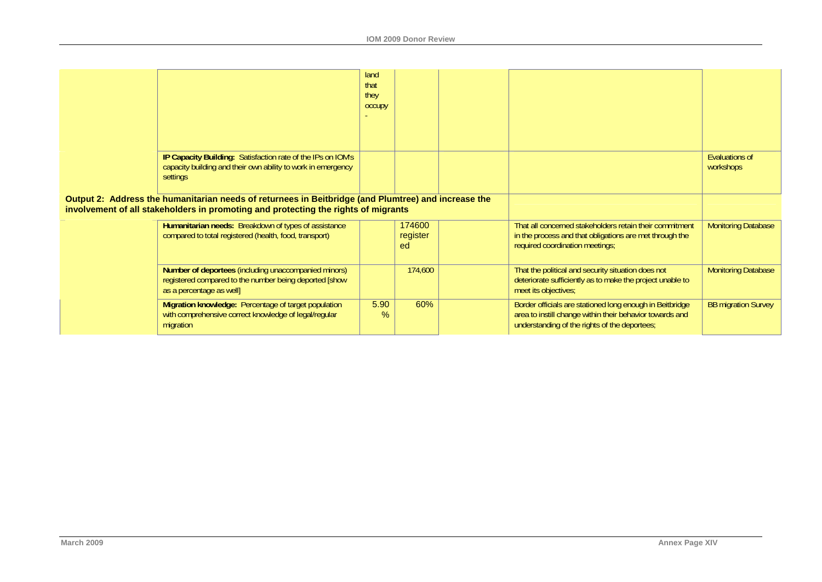|                                                                                                                                                                                           |                                                                                                                                            | land<br>that<br>they<br><b>OCCUPY</b> |                          |                                                                                                                                                                       |                                    |
|-------------------------------------------------------------------------------------------------------------------------------------------------------------------------------------------|--------------------------------------------------------------------------------------------------------------------------------------------|---------------------------------------|--------------------------|-----------------------------------------------------------------------------------------------------------------------------------------------------------------------|------------------------------------|
|                                                                                                                                                                                           | IP Capacity Building: Satisfaction rate of the IPs on IOM's<br>capacity building and their own ability to work in emergency<br>settings    |                                       |                          |                                                                                                                                                                       | <b>Evaluations of</b><br>workshops |
| Output 2: Address the humanitarian needs of returnees in Beitbridge (and Plumtree) and increase the<br>involvement of all stakeholders in promoting and protecting the rights of migrants |                                                                                                                                            |                                       |                          |                                                                                                                                                                       |                                    |
|                                                                                                                                                                                           | Humanitarian needs: Breakdown of types of assistance<br>compared to total registered (health, food, transport)                             |                                       | 174600<br>register<br>ed | That all concerned stakeholders retain their commitment<br>in the process and that obligations are met through the<br>required coordination meetings;                 | <b>Monitoring Database</b>         |
|                                                                                                                                                                                           | Number of deportees (including unaccompanied minors)<br>registered compared to the number being deported [show<br>as a percentage as well] |                                       | 174,600                  | That the political and security situation does not<br>deteriorate sufficiently as to make the project unable to<br>meet its objectives;                               | <b>Monitoring Database</b>         |
|                                                                                                                                                                                           | Migration knowledge: Percentage of target population<br>with comprehensive correct knowledge of legal/regular<br>migration                 | 5.90<br>%                             | 60%                      | Border officials are stationed long enough in Beitbridge<br>area to instill change within their behavior towards and<br>understanding of the rights of the deportees; | <b>BB migration Survey</b>         |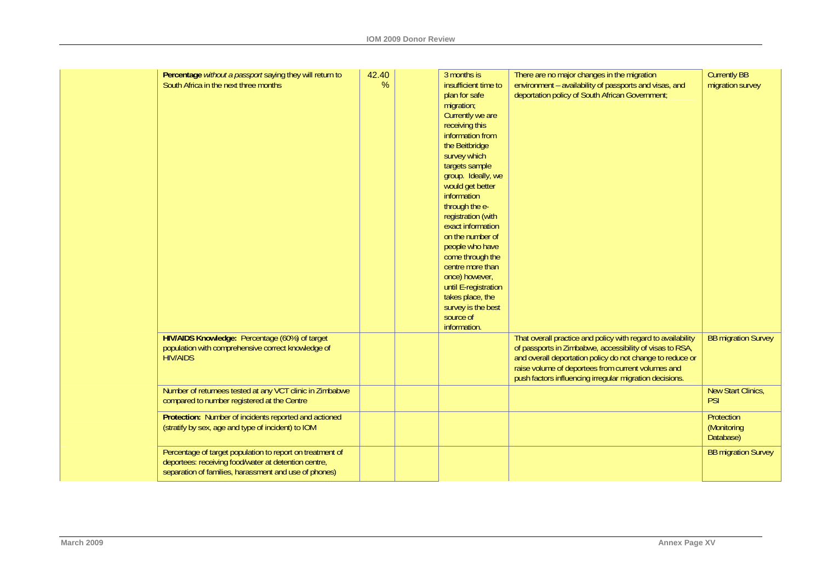| Percentage without a passport saying they will return to<br>South Africa in the next three months                                                                          | 42.40<br>% | 3 months is<br>insufficient time to<br>plan for safe<br>migration;<br>Currently we are<br>receiving this<br>information from<br>the Beitbridge<br>survey which<br>targets sample<br>group. Ideally, we<br>would get better<br>information<br>through the e-<br>registration (with<br>exact information<br>on the number of<br>people who have<br>come through the<br>centre more than<br>once) however,<br>until E-registration<br>takes place, the<br>survey is the best<br>source of<br>information. | There are no major changes in the migration<br>environment - availability of passports and visas, and<br>deportation policy of South African Government;                                                                                                                                               | <b>Currently BB</b><br>migration survey |
|----------------------------------------------------------------------------------------------------------------------------------------------------------------------------|------------|--------------------------------------------------------------------------------------------------------------------------------------------------------------------------------------------------------------------------------------------------------------------------------------------------------------------------------------------------------------------------------------------------------------------------------------------------------------------------------------------------------|--------------------------------------------------------------------------------------------------------------------------------------------------------------------------------------------------------------------------------------------------------------------------------------------------------|-----------------------------------------|
| HIV/AIDS Knowledge: Percentage (60%) of target<br>population with comprehensive correct knowledge of<br><b>HIV/AIDS</b>                                                    |            |                                                                                                                                                                                                                                                                                                                                                                                                                                                                                                        | That overall practice and policy with regard to availability<br>of passports in Zimbabwe, accessibility of visas to RSA,<br>and overall deportation policy do not change to reduce or<br>raise volume of deportees from current volumes and<br>push factors influencing irregular migration decisions. | <b>BB migration Survey</b>              |
| Number of returnees tested at any VCT clinic in Zimbabwe<br>compared to number registered at the Centre                                                                    |            |                                                                                                                                                                                                                                                                                                                                                                                                                                                                                                        |                                                                                                                                                                                                                                                                                                        | New Start Clinics,<br>PSI               |
| Protection: Number of incidents reported and actioned<br>(stratify by sex, age and type of incident) to IOM                                                                |            |                                                                                                                                                                                                                                                                                                                                                                                                                                                                                                        |                                                                                                                                                                                                                                                                                                        | Protection<br>(Monitoring<br>Database)  |
| Percentage of target population to report on treatment of<br>deportees: receiving food/water at detention centre,<br>separation of families, harassment and use of phones) |            |                                                                                                                                                                                                                                                                                                                                                                                                                                                                                                        |                                                                                                                                                                                                                                                                                                        | <b>BB migration Survey</b>              |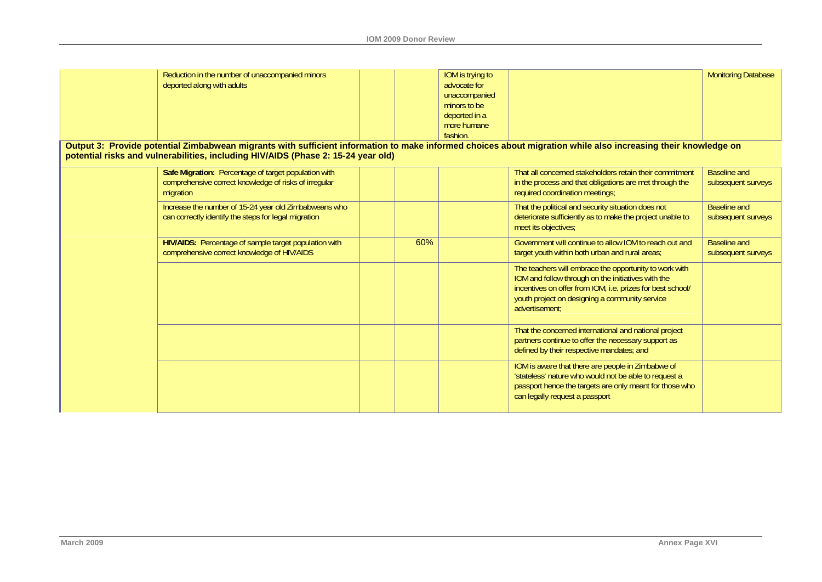| Reduction in the number of unaccompanied minors                                                                                                                                                                                                    |     | IOM is trying to |                                                                                                  | <b>Monitoring Database</b> |
|----------------------------------------------------------------------------------------------------------------------------------------------------------------------------------------------------------------------------------------------------|-----|------------------|--------------------------------------------------------------------------------------------------|----------------------------|
| deported along with adults                                                                                                                                                                                                                         |     | advocate for     |                                                                                                  |                            |
|                                                                                                                                                                                                                                                    |     | unaccompanied    |                                                                                                  |                            |
|                                                                                                                                                                                                                                                    |     | minors to be     |                                                                                                  |                            |
|                                                                                                                                                                                                                                                    |     | deported in a    |                                                                                                  |                            |
|                                                                                                                                                                                                                                                    |     | more humane      |                                                                                                  |                            |
|                                                                                                                                                                                                                                                    |     | fashion.         |                                                                                                  |                            |
| Output 3: Provide potential Zimbabwean migrants with sufficient information to make informed choices about migration while also increasing their knowledge on<br>potential risks and vulnerabilities, including HIV/AIDS (Phase 2: 15-24 year old) |     |                  |                                                                                                  |                            |
| Safe Migration: Percentage of target population with                                                                                                                                                                                               |     |                  | That all concerned stakeholders retain their commitment                                          | <b>Baseline and</b>        |
| comprehensive correct knowledge of risks of irregular<br>migration                                                                                                                                                                                 |     |                  | in the process and that obligations are met through the<br>required coordination meetings;       | subsequent surveys         |
| Increase the number of 15-24 year old Zimbabweans who                                                                                                                                                                                              |     |                  | That the political and security situation does not                                               | <b>Baseline and</b>        |
| can correctly identify the steps for legal migration                                                                                                                                                                                               |     |                  | deteriorate sufficiently as to make the project unable to<br>meet its objectives;                | subsequent surveys         |
| HIV/AIDS: Percentage of sample target population with                                                                                                                                                                                              | 60% |                  | Government will continue to allow IOM to reach out and                                           | <b>Baseline and</b>        |
| comprehensive correct knowledge of HIV/AIDS                                                                                                                                                                                                        |     |                  | target youth within both urban and rural areas;                                                  | subsequent surveys         |
|                                                                                                                                                                                                                                                    |     |                  | The teachers will embrace the opportunity to work with                                           |                            |
|                                                                                                                                                                                                                                                    |     |                  | IOM and follow through on the initiatives with the                                               |                            |
|                                                                                                                                                                                                                                                    |     |                  | incentives on offer from IOM, i.e. prizes for best school/                                       |                            |
|                                                                                                                                                                                                                                                    |     |                  | youth project on designing a community service<br>advertisement:                                 |                            |
|                                                                                                                                                                                                                                                    |     |                  | That the concerned international and national project                                            |                            |
|                                                                                                                                                                                                                                                    |     |                  | partners continue to offer the necessary support as<br>defined by their respective mandates; and |                            |
|                                                                                                                                                                                                                                                    |     |                  | IOM is aware that there are people in Zimbabwe of                                                |                            |
|                                                                                                                                                                                                                                                    |     |                  | 'stateless' nature who would not be able to request a                                            |                            |
|                                                                                                                                                                                                                                                    |     |                  | passport hence the targets are only meant for those who                                          |                            |
|                                                                                                                                                                                                                                                    |     |                  | can legally request a passport                                                                   |                            |
|                                                                                                                                                                                                                                                    |     |                  |                                                                                                  |                            |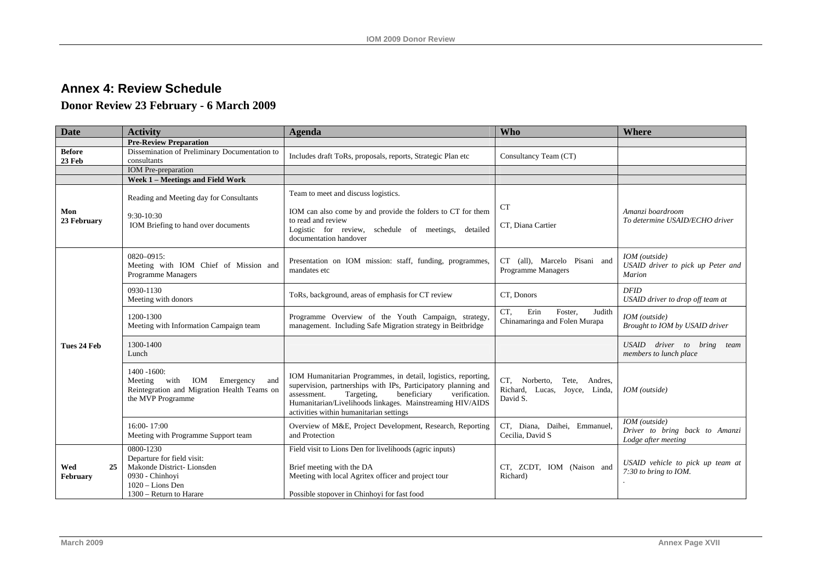# **Annex 4: Review Schedule**

# **Donor Review 23 February - 6 March 2009**

<span id="page-57-0"></span>

| <b>Date</b>                    | <b>Activity</b>                                                                                                                        | <b>Agenda</b>                                                                                                                                                                                                                                                                                        | <b>Who</b>                                                                        | <b>Where</b>                                                           |
|--------------------------------|----------------------------------------------------------------------------------------------------------------------------------------|------------------------------------------------------------------------------------------------------------------------------------------------------------------------------------------------------------------------------------------------------------------------------------------------------|-----------------------------------------------------------------------------------|------------------------------------------------------------------------|
|                                | <b>Pre-Review Preparation</b>                                                                                                          |                                                                                                                                                                                                                                                                                                      |                                                                                   |                                                                        |
| <b>Before</b><br><b>23 Feb</b> | Dissemination of Preliminary Documentation to<br>consultants                                                                           | Includes draft ToRs, proposals, reports, Strategic Plan etc                                                                                                                                                                                                                                          | Consultancy Team (CT)                                                             |                                                                        |
|                                | <b>IOM</b> Pre-preparation                                                                                                             |                                                                                                                                                                                                                                                                                                      |                                                                                   |                                                                        |
|                                | Week 1 - Meetings and Field Work                                                                                                       |                                                                                                                                                                                                                                                                                                      |                                                                                   |                                                                        |
| Mon<br>23 February             | Reading and Meeting day for Consultants<br>9:30-10:30<br>IOM Briefing to hand over documents                                           | Team to meet and discuss logistics.<br>IOM can also come by and provide the folders to CT for them<br>to read and review<br>Logistic for review, schedule of meetings, detailed<br>documentation handover                                                                                            | <b>CT</b><br>CT, Diana Cartier                                                    | Amanzi boardroom<br>To determine USAID/ECHO driver                     |
|                                | $0820 - 0915$ :<br>Meeting with IOM Chief of Mission and<br>Programme Managers                                                         | Presentation on IOM mission: staff, funding, programmes,<br>mandates etc                                                                                                                                                                                                                             | CT (all), Marcelo Pisani and<br>Programme Managers                                | IOM (outside)<br>USAID driver to pick up Peter and<br><b>Marion</b>    |
|                                | 0930-1130<br>Meeting with donors                                                                                                       | ToRs, background, areas of emphasis for CT review                                                                                                                                                                                                                                                    | CT, Donors                                                                        | <b>DFID</b><br>USAID driver to drop off team at                        |
|                                | 1200-1300<br>Meeting with Information Campaign team                                                                                    | Programme Overview of the Youth Campaign, strategy,<br>management. Including Safe Migration strategy in Beitbridge                                                                                                                                                                                   | CT.<br>Erin<br>Foster,<br>Judith<br>Chinamaringa and Folen Murapa                 | IOM (outside)<br>Brought to IOM by USAID driver                        |
| Tues 24 Feb                    | 1300-1400<br>Lunch                                                                                                                     |                                                                                                                                                                                                                                                                                                      |                                                                                   | USAID driver to bring<br>team<br>members to lunch place                |
|                                | 1400 - 1600:<br>Meeting<br>with<br>IOM<br>Emergency<br>and<br>Reintegration and Migration Health Teams on<br>the MVP Programme         | IOM Humanitarian Programmes, in detail, logistics, reporting,<br>supervision, partnerships with IPs, Participatory planning and<br>beneficiary<br>assessment.<br>Targeting,<br>verification.<br>Humanitarian/Livelihoods linkages. Mainstreaming HIV/AIDS<br>activities within humanitarian settings | CT, Norberto,<br>Tete,<br>Andres,<br>Richard, Lucas,<br>Joyce, Linda,<br>David S. | IOM (outside)                                                          |
|                                | 16:00-17:00<br>Meeting with Programme Support team                                                                                     | Overview of M&E, Project Development, Research, Reporting<br>and Protection                                                                                                                                                                                                                          | CT, Diana, Daihei, Emmanuel,<br>Cecilia, David S                                  | IOM (outside)<br>Driver to bring back to Amanzi<br>Lodge after meeting |
| Wed<br>25<br>February          | 0800-1230<br>Departure for field visit:<br>Makonde District-Lionsden<br>0930 - Chinhovi<br>1020 - Lions Den<br>1300 – Return to Harare | Field visit to Lions Den for livelihoods (agric inputs)<br>Brief meeting with the DA<br>Meeting with local Agritex officer and project tour<br>Possible stopover in Chinhoyi for fast food                                                                                                           | CT, ZCDT, IOM (Naison and<br>Richard)                                             | USAID vehicle to pick up team at<br>7:30 to bring to IOM.              |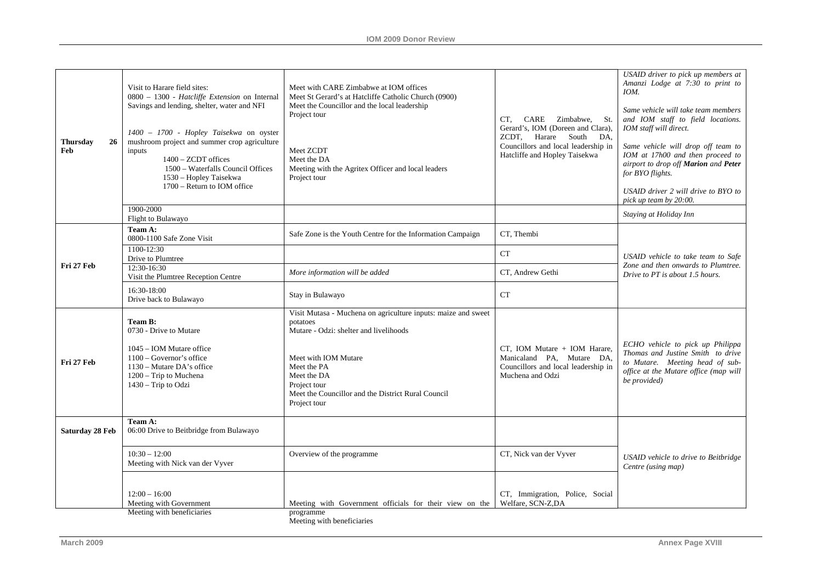| <b>Thursdav</b><br>26<br>Feb<br>inputs<br>$1400 - ZCDT$ offices<br>1900-2000                                                                                                              | 1400 - 1700 - Hopley Taisekwa on oyster<br>mushroom project and summer crop agriculture<br>1500 - Waterfalls Council Offices<br>1530 - Hopley Taisekwa<br>1700 – Return to IOM office | Project tour<br>Meet ZCDT<br>Meet the DA<br>Meeting with the Agritex Officer and local leaders<br>Project tour                                                                                                                                                  | CARE<br>Zimbabwe,<br>CT.<br>St.<br>Gerard's, IOM (Doreen and Clara),<br>ZCDT, Harare South<br>DA.<br>Councillors and local leadership in<br>Hatcliffe and Hopley Taisekwa | Same vehicle will take team members<br>and IOM staff to field locations.<br>IOM staff will direct.<br>Same vehicle will drop off team to<br>IOM at 17h00 and then proceed to<br>airport to drop off Marion and Peter<br>for BYO flights.<br>USAID driver 2 will drive to BYO to<br>pick up team by 20:00. |
|-------------------------------------------------------------------------------------------------------------------------------------------------------------------------------------------|---------------------------------------------------------------------------------------------------------------------------------------------------------------------------------------|-----------------------------------------------------------------------------------------------------------------------------------------------------------------------------------------------------------------------------------------------------------------|---------------------------------------------------------------------------------------------------------------------------------------------------------------------------|-----------------------------------------------------------------------------------------------------------------------------------------------------------------------------------------------------------------------------------------------------------------------------------------------------------|
| Flight to Bulawayo                                                                                                                                                                        |                                                                                                                                                                                       |                                                                                                                                                                                                                                                                 |                                                                                                                                                                           | Staying at Holiday Inn                                                                                                                                                                                                                                                                                    |
| Team A:<br>0800-1100 Safe Zone Visit                                                                                                                                                      |                                                                                                                                                                                       | Safe Zone is the Youth Centre for the Information Campaign                                                                                                                                                                                                      | CT. Thembi                                                                                                                                                                |                                                                                                                                                                                                                                                                                                           |
| 1100-12:30<br>Drive to Plumtree                                                                                                                                                           |                                                                                                                                                                                       |                                                                                                                                                                                                                                                                 | ${\cal C}{\cal T}$                                                                                                                                                        | USAID vehicle to take team to Safe                                                                                                                                                                                                                                                                        |
| Fri 27 Feb<br>12:30-16:30<br>Visit the Plumtree Reception Centre                                                                                                                          |                                                                                                                                                                                       | More information will be added                                                                                                                                                                                                                                  | CT, Andrew Gethi                                                                                                                                                          | Zone and then onwards to Plumtree.<br>Drive to PT is about 1.5 hours.                                                                                                                                                                                                                                     |
| 16:30-18:00<br>Drive back to Bulawayo                                                                                                                                                     |                                                                                                                                                                                       | Stay in Bulawayo                                                                                                                                                                                                                                                | <b>CT</b>                                                                                                                                                                 |                                                                                                                                                                                                                                                                                                           |
| Team B:<br>0730 - Drive to Mutare<br>1045 - IOM Mutare office<br>$1100 - Governor's$ office<br>Fri 27 Feb<br>1130 – Mutare DA's office<br>$1200 -$ Trip to Muchena<br>1430 - Trip to Odzi |                                                                                                                                                                                       | Visit Mutasa - Muchena on agriculture inputs: maize and sweet<br>potatoes<br>Mutare - Odzi: shelter and livelihoods<br>Meet with IOM Mutare<br>Meet the PA<br>Meet the DA<br>Project tour<br>Meet the Councillor and the District Rural Council<br>Project tour | CT, IOM Mutare + IOM Harare,<br>Manicaland PA, Mutare DA,<br>Councillors and local leadership in<br>Muchena and Odzi                                                      | ECHO vehicle to pick up Philippa<br>Thomas and Justine Smith to drive<br>to Mutare. Meeting head of sub-<br>office at the Mutare office (map will<br>be provided)                                                                                                                                         |
| Team A:<br>06:00 Drive to Beitbridge from Bulawayo<br>Saturday 28 Feb                                                                                                                     |                                                                                                                                                                                       |                                                                                                                                                                                                                                                                 |                                                                                                                                                                           |                                                                                                                                                                                                                                                                                                           |
| $10:30 - 12:00$<br>Meeting with Nick van der Vyver                                                                                                                                        |                                                                                                                                                                                       | Overview of the programme                                                                                                                                                                                                                                       | CT, Nick van der Vyver                                                                                                                                                    | USAID vehicle to drive to Beitbridge<br>Centre (using map)                                                                                                                                                                                                                                                |
| $12:00 - 16:00$<br>Meeting with Government<br>Meeting with beneficiaries                                                                                                                  |                                                                                                                                                                                       | Meeting with Government officials for their view on the<br>programme                                                                                                                                                                                            | CT, Immigration, Police, Social<br>Welfare, SCN-Z,DA                                                                                                                      |                                                                                                                                                                                                                                                                                                           |

Meeting with beneficiaries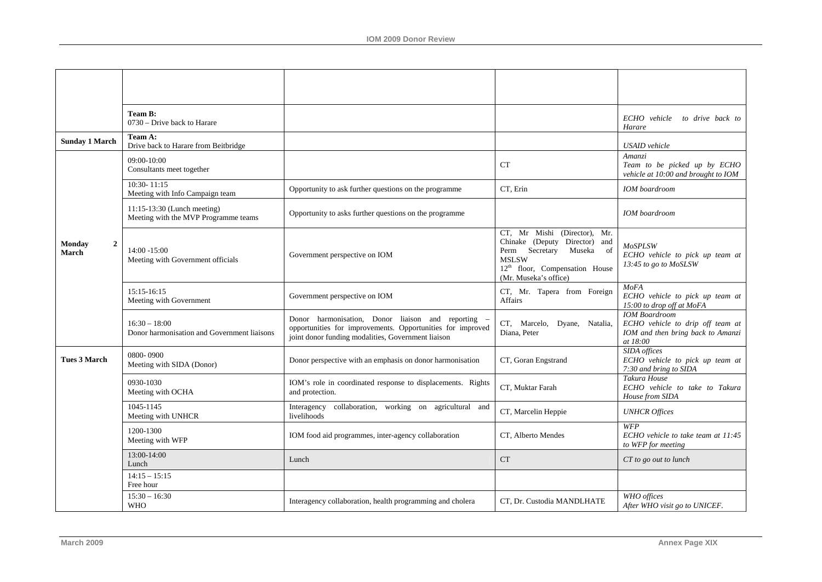|                                          | Team B:<br>0730 – Drive back to Harare                              |                                                                                                                                                                      |                                                                                                                                                                                           | ECHO vehicle<br>to drive back to<br>Harare                                                                |
|------------------------------------------|---------------------------------------------------------------------|----------------------------------------------------------------------------------------------------------------------------------------------------------------------|-------------------------------------------------------------------------------------------------------------------------------------------------------------------------------------------|-----------------------------------------------------------------------------------------------------------|
| <b>Sunday 1 March</b>                    | Team A:<br>Drive back to Harare from Beitbridge                     |                                                                                                                                                                      |                                                                                                                                                                                           | <b>USAID</b> vehicle                                                                                      |
|                                          | 09:00-10:00<br>Consultants meet together                            |                                                                                                                                                                      | CT                                                                                                                                                                                        | Amanzi<br>Team to be picked up by ECHO<br>vehicle at 10:00 and brought to IOM                             |
|                                          | $10:30 - 11:15$<br>Meeting with Info Campaign team                  | Opportunity to ask further questions on the programme                                                                                                                | CT, Erin                                                                                                                                                                                  | <b>IOM</b> boardroom                                                                                      |
|                                          | 11:15-13:30 (Lunch meeting)<br>Meeting with the MVP Programme teams | Opportunity to asks further questions on the programme                                                                                                               |                                                                                                                                                                                           | <b>IOM</b> boardroom                                                                                      |
| $\overline{2}$<br><b>Monday</b><br>March | $14:00 - 15:00$<br>Meeting with Government officials                | Government perspective on IOM                                                                                                                                        | CT, Mr Mishi (Director),<br>Mr.<br>Chinake (Deputy Director) and<br>Perm Secretary<br>Museka<br>of<br><b>MSLSW</b><br>12 <sup>th</sup> floor, Compensation House<br>(Mr. Museka's office) | <b>MoSPLSW</b><br>ECHO vehicle to pick up team at<br>13:45 to go to MoSLSW                                |
|                                          | 15:15-16:15<br>Meeting with Government                              | Government perspective on IOM                                                                                                                                        | CT, Mr. Tapera from Foreign<br><b>Affairs</b>                                                                                                                                             | <b>MoFA</b><br>ECHO vehicle to pick up team at<br>15:00 to drop off at MoFA                               |
|                                          | $16:30 - 18:00$<br>Donor harmonisation and Government liaisons      | Donor harmonisation, Donor liaison and reporting<br>opportunities for improvements. Opportunities for improved<br>joint donor funding modalities, Government liaison | CT, Marcelo, Dyane, Natalia,<br>Diana, Peter                                                                                                                                              | <b>IOM</b> Boardroom<br>ECHO vehicle to drip off team at<br>IOM and then bring back to Amanzi<br>at 18:00 |
| <b>Tues 3 March</b>                      | 0800-0900<br>Meeting with SIDA (Donor)                              | Donor perspective with an emphasis on donor harmonisation                                                                                                            | CT, Goran Engstrand                                                                                                                                                                       | <b>SIDA</b> offices<br>ECHO vehicle to pick up team at<br>7:30 and bring to SIDA                          |
|                                          | 0930-1030<br>Meeting with OCHA                                      | IOM's role in coordinated response to displacements. Rights<br>and protection.                                                                                       | CT, Muktar Farah                                                                                                                                                                          | Takura House<br>ECHO vehicle to take to Takura<br>House from SIDA                                         |
|                                          | 1045-1145<br>Meeting with UNHCR                                     | Interagency collaboration, working on agricultural and<br>livelihoods                                                                                                | CT, Marcelin Heppie                                                                                                                                                                       | <b>UNHCR</b> Offices                                                                                      |
|                                          | 1200-1300<br>Meeting with WFP                                       | IOM food aid programmes, inter-agency collaboration                                                                                                                  | CT, Alberto Mendes                                                                                                                                                                        | WFP<br>ECHO vehicle to take team at 11:45<br>to WFP for meeting                                           |
|                                          | 13:00-14:00<br>Lunch                                                | Lunch                                                                                                                                                                | <b>CT</b>                                                                                                                                                                                 | CT to go out to lunch                                                                                     |
|                                          | $14:15 - 15:15$<br>Free hour                                        |                                                                                                                                                                      |                                                                                                                                                                                           |                                                                                                           |
|                                          | $15:30 - 16:30$<br><b>WHO</b>                                       | Interagency collaboration, health programming and cholera                                                                                                            | CT. Dr. Custodia MANDLHATE                                                                                                                                                                | WHO offices<br>After WHO visit go to UNICEF.                                                              |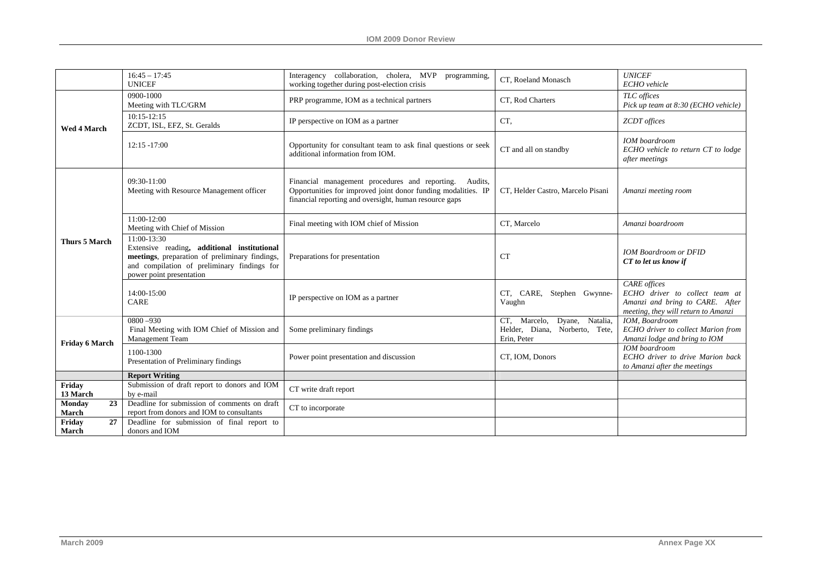|                       | $16:45 - 17:45$<br><b>UNICEF</b>                                                                                                                                                        | Interagency collaboration, cholera, MVP programming,<br>working together during post-election crisis                                                                                 | CT, Roeland Monasch                                                              | <b>UNICEF</b><br>ECHO vehicle                                                                                                   |
|-----------------------|-----------------------------------------------------------------------------------------------------------------------------------------------------------------------------------------|--------------------------------------------------------------------------------------------------------------------------------------------------------------------------------------|----------------------------------------------------------------------------------|---------------------------------------------------------------------------------------------------------------------------------|
|                       | 0900-1000<br>Meeting with TLC/GRM                                                                                                                                                       | PRP programme, IOM as a technical partners                                                                                                                                           | CT, Rod Charters                                                                 | TLC offices<br>Pick up team at 8:30 (ECHO vehicle)                                                                              |
| Wed 4 March           | $10:15-12:15$<br>ZCDT, ISL, EFZ, St. Geralds                                                                                                                                            | IP perspective on IOM as a partner                                                                                                                                                   | CT,                                                                              | <b>ZCDT</b> offices                                                                                                             |
|                       | $12:15 - 17:00$                                                                                                                                                                         | Opportunity for consultant team to ask final questions or seek<br>additional information from IOM.                                                                                   | CT and all on standby                                                            | <b>IOM</b> boardroom<br>ECHO vehicle to return CT to lodge<br>after meetings                                                    |
|                       | 09:30-11:00<br>Meeting with Resource Management officer                                                                                                                                 | Financial management procedures and reporting.<br>Audits,<br>Opportunities for improved joint donor funding modalities. IP<br>financial reporting and oversight, human resource gaps | CT, Helder Castro, Marcelo Pisani                                                | Amanzi meeting room                                                                                                             |
|                       | 11:00-12:00<br>Meeting with Chief of Mission                                                                                                                                            | Final meeting with IOM chief of Mission                                                                                                                                              | CT, Marcelo                                                                      | Amanzi boardroom                                                                                                                |
| <b>Thurs 5 March</b>  | 11:00-13:30<br>Extensive reading, additional institutional<br>meetings, preparation of preliminary findings,<br>and compilation of preliminary findings for<br>power point presentation | Preparations for presentation                                                                                                                                                        | <b>CT</b>                                                                        | <b>IOM Boardroom or DFID</b><br>CT to let us know if                                                                            |
|                       | 14:00-15:00<br><b>CARE</b>                                                                                                                                                              | IP perspective on IOM as a partner                                                                                                                                                   | CT, CARE, Stephen Gwynne-<br>Vaughn                                              | <b>CARE</b> offices<br>ECHO driver to collect team at<br>Amanzi and bring to CARE. After<br>meeting, they will return to Amanzi |
| Friday 6 March        | $0800 - 930$<br>Final Meeting with IOM Chief of Mission and<br>Management Team                                                                                                          | Some preliminary findings                                                                                                                                                            | Dyane, Natalia,<br>CT, Marcelo,<br>Helder, Diana, Norberto, Tete,<br>Erin, Peter | IOM. Boardroom<br>ECHO driver to collect Marion from<br>Amanzi lodge and bring to IOM                                           |
|                       | 1100-1300<br>Presentation of Preliminary findings                                                                                                                                       | Power point presentation and discussion                                                                                                                                              | CT, IOM, Donors                                                                  | <b>IOM</b> boardroom<br>ECHO driver to drive Marion back<br>to Amanzi after the meetings                                        |
|                       | <b>Report Writing</b>                                                                                                                                                                   |                                                                                                                                                                                      |                                                                                  |                                                                                                                                 |
| Friday<br>13 March    | Submission of draft report to donors and IOM<br>by e-mail                                                                                                                               | CT write draft report                                                                                                                                                                |                                                                                  |                                                                                                                                 |
| 23<br>Monday<br>March | Deadline for submission of comments on draft<br>report from donors and IOM to consultants                                                                                               | CT to incorporate                                                                                                                                                                    |                                                                                  |                                                                                                                                 |
| 27<br>Friday<br>March | Deadline for submission of final report to<br>donors and IOM                                                                                                                            |                                                                                                                                                                                      |                                                                                  |                                                                                                                                 |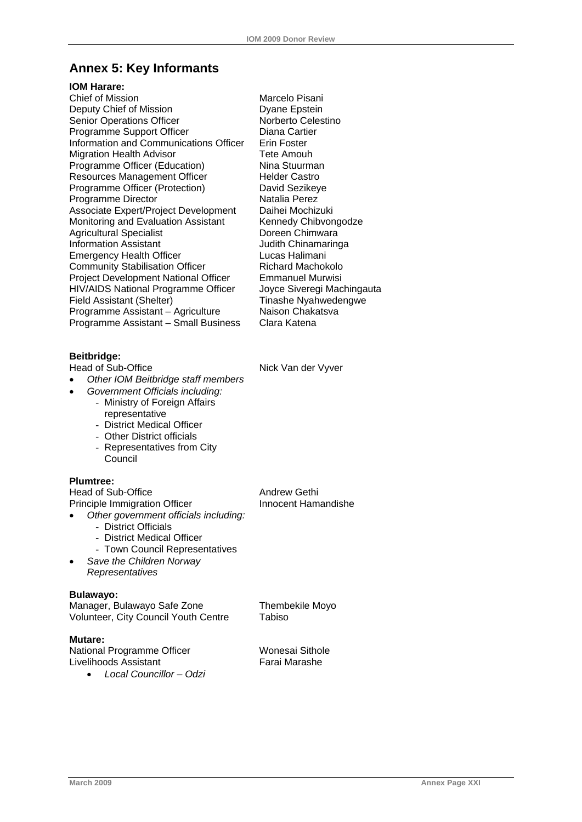## <span id="page-61-0"></span>**Annex 5: Key Informants**

#### **IOM Harare:**

Chief of Mission **Marcelo** Pisani Deputy Chief of Mission Dyane Epstein Senior Operations Officer Norberto Celestino Programme Support Officer **Diana Cartier** Information and Communications Officer Erin Foster Migration Health Advisor<br>
Programme Officer (Education) Nina Stuurman Programme Officer (Education) Resources Management Officer Helder Castro Programme Officer (Protection) David Sezikeye Programme Director Natalia Perez Associate Expert/Project Development Daihei Mochizuki Monitoring and Evaluation Assistant Kennedy Chibvongodze Agricultural Specialist **Doreen Chimwara** Information Assistant **Information Assistant Emergency Health Officer Lucas Halimani** Community Stabilisation Officer Richard Machokolo Project Development National Officer Emmanuel Murwisi HIV/AIDS National Programme Officer Joyce Siveregi Machingauta Field Assistant (Shelter) Tinashe Nyahwedengwe<br>Programme Assistant – Agriculture Naison Chakatsva Programme Assistant – Agriculture Programme Assistant – Small Business Clara Katena

**Beitbridge:**

- *Other IOM Beitbridge staff members*
	- *Government Officials including:* - Ministry of Foreign Affairs
		- representative - District Medical Officer
		- Other District officials
		- Representatives from City Council

#### **Plumtree:**

Head of Sub-Office Andrew Gethi Principle Immigration Officer • *Other government officials including:*  - District Officials - District Medical Officer - Town Council Representatives • *Save the Children Norway Representatives* 

#### **Bulawayo:**

Manager, Bulawayo Safe Zone Thembekile Moyo Volunteer, City Council Youth Centre Tabiso

#### **Mutare:**

National Programme Officer Wonesai Sithole Livelihoods Assistant Farai Marashe

• *Local Councillor – Odzi*

Nick Van der Vyver

Innocent Hamandishe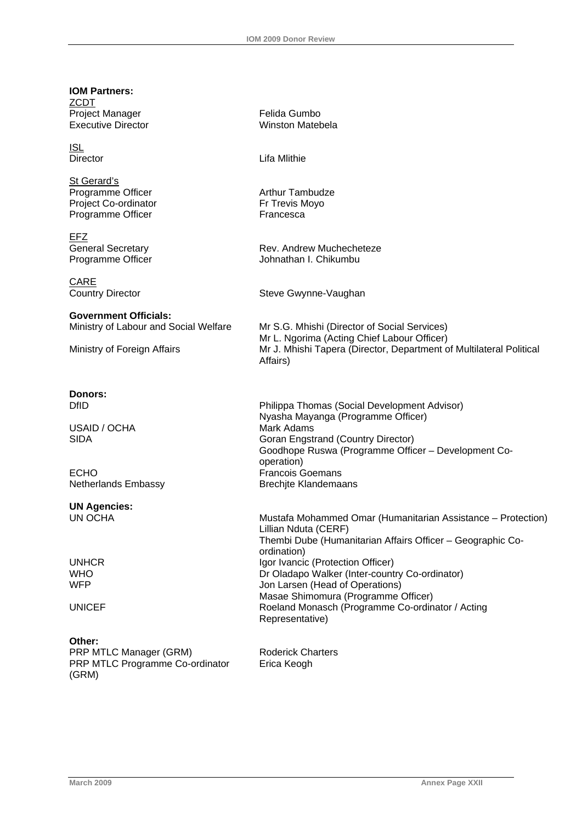**IOM Partners: ZCDT** Project Manager **Felida Gumbo**<br> **Executive Director**<br> **Executive Director** Executive Director **ISL**<br>Director Lifa Mlithie St Gerard's Programme Officer **Arthur Tambudze** Arthur Tambudze Project Co-ordinator Fr Trevis Moyo Programme Officer Francesca EFZ General Secretary **Rev. Andrew Muchecheteze** Programme Officer **Victor** Johnathan I. Chikumbu CARE Country Director **Steve Gwynne-Vaughan Government Officials:**  Ministry of Labour and Social Welfare Mr S.G. Mhishi (Director of Social Services) Mr L. Ngorima (Acting Chief Labour Officer) Ministry of Foreign Affairs Mr J. Mhishi Tapera (Director, Department of Multilateral Political Affairs) **Donors:**  DfID Philippa Thomas (Social Development Advisor) Nyasha Mayanga (Programme Officer) USAID / OCHA Mark Adams SIDA Goran Engstrand (Country Director) Goodhope Ruswa (Programme Officer – Development Cooperation) ECHO **Francois Goemans** Netherlands Embassy Brechjte Klandemaans **UN Agencies:**  UN OCHA Mustafa Mohammed Omar (Humanitarian Assistance – Protection) Lillian Nduta (CERF) Thembi Dube (Humanitarian Affairs Officer – Geographic Coordination) UNHCR Igor Ivancic (Protection Officer) WHO Dr Oladapo Walker (Inter-country Co-ordinator)<br>Understand the different development of Operations (Decretions) Jon Larsen (Head of Operations) Masae Shimomura (Programme Officer) UNICEF **Roeland Monasch (Programme Co-ordinator / Acting** Representative) **Other:**  PRP MTLC Manager (GRM) Roderick Charters PRP MTLC Programme Co-ordinator (GRM) Erica Keogh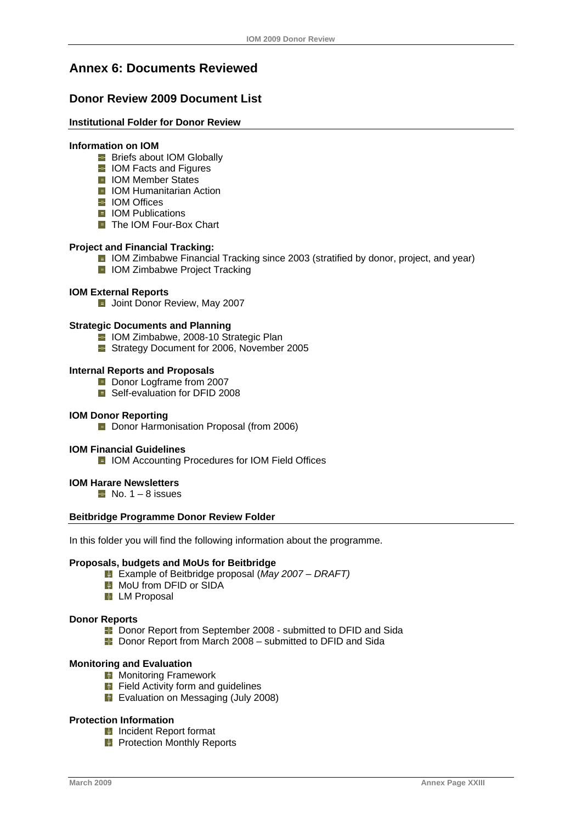## <span id="page-63-0"></span>**Annex 6: Documents Reviewed**

## **Donor Review 2009 Document List**

#### **Institutional Folder for Donor Review**

#### **Information on IOM**

- **Briefs about IOM Globally**
- **I** IOM Facts and Figures
- **ID** IOM Member States
- **I** IOM Humanitarian Action
- **E** IOM Offices
- **E** IOM Publications
- The IOM Four-Box Chart

#### **Project and Financial Tracking:**

- **I** IOM Zimbabwe Financial Tracking since 2003 (stratified by donor, project, and year)
- **I** IOM Zimbabwe Project Tracking

#### **IOM External Reports**

**Joint Donor Review, May 2007** 

#### **Strategic Documents and Planning**

- **I** IOM Zimbabwe, 2008-10 Strategic Plan
- **E** Strategy Document for 2006, November 2005

#### **Internal Reports and Proposals**

- Donor Logframe from 2007
- Self-evaluation for DFID 2008

#### **IOM Donor Reporting**

**D** Donor Harmonisation Proposal (from 2006)

#### **IOM Financial Guidelines**

**I** IOM Accounting Procedures for IOM Field Offices

#### **IOM Harare Newsletters**

 $\blacksquare$  No. 1 – 8 issues

#### **Beitbridge Programme Donor Review Folder**

In this folder you will find the following information about the programme.

#### **Proposals, budgets and MoUs for Beitbridge**

- Example of Beitbridge proposal (*May 2007 DRAFT)*
- **H** MoU from DFID or SIDA
- **H** LM Proposal

#### **Donor Reports**

- **B** Donor Report from September 2008 submitted to DFID and Sida
- **B** Donor Report from March 2008 submitted to DFID and Sida

#### **Monitoring and Evaluation**

- **H** Monitoring Framework
- **Fi** Field Activity form and guidelines
- Evaluation on Messaging (July 2008)

#### **Protection Information**

- **H** Incident Report format
- **Protection Monthly Reports**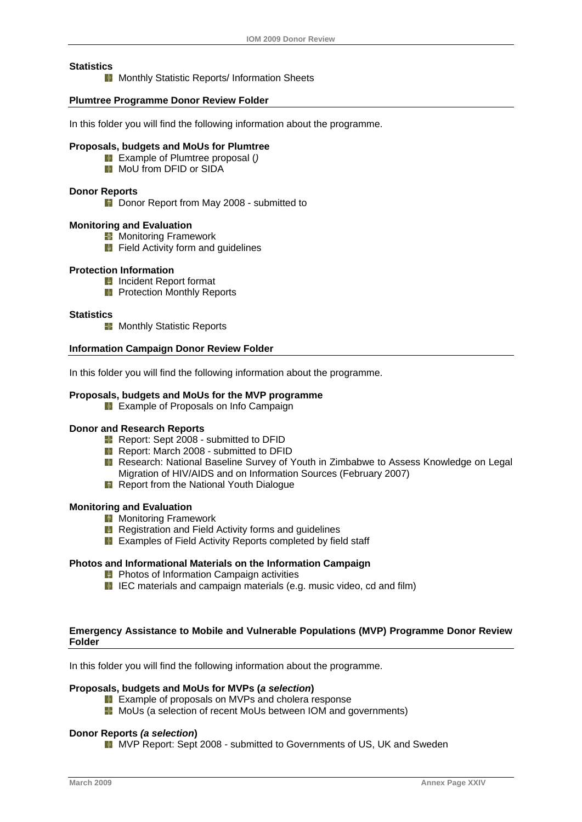#### **Statistics**

**H** Monthly Statistic Reports/ Information Sheets

#### **Plumtree Programme Donor Review Folder**

In this folder you will find the following information about the programme.

#### **Proposals, budgets and MoUs for Plumtree**

- Example of Plumtree proposal (*)*
- **H** MoU from DFID or SIDA

#### **Donor Reports**

**E** Donor Report from May 2008 - submitted to

#### **Monitoring and Evaluation**

- **K** Monitoring Framework
	- **H** Field Activity form and guidelines

#### **Protection Information**

- **Incident Report format**
- **Protection Monthly Reports**

#### **Statistics**

**Monthly Statistic Reports** 

#### **Information Campaign Donor Review Folder**

In this folder you will find the following information about the programme.

#### **Proposals, budgets and MoUs for the MVP programme**

**H** Example of Proposals on Info Campaign

#### **Donor and Research Reports**

- **Report: Sept 2008 submitted to DFID**
- Report: March 2008 submitted to DFID
- **R** Research: National Baseline Survey of Youth in Zimbabwe to Assess Knowledge on Legal Migration of HIV/AIDS and on Information Sources (February 2007)
- **Report from the National Youth Dialogue**

#### **Monitoring and Evaluation**

- **H** Monitoring Framework
- **H** Registration and Field Activity forms and guidelines
- **Examples of Field Activity Reports completed by field staff**

#### **Photos and Informational Materials on the Information Campaign**

- **Photos of Information Campaign activities**
- **I** IEC materials and campaign materials (e.g. music video, cd and film)

#### **Emergency Assistance to Mobile and Vulnerable Populations (MVP) Programme Donor Review Folder**

In this folder you will find the following information about the programme.

#### **Proposals, budgets and MoUs for MVPs (***a selection***)**

- **Example of proposals on MVPs and cholera response**
- **H** MoUs (a selection of recent MoUs between IOM and governments)

#### **Donor Reports** *(a selection***)**

**E** MVP Report: Sept 2008 - submitted to Governments of US, UK and Sweden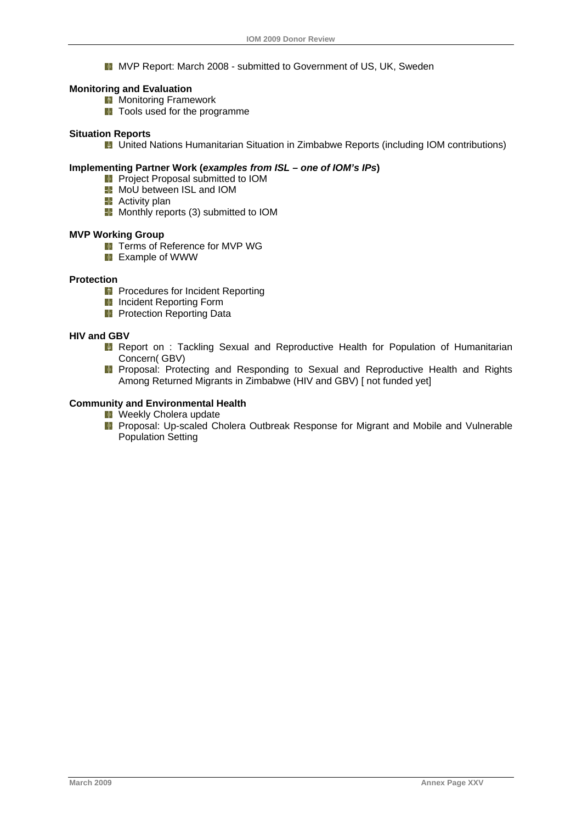**E** MVP Report: March 2008 - submitted to Government of US, UK, Sweden

#### **Monitoring and Evaluation**

- **H** Monitoring Framework
	- **T** Tools used for the programme

#### **Situation Reports**

**H** United Nations Humanitarian Situation in Zimbabwe Reports (including IOM contributions)

#### **Implementing Partner Work (***examples from ISL – one of IOM's IPs***)**

- **Project Proposal submitted to IOM**
- **MoU** between ISL and IOM
- **Activity plan**
- **H** Monthly reports (3) submitted to IOM

#### **MVP Working Group**

- **T** Terms of Reference for MVP WG
- **Example of WWW**

#### **Protection**

- **Procedures for Incident Reporting**
- **Incident Reporting Form**
- **Protection Reporting Data**

#### **HIV and GBV**

- **H** Report on : Tackling Sexual and Reproductive Health for Population of Humanitarian Concern( GBV)
- **Proposal: Protecting and Responding to Sexual and Reproductive Health and Rights** Among Returned Migrants in Zimbabwe (HIV and GBV) [ not funded yet]

#### **Community and Environmental Health**

- **H** Weekly Cholera update
- **Proposal: Up-scaled Cholera Outbreak Response for Migrant and Mobile and Vulnerable** Population Setting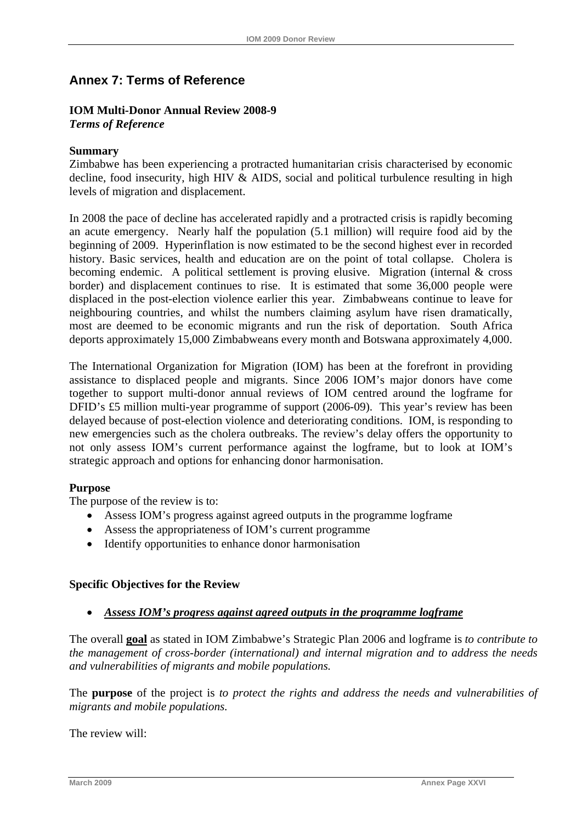## <span id="page-66-0"></span>**Annex 7: Terms of Reference**

## **IOM Multi-Donor Annual Review 2008-9**

*Terms of Reference* 

## **Summary**

Zimbabwe has been experiencing a protracted humanitarian crisis characterised by economic decline, food insecurity, high HIV  $\&$  AIDS, social and political turbulence resulting in high levels of migration and displacement.

In 2008 the pace of decline has accelerated rapidly and a protracted crisis is rapidly becoming an acute emergency. Nearly half the population (5.1 million) will require food aid by the beginning of 2009. Hyperinflation is now estimated to be the second highest ever in recorded history. Basic services, health and education are on the point of total collapse. Cholera is becoming endemic. A political settlement is proving elusive. Migration (internal & cross border) and displacement continues to rise. It is estimated that some 36,000 people were displaced in the post-election violence earlier this year. Zimbabweans continue to leave for neighbouring countries, and whilst the numbers claiming asylum have risen dramatically, most are deemed to be economic migrants and run the risk of deportation. South Africa deports approximately 15,000 Zimbabweans every month and Botswana approximately 4,000.

The International Organization for Migration (IOM) has been at the forefront in providing assistance to displaced people and migrants. Since 2006 IOM's major donors have come together to support multi-donor annual reviews of IOM centred around the logframe for DFID's £5 million multi-year programme of support (2006-09). This year's review has been delayed because of post-election violence and deteriorating conditions. IOM, is responding to new emergencies such as the cholera outbreaks. The review's delay offers the opportunity to not only assess IOM's current performance against the logframe, but to look at IOM's strategic approach and options for enhancing donor harmonisation.

## **Purpose**

The purpose of the review is to:

- Assess IOM's progress against agreed outputs in the programme logframe
- Assess the appropriateness of IOM's current programme
- Identify opportunities to enhance donor harmonisation

## **Specific Objectives for the Review**

## • *Assess IOM's progress against agreed outputs in the programme logframe*

The overall **goal** as stated in IOM Zimbabwe's Strategic Plan 2006 and logframe is *to contribute to the management of cross-border (international) and internal migration and to address the needs and vulnerabilities of migrants and mobile populations.* 

The **purpose** of the project is *to protect the rights and address the needs and vulnerabilities of migrants and mobile populations.* 

The review will: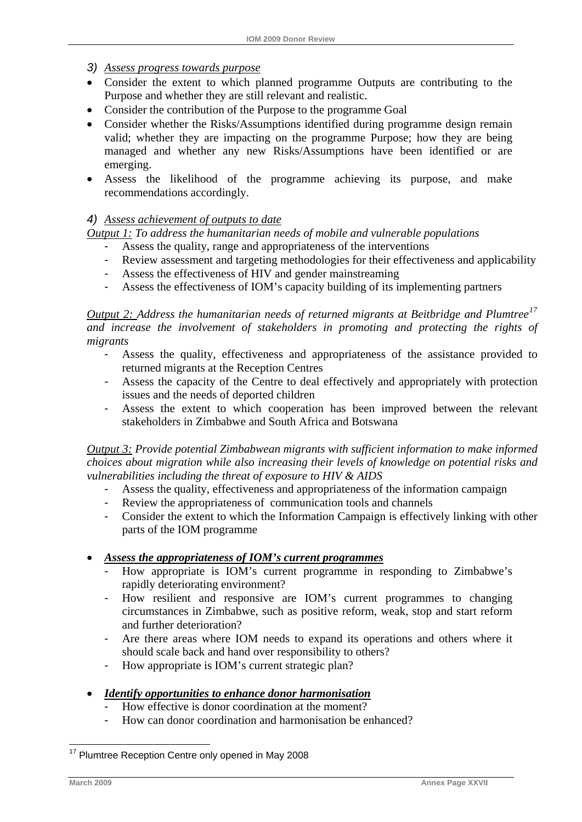## <span id="page-67-0"></span>*3) Assess progress towards purpose*

- Consider the extent to which planned programme Outputs are contributing to the Purpose and whether they are still relevant and realistic.
- Consider the contribution of the Purpose to the programme Goal
- Consider whether the Risks/Assumptions identified during programme design remain valid; whether they are impacting on the programme Purpose; how they are being managed and whether any new Risks/Assumptions have been identified or are emerging.
- Assess the likelihood of the programme achieving its purpose, and make recommendations accordingly.

## *4) Assess achievement of outputs to date*

*Output 1: To address the humanitarian needs of mobile and vulnerable populations* 

- Assess the quality, range and appropriateness of the interventions
- Review assessment and targeting methodologies for their effectiveness and applicability
- Assess the effectiveness of HIV and gender mainstreaming
- Assess the effectiveness of IOM's capacity building of its implementing partners

*Output 2: Address the humanitarian needs of returned migrants at Beitbridge and Plumtree[17](#page-67-0) and increase the involvement of stakeholders in promoting and protecting the rights of migrants* 

- Assess the quality, effectiveness and appropriateness of the assistance provided to returned migrants at the Reception Centres
- Assess the capacity of the Centre to deal effectively and appropriately with protection issues and the needs of deported children
- Assess the extent to which cooperation has been improved between the relevant stakeholders in Zimbabwe and South Africa and Botswana

*Output 3: Provide potential Zimbabwean migrants with sufficient information to make informed choices about migration while also increasing their levels of knowledge on potential risks and vulnerabilities including the threat of exposure to HIV & AIDS* 

- Assess the quality, effectiveness and appropriateness of the information campaign
- Review the appropriateness of communication tools and channels
- Consider the extent to which the Information Campaign is effectively linking with other parts of the IOM programme

## • *Assess the appropriateness of IOM's current programmes*

- How appropriate is IOM's current programme in responding to Zimbabwe's rapidly deteriorating environment?
- How resilient and responsive are IOM's current programmes to changing circumstances in Zimbabwe, such as positive reform, weak, stop and start reform and further deterioration?
- Are there areas where IOM needs to expand its operations and others where it should scale back and hand over responsibility to others?
- How appropriate is IOM's current strategic plan?
- *Identify opportunities to enhance donor harmonisation*
	- How effective is donor coordination at the moment?
	- How can donor coordination and harmonisation be enhanced?

<sup>1</sup> <sup>17</sup> Plumtree Reception Centre only opened in May 2008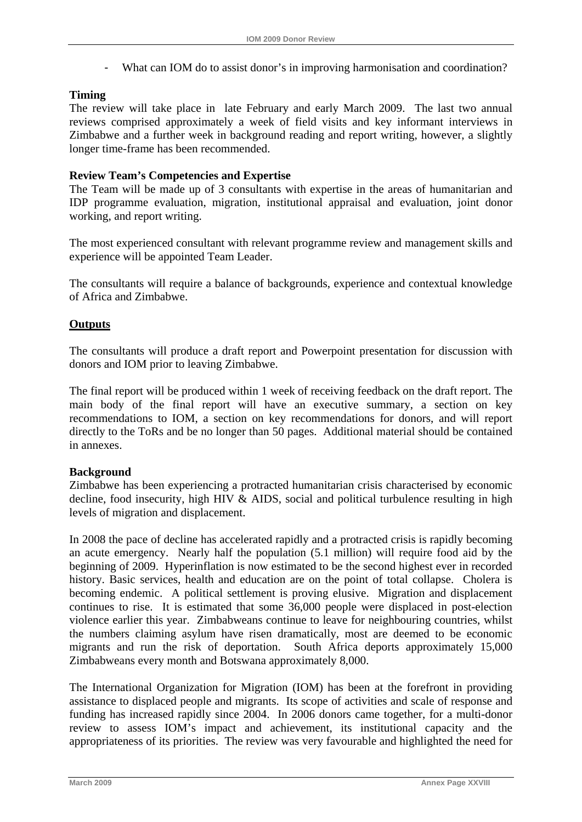- What can IOM do to assist donor's in improving harmonisation and coordination?

## **Timing**

The review will take place in late February and early March 2009. The last two annual reviews comprised approximately a week of field visits and key informant interviews in Zimbabwe and a further week in background reading and report writing, however, a slightly longer time-frame has been recommended.

## **Review Team's Competencies and Expertise**

The Team will be made up of 3 consultants with expertise in the areas of humanitarian and IDP programme evaluation, migration, institutional appraisal and evaluation, joint donor working, and report writing.

The most experienced consultant with relevant programme review and management skills and experience will be appointed Team Leader.

The consultants will require a balance of backgrounds, experience and contextual knowledge of Africa and Zimbabwe.

## **Outputs**

The consultants will produce a draft report and Powerpoint presentation for discussion with donors and IOM prior to leaving Zimbabwe.

The final report will be produced within 1 week of receiving feedback on the draft report. The main body of the final report will have an executive summary, a section on key recommendations to IOM, a section on key recommendations for donors, and will report directly to the ToRs and be no longer than 50 pages. Additional material should be contained in annexes.

## **Background**

Zimbabwe has been experiencing a protracted humanitarian crisis characterised by economic decline, food insecurity, high HIV & AIDS, social and political turbulence resulting in high levels of migration and displacement.

In 2008 the pace of decline has accelerated rapidly and a protracted crisis is rapidly becoming an acute emergency. Nearly half the population (5.1 million) will require food aid by the beginning of 2009. Hyperinflation is now estimated to be the second highest ever in recorded history. Basic services, health and education are on the point of total collapse. Cholera is becoming endemic. A political settlement is proving elusive. Migration and displacement continues to rise. It is estimated that some 36,000 people were displaced in post-election violence earlier this year. Zimbabweans continue to leave for neighbouring countries, whilst the numbers claiming asylum have risen dramatically, most are deemed to be economic migrants and run the risk of deportation. South Africa deports approximately 15,000 Zimbabweans every month and Botswana approximately 8,000.

The International Organization for Migration (IOM) has been at the forefront in providing assistance to displaced people and migrants. Its scope of activities and scale of response and funding has increased rapidly since 2004. In 2006 donors came together, for a multi-donor review to assess IOM's impact and achievement, its institutional capacity and the appropriateness of its priorities. The review was very favourable and highlighted the need for